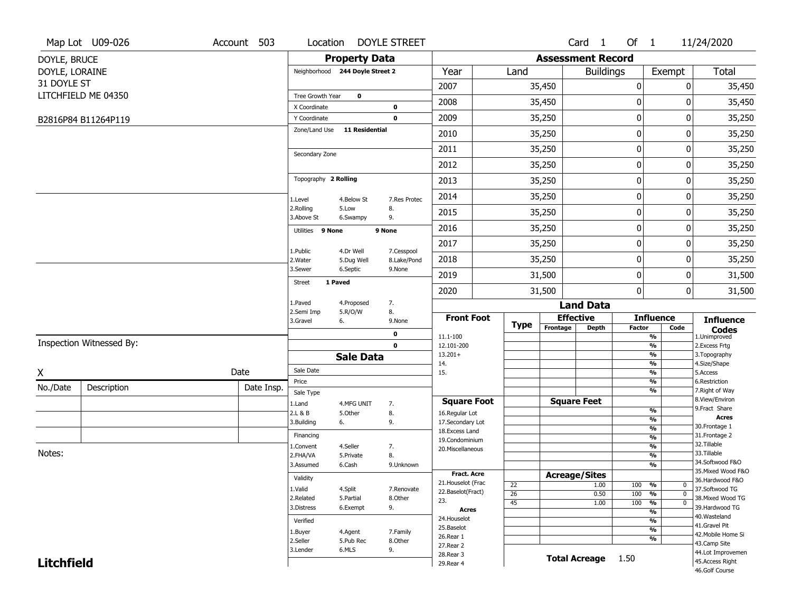|                   | Map Lot U09-026          | Account 503 | Location                     |                                 | <b>DOYLE STREET</b>   |                                     |                 |                          | Card 1               | Of $1$           |                                | 11/24/2020                        |
|-------------------|--------------------------|-------------|------------------------------|---------------------------------|-----------------------|-------------------------------------|-----------------|--------------------------|----------------------|------------------|--------------------------------|-----------------------------------|
| DOYLE, BRUCE      |                          |             |                              | <b>Property Data</b>            |                       |                                     |                 | <b>Assessment Record</b> |                      |                  |                                |                                   |
| DOYLE, LORAINE    |                          |             |                              | Neighborhood 244 Doyle Street 2 |                       | Year                                | Land            |                          | <b>Buildings</b>     |                  | Exempt                         | Total                             |
| 31 DOYLE ST       |                          |             |                              |                                 |                       | 2007                                |                 | 35,450                   |                      | $\boldsymbol{0}$ | 0                              | 35,450                            |
|                   | LITCHFIELD ME 04350      |             | Tree Growth Year             | 0                               |                       | 2008                                |                 | 35,450                   |                      | 0                | 0                              | 35,450                            |
|                   | B2816P84 B11264P119      |             | X Coordinate<br>Y Coordinate |                                 | 0<br>$\mathbf 0$      | 2009                                |                 | 35,250                   |                      | 0                | 0                              | 35,250                            |
|                   |                          |             | Zone/Land Use                | <b>11 Residential</b>           |                       | 2010                                |                 | 35,250                   |                      | $\boldsymbol{0}$ | 0                              | 35,250                            |
|                   |                          |             |                              |                                 |                       | 2011                                |                 | 35,250                   |                      | $\boldsymbol{0}$ | 0                              | 35,250                            |
|                   |                          |             | Secondary Zone               |                                 |                       |                                     |                 |                          |                      | $\mathbf 0$      | 0                              |                                   |
|                   |                          |             | Topography 2 Rolling         |                                 |                       | 2012                                |                 | 35,250                   |                      |                  |                                | 35,250                            |
|                   |                          |             |                              |                                 |                       | 2013                                |                 | 35,250                   |                      | $\boldsymbol{0}$ | 0                              | 35,250                            |
|                   |                          |             | 1.Level                      | 4.Below St                      | 7.Res Protec          | 2014                                |                 | 35,250                   |                      | $\boldsymbol{0}$ | 0                              | 35,250                            |
|                   |                          |             | 2.Rolling<br>3.Above St      | 5.Low<br>6.Swampy               | 8.<br>9.              | 2015                                |                 | 35,250                   |                      | 0                | 0                              | 35,250                            |
|                   |                          |             | Utilities 9 None             |                                 | 9 None                | 2016                                |                 | 35,250                   |                      | $\mathbf 0$      | 0                              | 35,250                            |
|                   |                          |             | 1.Public                     | 4.Dr Well                       | 7.Cesspool            | 2017                                |                 | 35,250                   |                      | $\boldsymbol{0}$ | 0                              | 35,250                            |
|                   |                          |             | 2. Water                     | 5.Dug Well                      | 8.Lake/Pond           | 2018                                |                 | 35,250                   |                      | 0                | 0                              | 35,250                            |
|                   |                          |             | 3.Sewer                      | 6.Septic                        | 9.None                | 2019                                |                 | 31,500                   |                      | $\pmb{0}$        | 0                              | 31,500                            |
|                   |                          |             | <b>Street</b>                | 1 Paved                         |                       | 2020                                |                 | 31,500                   |                      | $\mathbf{0}$     | 0                              | 31,500                            |
|                   |                          |             | 1.Paved                      | 4.Proposed                      | 7.                    |                                     |                 |                          | <b>Land Data</b>     |                  |                                |                                   |
|                   |                          |             | 2.Semi Imp<br>3.Gravel       | 5.R/O/W<br>6.                   | 8.<br>9.None          | <b>Front Foot</b>                   | <b>Type</b>     | <b>Effective</b>         |                      |                  | <b>Influence</b>               | <b>Influence</b>                  |
|                   |                          |             |                              |                                 | 0                     | 11.1-100                            |                 | Frontage                 | <b>Depth</b>         | <b>Factor</b>    | Code<br>%                      | <b>Codes</b><br>1.Unimproved      |
|                   | Inspection Witnessed By: |             |                              |                                 | $\mathbf 0$           | 12.101-200<br>$13.201+$             |                 |                          |                      |                  | $\frac{9}{6}$<br>%             | 2. Excess Frtg<br>3. Topography   |
|                   |                          |             |                              | <b>Sale Data</b>                |                       | 14.                                 |                 |                          |                      |                  | %                              | 4.Size/Shape                      |
| χ                 |                          | Date        | Sale Date<br>Price           |                                 |                       | 15.                                 |                 |                          |                      |                  | %<br>%                         | 5.Access<br>6.Restriction         |
| No./Date          | Description              | Date Insp.  | Sale Type                    |                                 |                       |                                     |                 |                          |                      |                  | %                              | 7. Right of Way                   |
|                   |                          |             | 1.Land                       | 4.MFG UNIT                      | 7.                    | <b>Square Foot</b>                  |                 | <b>Square Feet</b>       |                      |                  |                                | 8.View/Environ<br>9.Fract Share   |
|                   |                          |             | 2.L & B                      | 5.Other                         | 8.                    | 16.Regular Lot                      |                 |                          |                      |                  | $\frac{9}{6}$<br>$\frac{9}{6}$ | <b>Acres</b>                      |
|                   |                          |             | 3.Building                   | 6.                              | 9.                    | 17.Secondary Lot<br>18. Excess Land |                 |                          |                      |                  | $\frac{9}{6}$                  | 30. Frontage 1                    |
|                   |                          |             | Financing                    |                                 |                       | 19.Condominium                      |                 |                          |                      |                  | $\frac{9}{6}$                  | 31. Frontage 2<br>32.Tillable     |
| Notes:            |                          |             | 1.Convent<br>2.FHA/VA        | 4.Seller<br>5.Private           | 7.<br>8.              | 20.Miscellaneous                    |                 |                          |                      |                  | $\frac{9}{6}$<br>$\frac{9}{6}$ | 33.Tillable                       |
|                   |                          |             | 3.Assumed                    | 6.Cash                          | 9.Unknown             |                                     |                 |                          |                      |                  | $\overline{\frac{9}{6}}$       | 34.Softwood F&O                   |
|                   |                          |             | Validity                     |                                 |                       | <b>Fract. Acre</b>                  |                 | <b>Acreage/Sites</b>     |                      |                  |                                | 35. Mixed Wood F&O                |
|                   |                          |             |                              |                                 |                       | 21. Houselot (Frac                  | 22              |                          | 1.00                 | 100              | %<br>0                         | 36.Hardwood F&O<br>37.Softwood TG |
|                   |                          |             | 1.Valid<br>2.Related         | 4.Split<br>5.Partial            | 7.Renovate<br>8.Other | 22.Baselot(Fract)                   | $\overline{26}$ |                          | 0.50                 | 100              | $\overline{0}$<br>%            | 38. Mixed Wood TG                 |
|                   |                          |             | 3.Distress                   | 6.Exempt                        | 9.                    | 23.<br>Acres                        | 45              |                          | 1.00                 | 100              | $\overline{0}$<br>%            | 39.Hardwood TG                    |
|                   |                          |             | Verified                     |                                 |                       | 24. Houselot                        |                 |                          |                      |                  | %<br>%                         | 40. Wasteland                     |
|                   |                          |             |                              |                                 | 7.Family              | 25.Baselot                          |                 |                          |                      |                  | %                              | 41.Gravel Pit                     |
|                   |                          |             | 1.Buyer<br>2.Seller          | 4.Agent<br>5.Pub Rec            | 8.Other               | 26.Rear 1                           |                 |                          |                      |                  | %                              | 42. Mobile Home Si                |
|                   |                          |             | 3.Lender                     | 6.MLS                           | 9.                    | 27.Rear 2                           |                 |                          |                      |                  |                                | 43.Camp Site<br>44.Lot Improvemen |
| <b>Litchfield</b> |                          |             |                              |                                 |                       | 28. Rear 3<br>29. Rear 4            |                 |                          | <b>Total Acreage</b> | 1.50             |                                | 45.Access Right                   |
|                   |                          |             |                              |                                 |                       |                                     |                 |                          |                      |                  |                                | 46.Golf Course                    |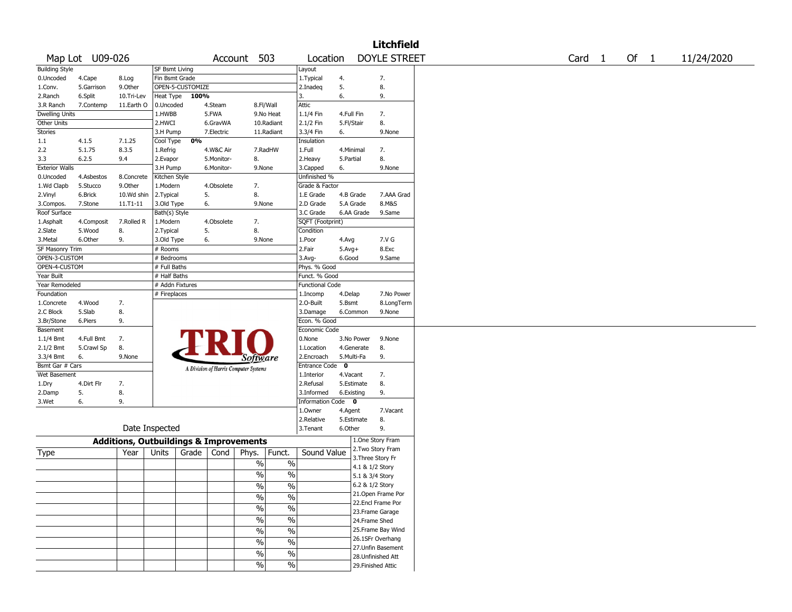|                       |                 |                                                   |                       |                  |            |                                       |               |                        |              |                 | Litchfield          |                   |      |            |
|-----------------------|-----------------|---------------------------------------------------|-----------------------|------------------|------------|---------------------------------------|---------------|------------------------|--------------|-----------------|---------------------|-------------------|------|------------|
|                       | Map Lot U09-026 |                                                   |                       |                  |            | Account 503                           |               | Location               |              |                 | <b>DOYLE STREET</b> | Card <sub>1</sub> | Of 1 | 11/24/2020 |
| <b>Building Style</b> |                 |                                                   | <b>SF Bsmt Living</b> |                  |            |                                       |               | Layout                 |              |                 |                     |                   |      |            |
| 0.Uncoded             | 4.Cape          | 8.Log                                             | Fin Bsmt Grade        |                  |            |                                       |               | 1.Typical              | 4.           |                 | 7.                  |                   |      |            |
| 1.Conv.               | 5.Garrison      | 9.0ther                                           |                       | OPEN-5-CUSTOMIZE |            |                                       |               | 2.Inadeg               | 5.           |                 | 8.                  |                   |      |            |
| 2.Ranch               | 6.Split         | 10.Tri-Lev                                        | Heat Type             | 100%             |            |                                       |               | 3.                     | 6.           |                 | 9.                  |                   |      |            |
| 3.R Ranch             | 7.Contemp       | 11.Earth O                                        | 0.Uncoded             |                  | 4.Steam    |                                       | 8.Fl/Wall     | Attic                  |              |                 |                     |                   |      |            |
| <b>Dwelling Units</b> |                 |                                                   | 1.HWBB                |                  | 5.FWA      |                                       | 9.No Heat     | 1.1/4 Fin              | 4.Full Fin   |                 | 7.                  |                   |      |            |
| Other Units           |                 |                                                   | 2.HWCI                |                  | 6.GravWA   |                                       | 10.Radiant    | 2.1/2 Fin              | 5.Fl/Stair   |                 | 8.                  |                   |      |            |
| <b>Stories</b>        |                 |                                                   | 3.H Pump              |                  | 7.Electric |                                       | 11.Radiant    | 3.3/4 Fin              | 6.           |                 | 9.None              |                   |      |            |
| 1.1                   | 4.1.5           | 7.1.25                                            | Cool Type             | 0%               |            |                                       |               | Insulation             |              |                 |                     |                   |      |            |
| 2.2                   | 5.1.75          | 8.3.5                                             | 1.Refrig              |                  | 4.W&C Air  |                                       | 7.RadHW       | 1.Full                 | 4.Minimal    |                 | 7.                  |                   |      |            |
| 3.3                   | 6.2.5           | 9.4                                               | 2.Evapor              |                  | 5.Monitor- | 8.                                    |               | 2.Heavy                | 5.Partial    |                 | 8.                  |                   |      |            |
| <b>Exterior Walls</b> |                 |                                                   | 3.H Pump              |                  | 6.Monitor- | 9.None                                |               | 3.Capped               | 6.           |                 | 9.None              |                   |      |            |
| 0.Uncoded             | 4.Asbestos      | 8.Concrete                                        | Kitchen Style         |                  |            |                                       |               | Unfinished %           |              |                 |                     |                   |      |            |
| 1.Wd Clapb            | 5.Stucco        | 9.Other                                           | 1.Modern              |                  | 4.Obsolete | 7.                                    |               | Grade & Factor         |              |                 |                     |                   |      |            |
| 2.Vinyl               | 6.Brick         | 10.Wd shin                                        | 2.Typical             | 5.               |            | 8.                                    |               | 1.E Grade              | 4.B Grade    |                 | 7.AAA Grad          |                   |      |            |
| 3.Compos.             | 7.Stone         | 11.T1-11                                          | 3.Old Type            | 6.               |            | 9.None                                |               | 2.D Grade              | 5.A Grade    |                 | 8.M&S               |                   |      |            |
| Roof Surface          |                 |                                                   | Bath(s) Style         |                  |            |                                       |               | 3.C Grade              |              | 6.AA Grade      | 9.Same              |                   |      |            |
| 1.Asphalt             | 4.Composit      | 7.Rolled R                                        | 1.Modern              |                  | 4.Obsolete | 7.                                    |               | SQFT (Footprint)       |              |                 |                     |                   |      |            |
| 2.Slate               | 5.Wood          | 8.                                                | 2. Typical            | 5.               |            | 8.                                    |               | Condition              |              |                 |                     |                   |      |            |
| 3.Metal               | 6.Other         | 9.                                                | 3.Old Type            | 6.               |            | 9.None                                |               | 1.Poor                 | 4.Avg        |                 | 7.V G               |                   |      |            |
|                       |                 |                                                   |                       |                  |            |                                       |               | 2.Fair                 |              |                 | 8.Exc               |                   |      |            |
| SF Masonry Trim       |                 |                                                   | # Rooms               |                  |            |                                       |               |                        | $5.Avg+$     |                 |                     |                   |      |            |
| OPEN-3-CUSTOM         |                 |                                                   | # Bedrooms            |                  |            |                                       |               | 3.Avg-                 | 6.Good       |                 | 9.Same              |                   |      |            |
| OPEN-4-CUSTOM         |                 |                                                   | # Full Baths          |                  |            |                                       |               | Phys. % Good           |              |                 |                     |                   |      |            |
| Year Built            |                 |                                                   | # Half Baths          |                  |            |                                       |               | Funct. % Good          |              |                 |                     |                   |      |            |
| Year Remodeled        |                 |                                                   | # Addn Fixtures       |                  |            |                                       |               | <b>Functional Code</b> |              |                 |                     |                   |      |            |
| Foundation            |                 |                                                   | # Fireplaces          |                  |            |                                       |               | 1.Incomp               | 4.Delap      |                 | 7.No Power          |                   |      |            |
| 1.Concrete            | 4.Wood          | 7.                                                |                       |                  |            |                                       |               | 2.O-Built              | 5.Bsmt       |                 | 8.LongTerm          |                   |      |            |
| 2.C Block             | 5.Slab          | 8.                                                |                       |                  |            |                                       |               | 3.Damage               |              | 6.Common        | 9.None              |                   |      |            |
| 3.Br/Stone            | 6.Piers         | 9.                                                |                       |                  |            |                                       |               | Econ. % Good           |              |                 |                     |                   |      |            |
| Basement              |                 |                                                   |                       |                  |            |                                       |               | Economic Code          |              |                 |                     |                   |      |            |
| $1.1/4$ Bmt           | 4.Full Bmt      | 7.                                                |                       |                  |            |                                       |               | 0.None                 |              | 3.No Power      | 9.None              |                   |      |            |
| 2.1/2 Bmt             | 5.Crawl Sp      | 8.                                                |                       |                  |            |                                       |               | 1.Location             |              | 4.Generate      | 8.                  |                   |      |            |
| 3.3/4 Bmt             | 6.              | 9.None                                            |                       |                  |            | <i>Software</i>                       |               | 2.Encroach             | 5.Multi-Fa   |                 | 9.                  |                   |      |            |
| Bsmt Gar # Cars       |                 |                                                   |                       |                  |            | A Division of Harris Computer Systems |               | <b>Entrance Code</b>   | $\mathbf{o}$ |                 |                     |                   |      |            |
| Wet Basement          |                 |                                                   |                       |                  |            |                                       |               | 1.Interior             | 4.Vacant     |                 | 7.                  |                   |      |            |
| 1.Dry                 | 4.Dirt Flr      | 7.                                                |                       |                  |            |                                       |               | 2.Refusal              |              | 5.Estimate      | 8.                  |                   |      |            |
| 2.Damp                | 5.              | 8.                                                |                       |                  |            |                                       |               | 3.Informed             | 6.Existing   |                 | 9.                  |                   |      |            |
| 3.Wet                 | 6.              | 9.                                                |                       |                  |            |                                       |               | Information Code 0     |              |                 |                     |                   |      |            |
|                       |                 |                                                   |                       |                  |            |                                       |               | 1.Owner                | 4.Agent      |                 | 7.Vacant            |                   |      |            |
|                       |                 |                                                   |                       |                  |            |                                       |               | 2.Relative             | 5.Estimate   |                 | 8.                  |                   |      |            |
|                       |                 | Date Inspected                                    |                       |                  |            |                                       |               | 3.Tenant               | 6.Other      |                 | 9.                  |                   |      |            |
|                       |                 | <b>Additions, Outbuildings &amp; Improvements</b> |                       |                  |            |                                       |               |                        |              |                 | 1.One Story Fram    |                   |      |            |
|                       |                 | Year                                              | Units                 | Grade            | Cond       | Phys.                                 | Funct.        | Sound Value            |              |                 | 2. Two Story Fram   |                   |      |            |
| Type                  |                 |                                                   |                       |                  |            |                                       |               |                        |              |                 | 3. Three Story Fr   |                   |      |            |
|                       |                 |                                                   |                       |                  |            | $\%$                                  | $\%$          |                        |              | 4.1 & 1/2 Story |                     |                   |      |            |
|                       |                 |                                                   |                       |                  |            | %                                     | $\%$          |                        |              | 5.1 & 3/4 Story |                     |                   |      |            |
|                       |                 |                                                   |                       |                  |            | $\frac{1}{2}$                         | $\frac{0}{6}$ |                        |              | 6.2 & 1/2 Story |                     |                   |      |            |
|                       |                 |                                                   |                       |                  |            |                                       |               |                        |              |                 | 21. Open Frame Por  |                   |      |            |
|                       |                 |                                                   |                       |                  |            | $\%$                                  | $\%$          |                        |              |                 | 22.Encl Frame Por   |                   |      |            |
|                       |                 |                                                   |                       |                  |            | $\sqrt{6}$                            | $\%$          |                        |              |                 | 23. Frame Garage    |                   |      |            |
|                       |                 |                                                   |                       |                  |            | $\frac{1}{2}$                         | $\%$          |                        |              | 24.Frame Shed   |                     |                   |      |            |
|                       |                 |                                                   |                       |                  |            | $\sqrt{6}$                            | $\%$          |                        |              |                 | 25. Frame Bay Wind  |                   |      |            |
|                       |                 |                                                   |                       |                  |            |                                       |               |                        |              |                 | 26.1SFr Overhang    |                   |      |            |
|                       |                 |                                                   |                       |                  |            | $\%$                                  | $\%$          |                        |              |                 | 27.Unfin Basement   |                   |      |            |
|                       |                 |                                                   |                       |                  |            | $\sqrt{6}$                            | $\%$          |                        |              |                 | 28. Unfinished Att  |                   |      |            |
|                       |                 |                                                   |                       |                  |            | $\%$                                  | $\%$          |                        |              |                 | 29. Finished Attic  |                   |      |            |
|                       |                 |                                                   |                       |                  |            |                                       |               |                        |              |                 |                     |                   |      |            |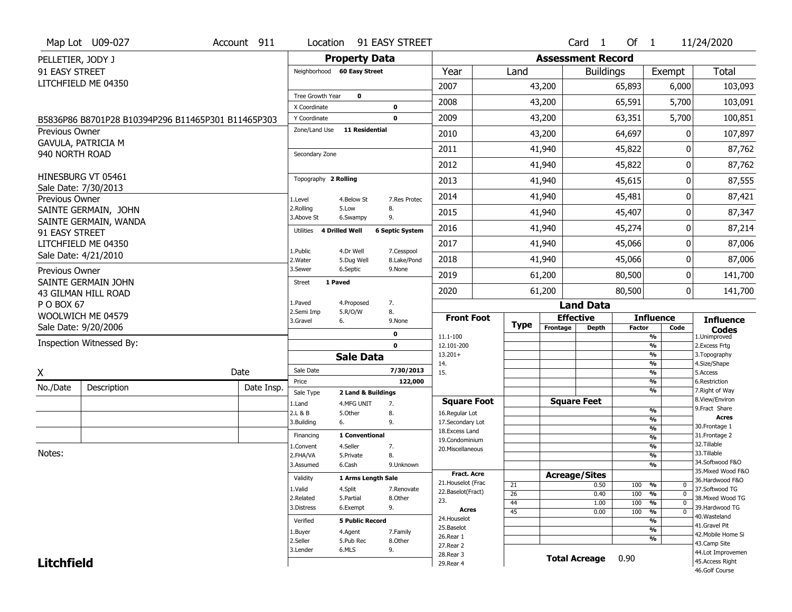|                   | Map Lot U09-027                                    | Account 911 |                                    |                         | Location 91 EASY STREET   |                                      |             |                          | Card 1           | Of $1$        |                                           | 11/24/2020                           |
|-------------------|----------------------------------------------------|-------------|------------------------------------|-------------------------|---------------------------|--------------------------------------|-------------|--------------------------|------------------|---------------|-------------------------------------------|--------------------------------------|
| PELLETIER, JODY J |                                                    |             |                                    | <b>Property Data</b>    |                           |                                      |             | <b>Assessment Record</b> |                  |               |                                           |                                      |
| 91 EASY STREET    |                                                    |             | Neighborhood 60 Easy Street        |                         |                           | Year                                 | Land        |                          | <b>Buildings</b> |               | Exempt                                    | <b>Total</b>                         |
|                   | LITCHFIELD ME 04350                                |             |                                    |                         |                           | 2007                                 |             | 43,200                   |                  | 65,893        | 6,000                                     | 103,093                              |
|                   |                                                    |             | Tree Growth Year                   | $\mathbf 0$             |                           | 2008                                 |             | 43,200                   |                  | 65,591        | 5,700                                     | 103,091                              |
|                   |                                                    |             | X Coordinate                       |                         | $\mathbf 0$               |                                      |             |                          |                  |               |                                           |                                      |
|                   | B5836P86 B8701P28 B10394P296 B11465P301 B11465P303 |             | Y Coordinate<br>Zone/Land Use      | <b>11 Residential</b>   | $\mathbf 0$               | 2009                                 |             | 43,200                   |                  | 63,351        | 5,700                                     | 100,851                              |
| Previous Owner    | GAVULA, PATRICIA M                                 |             |                                    |                         |                           | 2010                                 |             | 43,200                   |                  | 64,697        | 0                                         | 107,897                              |
| 940 NORTH ROAD    |                                                    |             | Secondary Zone                     |                         |                           | 2011                                 |             | 41,940                   |                  | 45,822        | 0                                         | 87,762                               |
|                   |                                                    |             |                                    |                         |                           | 2012                                 |             | 41,940                   |                  | 45,822        | 0                                         | 87,762                               |
|                   | HINESBURG VT 05461                                 |             | Topography 2 Rolling               |                         |                           | 2013                                 |             | 41,940                   |                  | 45,615        | 0                                         | 87,555                               |
| Previous Owner    | Sale Date: 7/30/2013                               |             | 1.Level                            | 4.Below St              | 7. Res Protec             | 2014                                 |             | 41,940                   |                  | 45,481        | 0                                         | 87,421                               |
|                   | SAINTE GERMAIN, JOHN                               |             | 2.Rolling<br>3.Above St            | 5.Low<br>6.Swampy       | 8.<br>9.                  | 2015                                 |             | 41,940                   |                  | 45,407        | 0                                         | 87,347                               |
| 91 EASY STREET    | SAINTE GERMAIN, WANDA                              |             | <b>4 Drilled Well</b><br>Utilities |                         | <b>6 Septic System</b>    | 2016                                 |             | 41,940                   |                  | 45,274        | 0                                         | 87,214                               |
|                   | LITCHFIELD ME 04350                                |             |                                    |                         |                           | 2017                                 |             | 41,940                   |                  | 45,066        | 0                                         | 87,006                               |
|                   | Sale Date: 4/21/2010                               |             | 1.Public<br>2. Water               | 4.Dr Well<br>5.Dug Well | 7.Cesspool<br>8.Lake/Pond | 2018                                 |             | 41,940                   |                  | 45,066        | 0                                         | 87,006                               |
| Previous Owner    |                                                    |             | 3.Sewer                            | 6.Septic                | 9.None                    | 2019                                 |             | 61,200                   |                  | 80,500        | 0                                         | 141,700                              |
|                   | SAINTE GERMAIN JOHN<br>43 GILMAN HILL ROAD         |             | 1 Paved<br><b>Street</b>           |                         |                           | 2020                                 |             | 61,200                   |                  | 80,500        | 0                                         | 141,700                              |
| P O BOX 67        |                                                    |             | 1.Paved                            | 4.Proposed              | 7.                        |                                      |             |                          | <b>Land Data</b> |               |                                           |                                      |
|                   | WOOLWICH ME 04579                                  |             | 2.Semi Imp<br>3.Gravel<br>6.       | 5.R/O/W                 | 8.<br>9.None              | <b>Front Foot</b>                    |             | <b>Effective</b>         |                  |               | <b>Influence</b>                          | <b>Influence</b>                     |
|                   | Sale Date: 9/20/2006                               |             |                                    |                         | 0                         |                                      | <b>Type</b> | Frontage                 | Depth            | <b>Factor</b> | Code                                      | <b>Codes</b>                         |
|                   | Inspection Witnessed By:                           |             |                                    |                         | $\mathbf{0}$              | 11.1-100<br>12.101-200               |             |                          |                  |               | %<br>%                                    | 1.Unimproved<br>2. Excess Frtg       |
|                   |                                                    |             |                                    | <b>Sale Data</b>        |                           | $13.201+$                            |             |                          |                  |               | %                                         | 3. Topography                        |
| X                 |                                                    | Date        | Sale Date                          |                         | 7/30/2013                 | 14.<br>15.                           |             |                          |                  |               | %<br>%                                    | 4.Size/Shape<br>5.Access             |
| No./Date          | Description                                        | Date Insp.  | Price                              |                         | 122,000                   |                                      |             |                          |                  |               | %                                         | 6.Restriction                        |
|                   |                                                    |             | Sale Type                          | 2 Land & Buildings      |                           |                                      |             | <b>Square Feet</b>       |                  |               | %                                         | 7. Right of Way<br>8.View/Environ    |
|                   |                                                    |             | 1.Land<br>2.L & B                  | 4.MFG UNIT<br>5.Other   | 7.<br>8.                  | <b>Square Foot</b><br>16.Regular Lot |             |                          |                  |               | %                                         | 9. Fract Share                       |
|                   |                                                    |             | 3.Building<br>6.                   |                         | 9.                        | 17.Secondary Lot                     |             |                          |                  |               | %                                         | Acres                                |
|                   |                                                    |             |                                    |                         |                           |                                      |             |                          |                  |               | %                                         | 30. Frontage 1                       |
|                   |                                                    |             |                                    |                         |                           | 18.Excess Land                       |             |                          |                  |               |                                           |                                      |
|                   |                                                    |             | Financing                          | 1 Conventional          |                           | 19.Condominium                       |             |                          |                  |               | %                                         | 31. Frontage 2<br>32. Tillable       |
| Notes:            |                                                    |             | <b>I.Convent</b><br>2.FHA/VA       | 4.Seller<br>5.Private   | 7.<br>8.                  | 20.Miscellaneous                     |             |                          |                  |               | $\frac{9}{6}$<br>$\overline{\frac{9}{6}}$ | 33.Tillable                          |
|                   |                                                    |             | 3.Assumed                          | 6.Cash                  | 9.Unknown                 |                                      |             |                          |                  |               | %                                         | 34.Softwood F&O                      |
|                   |                                                    |             | Validity                           | 1 Arms Length Sale      |                           | <b>Fract, Acre</b>                   |             | <b>Acreage/Sites</b>     |                  |               |                                           | 35. Mixed Wood F&O                   |
|                   |                                                    |             |                                    |                         |                           | 21. Houselot (Frac                   | 21          |                          | 0.50             | 100           | %<br>0                                    | 36.Hardwood F&O                      |
|                   |                                                    |             | 1.Valid<br>2.Related               | 4.Split<br>5.Partial    | 7.Renovate<br>8.Other     | 22.Baselot(Fract)                    | 26          |                          | 0.40             | 100           | %<br>$\mathbf 0$                          | 37.Softwood TG<br>38. Mixed Wood TG  |
|                   |                                                    |             | 3.Distress                         | 6.Exempt                | 9.                        | 23.<br>Acres                         | 44          |                          | 1.00             | 100           | %<br>$\mathbf 0$                          | 39.Hardwood TG                       |
|                   |                                                    |             | Verified                           | <b>5 Public Record</b>  |                           | 24. Houselot                         | 45          |                          | 0.00             | 100           | $\frac{9}{6}$<br>$\overline{0}$<br>%      | 40. Wasteland                        |
|                   |                                                    |             |                                    |                         |                           | 25.Baselot                           |             |                          |                  |               | %                                         | 41.Gravel Pit                        |
|                   |                                                    |             | 1.Buyer<br>2.Seller                | 4.Agent<br>5.Pub Rec    | 7.Family<br>8.Other       | 26.Rear 1                            |             |                          |                  |               | %                                         | 42. Mobile Home Si                   |
|                   |                                                    |             | 3.Lender                           | 6.MLS                   | 9.                        | 27. Rear 2                           |             |                          |                  |               |                                           | 43.Camp Site                         |
| <b>Litchfield</b> |                                                    |             |                                    |                         |                           | 28. Rear 3<br>29. Rear 4             |             | <b>Total Acreage</b>     |                  | 0.90          |                                           | 44.Lot Improvemen<br>45.Access Right |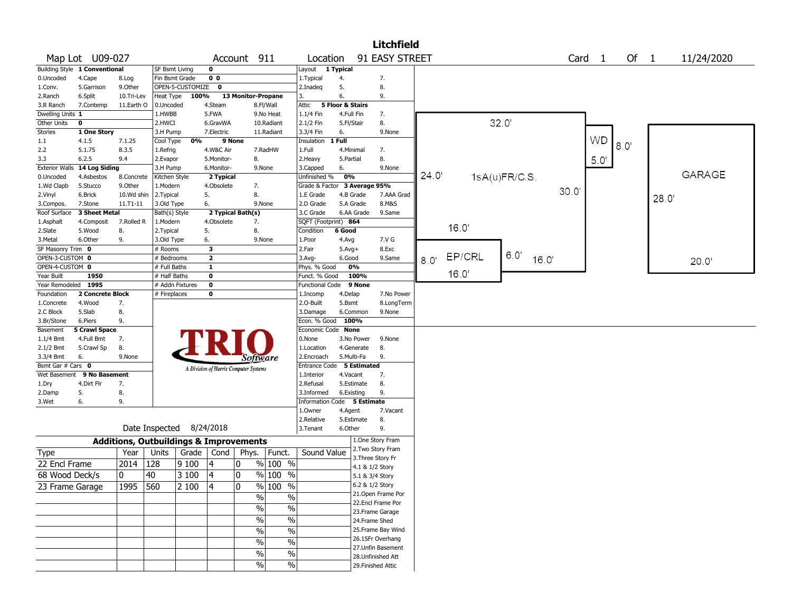|                       |                               |                                                   |                          |       |                         |                                       |                          |                             |                  |                                    | <b>Litchfield</b>  |       |       |               |       |       |       |           |      |      |               |
|-----------------------|-------------------------------|---------------------------------------------------|--------------------------|-------|-------------------------|---------------------------------------|--------------------------|-----------------------------|------------------|------------------------------------|--------------------|-------|-------|---------------|-------|-------|-------|-----------|------|------|---------------|
|                       | Map Lot U09-027               |                                                   |                          |       |                         | Account 911                           |                          | Location                    |                  |                                    | 91 EASY STREET     |       |       |               |       |       |       | Card 1    | Of 1 |      | 11/24/2020    |
|                       | Building Style 1 Conventional |                                                   | SF Bsmt Living           |       | $\mathbf 0$             |                                       |                          | Layout 1 Typical            |                  |                                    |                    |       |       |               |       |       |       |           |      |      |               |
| 0.Uncoded             | 4.Cape                        | 8.Log                                             | Fin Bsmt Grade           |       | 0 <sub>0</sub>          |                                       |                          | 1. Typical                  | 4.               |                                    | 7.                 |       |       |               |       |       |       |           |      |      |               |
| 1.Conv.               | 5.Garrison                    | 9.0ther                                           | OPEN-5-CUSTOMIZE         |       | $\mathbf 0$             |                                       |                          | 2.Inadeq                    | 5.               |                                    | 8.                 |       |       |               |       |       |       |           |      |      |               |
| 2.Ranch               | 6.Split                       | 10.Tri-Lev                                        | Heat Type                | 100%  |                         | 13 Monitor-Propane                    |                          | 3.                          | 6.               |                                    | 9.                 |       |       |               |       |       |       |           |      |      |               |
| 3.R Ranch             | 7.Contemp                     | 11.Earth O                                        | 0.Uncoded                |       | 4.Steam                 |                                       | 8.Fl/Wall                | Attic                       | 5 Floor & Stairs |                                    |                    |       |       |               |       |       |       |           |      |      |               |
| Dwelling Units 1      |                               |                                                   | 1.HWBB                   |       | 5.FWA                   |                                       | 9.No Heat                | 1.1/4 Fin                   |                  | 4.Full Fin                         | 7.                 |       |       |               |       |       |       |           |      |      |               |
| Other Units           | $\mathbf 0$                   |                                                   | 2.HWCI                   |       | 6.GravWA                |                                       | 10.Radiant               | 2.1/2 Fin                   |                  | 5.Fl/Stair                         | 8.                 |       |       |               | 32.0' |       |       |           |      |      |               |
| <b>Stories</b>        | 1 One Story                   |                                                   | 3.H Pump                 |       | 7.Electric              |                                       | 11.Radiant               | 3.3/4 Fin                   | 6.               |                                    | 9.None             |       |       |               |       |       |       |           |      |      |               |
| 1.1                   | 4.1.5                         | 7.1.25                                            | Cool Type                | 0%    |                         | 9 None                                |                          | Insulation 1 Full           |                  |                                    |                    |       |       |               |       |       |       | <b>WD</b> | 8.0' |      |               |
| 2.2                   | 5.1.75                        | 8.3.5                                             | 1.Refrig                 |       | 4.W&C Air               |                                       | 7.RadHW                  | 1.Full                      |                  | 4.Minimal                          | 7.                 |       |       |               |       |       |       |           |      |      |               |
| 3.3                   | 6.2.5                         | 9.4                                               | 2.Evapor                 |       | 5.Monitor-              | 8.                                    |                          | 2.Heavy                     | 5.Partial        |                                    | 8.                 |       |       |               |       |       |       | 5.0'      |      |      |               |
| <b>Exterior Walls</b> | 14 Log Siding                 |                                                   | 3.H Pump                 |       | 6.Monitor-              |                                       | 9.None                   | 3.Capped                    | 6.               |                                    | 9.None             | 24.0' |       |               |       |       |       |           |      |      | <b>GARAGE</b> |
| 0.Uncoded             | 4.Asbestos                    | 8.Concrete                                        | Kitchen Style            |       | 2 Typical               |                                       |                          | Unfinished %                | 0%               |                                    |                    |       |       | 1sA(u)FR/C.S. |       |       |       |           |      |      |               |
| 1.Wd Clapb            | 5.Stucco                      | 9.Other                                           | 1.Modern                 |       | 4.Obsolete              | 7.                                    |                          | Grade & Factor              |                  | 3 Average 95%                      |                    |       |       |               |       |       | 30.0' |           |      |      |               |
| 2.Vinyl               | 6.Brick                       | 10.Wd shin                                        | 2.Typical                |       | 5.                      | 8.                                    |                          | 1.E Grade                   |                  | 4.B Grade                          | 7.AAA Grad         |       |       |               |       |       |       |           |      | 28.0 |               |
| 3.Compos.             | 7.Stone                       | 11.T1-11                                          | 3.Old Type               |       | 6.                      |                                       | 9.None                   | 2.D Grade                   |                  | 5.A Grade                          | 8.M&S              |       |       |               |       |       |       |           |      |      |               |
| Roof Surface          | 3 Sheet Metal                 |                                                   | Bath(s) Style            |       |                         | 2 Typical Bath(s)                     |                          | 3.C Grade                   |                  | 6.AA Grade                         | 9.Same             |       |       |               |       |       |       |           |      |      |               |
| 1.Asphalt             | 4.Composit                    | 7.Rolled R<br>8.                                  | 1.Modern                 |       | 4.Obsolete<br>5.        | 7.<br>8.                              |                          | SQFT (Footprint) 864        | 6 Good           |                                    |                    |       | 16.0' |               |       |       |       |           |      |      |               |
| 2.Slate<br>3.Metal    | 5.Wood<br>6.Other             | 9.                                                | 2.Typical                |       | 6.                      |                                       | 9.None                   | Condition<br>1.Poor         | 4.Avg            |                                    | 7.V G              |       |       |               |       |       |       |           |      |      |               |
| SF Masonry Trim 0     |                               |                                                   | 3.Old Type<br># Rooms    |       | 3                       |                                       |                          | 2.Fair                      | $5.Avg+$         |                                    | 8.Exc              |       |       |               |       |       |       |           |      |      |               |
| OPEN-3-CUSTOM 0       |                               |                                                   | # Bedrooms               |       | $\overline{\mathbf{2}}$ |                                       |                          | $3.$ Avg-                   | 6.Good           |                                    | 9.Same             |       |       | EP/CRL        | 6.0'  |       |       |           |      |      |               |
| OPEN-4-CUSTOM 0       |                               |                                                   | # Full Baths             |       | $\mathbf{1}$            |                                       |                          | Phys. % Good                |                  | 0%                                 |                    | 8.0   |       |               |       | 16.0' |       |           |      |      | 20.0          |
| Year Built            | 1950                          |                                                   | # Half Baths             |       | 0                       |                                       |                          | Funct. % Good               |                  | 100%                               |                    |       | 16.0' |               |       |       |       |           |      |      |               |
| Year Remodeled 1995   |                               |                                                   | # Addn Fixtures          |       | $\mathbf 0$             |                                       |                          | Functional Code             |                  | 9 None                             |                    |       |       |               |       |       |       |           |      |      |               |
| Foundation            | 2 Concrete Block              |                                                   | # Fireplaces             |       | 0                       |                                       |                          | 1.Incomp                    | 4.Delap          |                                    | 7.No Power         |       |       |               |       |       |       |           |      |      |               |
| 1.Concrete            | 4.Wood                        | 7.                                                |                          |       |                         |                                       |                          | 2.0-Built                   | 5.Bsmt           |                                    | 8.LongTerm         |       |       |               |       |       |       |           |      |      |               |
| 2.C Block             | 5.Slab                        | 8.                                                |                          |       |                         |                                       |                          | 3.Damage                    |                  | 6.Common                           | 9.None             |       |       |               |       |       |       |           |      |      |               |
| 3.Br/Stone            | 6.Piers                       | 9.                                                |                          |       |                         |                                       |                          | Econ. % Good 100%           |                  |                                    |                    |       |       |               |       |       |       |           |      |      |               |
| Basement              | <b>5 Crawl Space</b>          |                                                   |                          |       |                         |                                       |                          | Economic Code None          |                  |                                    |                    |       |       |               |       |       |       |           |      |      |               |
| 1.1/4 Bmt             | 4.Full Bmt                    | 7.                                                |                          |       |                         |                                       |                          | 0.None                      |                  | 3.No Power                         | 9.None             |       |       |               |       |       |       |           |      |      |               |
| 2.1/2 Bmt             | 5.Crawl Sp                    | 8.                                                |                          |       |                         |                                       |                          | 1.Location                  |                  | 4.Generate                         | 8.                 |       |       |               |       |       |       |           |      |      |               |
| 3.3/4 Bmt             | 6.                            | 9.None                                            |                          |       |                         | Software                              |                          | 2.Encroach                  |                  | 5.Multi-Fa                         | 9.                 |       |       |               |       |       |       |           |      |      |               |
| Bsmt Gar # Cars 0     |                               |                                                   |                          |       |                         | A Division of Harris Computer Systems |                          | <b>Entrance Code</b>        |                  | 5 Estimated                        |                    |       |       |               |       |       |       |           |      |      |               |
|                       | Wet Basement 9 No Basement    |                                                   |                          |       |                         |                                       |                          | 1.Interior                  | 4.Vacant         |                                    | 7.                 |       |       |               |       |       |       |           |      |      |               |
| 1.Dry                 | 4.Dirt Flr                    | 7.                                                |                          |       |                         |                                       |                          | 2.Refusal                   |                  | 5.Estimate                         | 8.                 |       |       |               |       |       |       |           |      |      |               |
| 2.Damp                | 5.                            | 8.                                                |                          |       |                         |                                       |                          | 3.Informed                  |                  | 6.Existing                         | 9.                 |       |       |               |       |       |       |           |      |      |               |
| 3.Wet                 | 6.                            | 9.                                                |                          |       |                         |                                       |                          | Information Code 5 Estimate |                  |                                    |                    |       |       |               |       |       |       |           |      |      |               |
|                       |                               |                                                   |                          |       |                         |                                       |                          | 1.0wner                     | 4.Agent          |                                    | 7.Vacant           |       |       |               |       |       |       |           |      |      |               |
|                       |                               |                                                   |                          |       |                         |                                       |                          | 2.Relative                  |                  | 5.Estimate                         | 8.                 |       |       |               |       |       |       |           |      |      |               |
|                       |                               |                                                   | Date Inspected 8/24/2018 |       |                         |                                       |                          | 3.Tenant                    | 6.Other          |                                    | 9.                 |       |       |               |       |       |       |           |      |      |               |
|                       |                               | <b>Additions, Outbuildings &amp; Improvements</b> |                          |       |                         |                                       |                          |                             |                  |                                    | 1.One Story Fram   |       |       |               |       |       |       |           |      |      |               |
| Type                  |                               | Year                                              | Units                    |       | Grade $\vert$ Cond      | Phys.                                 | Funct.                   | Sound Value                 |                  |                                    | 2. Two Story Fram  |       |       |               |       |       |       |           |      |      |               |
| 22 Encl Frame         |                               | 2014                                              | 128                      | 9100  | 14                      | 0                                     | % 100 %                  |                             |                  |                                    | 3. Three Story Fr  |       |       |               |       |       |       |           |      |      |               |
| 68 Wood Deck/s        |                               | 0                                                 | 40                       | 3 100 | 4                       | 0                                     | % 100 %                  |                             |                  | 4.1 & 1/2 Story                    |                    |       |       |               |       |       |       |           |      |      |               |
|                       |                               | 1995 560                                          |                          |       |                         |                                       | $\frac{9}{6}$ 100 %      |                             |                  | 5.1 & 3/4 Story<br>6.2 & 1/2 Story |                    |       |       |               |       |       |       |           |      |      |               |
| 23 Frame Garage       |                               |                                                   |                          | 2 100 |                         | 0                                     |                          |                             |                  |                                    | 21. Open Frame Por |       |       |               |       |       |       |           |      |      |               |
|                       |                               |                                                   |                          |       |                         | $\frac{1}{2}$                         | $\frac{0}{0}$            |                             |                  |                                    | 22.Encl Frame Por  |       |       |               |       |       |       |           |      |      |               |
|                       |                               |                                                   |                          |       |                         | $\frac{9}{6}$                         | $\%$                     |                             |                  |                                    | 23. Frame Garage   |       |       |               |       |       |       |           |      |      |               |
|                       |                               |                                                   |                          |       |                         | $\frac{1}{2}$                         | $\overline{\frac{0}{0}}$ |                             |                  | 24.Frame Shed                      |                    |       |       |               |       |       |       |           |      |      |               |
|                       |                               |                                                   |                          |       |                         | $\frac{0}{0}$                         | $\frac{0}{0}$            |                             |                  |                                    | 25. Frame Bay Wind |       |       |               |       |       |       |           |      |      |               |
|                       |                               |                                                   |                          |       |                         |                                       |                          |                             |                  |                                    | 26.1SFr Overhang   |       |       |               |       |       |       |           |      |      |               |
|                       |                               |                                                   |                          |       |                         | $\%$                                  | $\%$                     |                             |                  |                                    | 27. Unfin Basement |       |       |               |       |       |       |           |      |      |               |
|                       |                               |                                                   |                          |       |                         | %                                     | $\overline{\frac{0}{0}}$ |                             |                  |                                    | 28. Unfinished Att |       |       |               |       |       |       |           |      |      |               |
|                       |                               |                                                   |                          |       |                         | $\%$                                  | %                        |                             |                  |                                    | 29. Finished Attic |       |       |               |       |       |       |           |      |      |               |
|                       |                               |                                                   |                          |       |                         |                                       |                          |                             |                  |                                    |                    |       |       |               |       |       |       |           |      |      |               |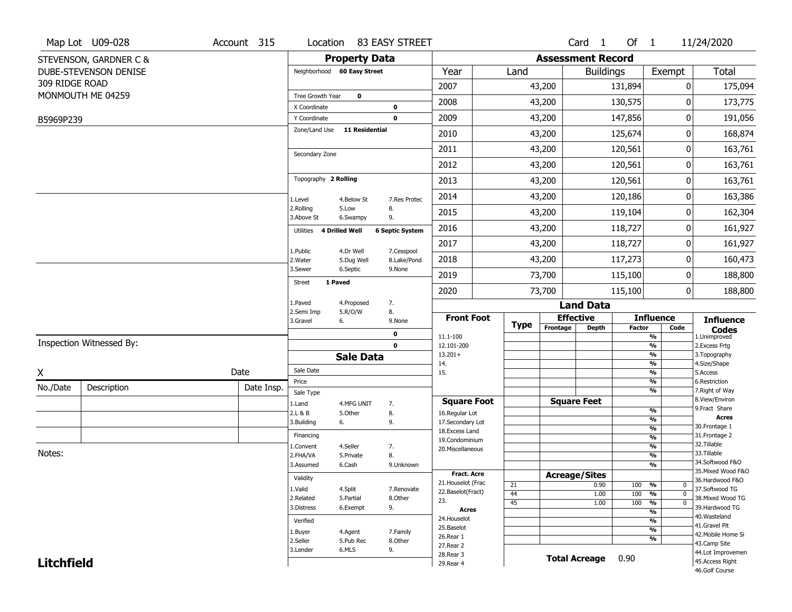|                   | Map Lot U09-028          | Account 315 |                              |                       | Location 83 EASY STREET |                                          |                       |             |                    | Card <sub>1</sub>        | Of $1$        |                                   | 11/24/2020                          |
|-------------------|--------------------------|-------------|------------------------------|-----------------------|-------------------------|------------------------------------------|-----------------------|-------------|--------------------|--------------------------|---------------|-----------------------------------|-------------------------------------|
|                   | STEVENSON, GARDNER C &   |             |                              | <b>Property Data</b>  |                         |                                          |                       |             |                    | <b>Assessment Record</b> |               |                                   |                                     |
|                   | DUBE-STEVENSON DENISE    |             | Neighborhood 60 Easy Street  |                       |                         | Year                                     | Land                  |             |                    | <b>Buildings</b>         |               | Exempt                            | <b>Total</b>                        |
| 309 RIDGE ROAD    |                          |             |                              |                       |                         | 2007                                     |                       | 43,200      |                    |                          | 131,894       | 0                                 | 175,094                             |
|                   | MONMOUTH ME 04259        |             | Tree Growth Year             | $\mathbf 0$           |                         | 2008                                     |                       | 43,200      |                    |                          | 130,575       | 0                                 | 173,775                             |
|                   |                          |             | X Coordinate<br>Y Coordinate |                       | 0<br>$\mathbf 0$        | 2009                                     |                       | 43,200      |                    |                          | 147,856       | 0                                 | 191,056                             |
| B5969P239         |                          |             | Zone/Land Use                | <b>11 Residential</b> |                         |                                          |                       |             |                    |                          |               |                                   |                                     |
|                   |                          |             |                              |                       |                         | 2010                                     |                       | 43,200      |                    |                          | 125,674       | 0                                 | 168,874                             |
|                   |                          |             | Secondary Zone               |                       |                         | 2011                                     |                       | 43,200      |                    |                          | 120,561       | 0                                 | 163,761                             |
|                   |                          |             |                              |                       |                         | 2012                                     |                       | 43,200      |                    |                          | 120,561       | 0                                 | 163,761                             |
|                   |                          |             | Topography 2 Rolling         |                       |                         | 2013                                     |                       | 43,200      |                    |                          | 120,561       | 0                                 | 163,761                             |
|                   |                          |             | 1.Level                      | 4.Below St            | 7.Res Protec            | 2014                                     |                       | 43,200      |                    |                          | 120,186       | 0                                 | 163,386                             |
|                   |                          |             | 2.Rolling<br>3.Above St      | 5.Low<br>6.Swampy     | 8.<br>9.                | 2015                                     |                       | 43,200      |                    |                          | 119,104       | 0                                 | 162,304                             |
|                   |                          |             | 4 Drilled Well<br>Utilities  |                       | <b>6 Septic System</b>  | 2016                                     |                       | 43,200      |                    |                          | 118,727       | 0                                 | 161,927                             |
|                   |                          |             | 1.Public                     | 4.Dr Well             | 7.Cesspool              | 2017                                     |                       | 43,200      |                    |                          | 118,727       | 0                                 | 161,927                             |
|                   |                          |             | 2. Water                     | 5.Dug Well            | 8.Lake/Pond             | 2018                                     |                       | 43,200      |                    |                          | 117,273       | 0                                 | 160,473                             |
|                   |                          |             | 3.Sewer                      | 6.Septic              | 9.None                  | 2019                                     |                       | 73,700      |                    |                          | 115,100       | 0                                 | 188,800                             |
|                   |                          |             | 1 Paved<br><b>Street</b>     |                       |                         | 2020                                     |                       | 73,700      |                    |                          | 115,100       | 0                                 | 188,800                             |
|                   |                          |             | 1.Paved                      | 4.Proposed            | 7.                      |                                          |                       |             |                    | <b>Land Data</b>         |               |                                   |                                     |
|                   |                          |             | 2.Semi Imp<br>3.Gravel<br>6. | 5.R/O/W               | 8.<br>9.None            | <b>Front Foot</b>                        |                       |             | <b>Effective</b>   |                          |               | <b>Influence</b>                  | <b>Influence</b>                    |
|                   |                          |             |                              |                       | 0                       | 11.1-100                                 |                       | <b>Type</b> | Frontage           | <b>Depth</b>             | <b>Factor</b> | Code<br>$\frac{9}{6}$             | <b>Codes</b><br>1.Unimproved        |
|                   | Inspection Witnessed By: |             |                              |                       | $\mathbf{0}$            | 12.101-200                               |                       |             |                    |                          |               | $\frac{9}{6}$                     | 2. Excess Frtg                      |
|                   |                          |             |                              | <b>Sale Data</b>      |                         | $13.201+$<br>14.                         |                       |             |                    |                          |               | $\frac{9}{6}$<br>$\frac{9}{6}$    | 3. Topography<br>4.Size/Shape       |
| X                 |                          | Date        | Sale Date                    |                       |                         | 15.                                      |                       |             |                    |                          |               | $\frac{9}{6}$                     | 5.Access                            |
| No./Date          | Description              | Date Insp.  | Price                        |                       |                         |                                          |                       |             |                    |                          |               | %<br>%                            | 6.Restriction<br>7. Right of Way    |
|                   |                          |             | Sale Type<br>1.Land          | 4.MFG UNIT            | 7.                      | <b>Square Foot</b>                       |                       |             | <b>Square Feet</b> |                          |               |                                   | 8.View/Environ                      |
|                   |                          |             | 2.L & B                      | 5.Other               | 8.                      | 16.Regular Lot                           |                       |             |                    |                          |               | $\frac{9}{6}$                     | 9.Fract Share<br>Acres              |
|                   |                          |             | 3.Building<br>6.             |                       | 9.                      | 17.Secondary Lot                         |                       |             |                    |                          |               | %<br>$\frac{9}{6}$                | 30. Frontage 1                      |
|                   |                          |             | Financing                    |                       |                         | 18.Excess Land<br>19.Condominium         |                       |             |                    |                          |               | $\frac{9}{6}$                     | 31. Frontage 2                      |
|                   |                          |             | 1.Convent                    | 4.Seller              | 7.                      | 20.Miscellaneous                         |                       |             |                    |                          |               | $\frac{9}{6}$                     | 32.Tillable                         |
| Notes:            |                          |             | 2.FHA/VA                     | 5.Private             | 8.                      |                                          |                       |             |                    |                          |               | $\overline{\frac{9}{6}}$          | 33.Tillable<br>34.Softwood F&O      |
|                   |                          |             | 3.Assumed                    | 6.Cash                | 9.Unknown               |                                          |                       |             |                    |                          |               | $\frac{9}{6}$                     | 35. Mixed Wood F&O                  |
|                   |                          |             | Validity                     |                       |                         | <b>Fract. Acre</b><br>21. Houselot (Frac |                       |             |                    | <b>Acreage/Sites</b>     |               |                                   | 36.Hardwood F&O                     |
|                   |                          |             | 1.Valid                      | 4.Split               | 7.Renovate              | 22.Baselot(Fract)                        | 21                    |             |                    | 0.90                     | 100           | %<br>0<br>$\mathbf{0}$            | 37.Softwood TG                      |
|                   |                          |             | 2.Related                    | 5.Partial             | 8.Other                 | 23.                                      | 44<br>$\overline{45}$ |             |                    | 1.00<br>1.00             | 100<br>100    | %<br>$\frac{9}{6}$<br>$\mathbf 0$ | 38. Mixed Wood TG                   |
|                   |                          |             | 3.Distress                   | 6.Exempt              | 9.                      | <b>Acres</b>                             |                       |             |                    |                          |               | $\frac{9}{6}$                     | 39.Hardwood TG                      |
|                   |                          |             | Verified                     |                       |                         | 24. Houselot                             |                       |             |                    |                          |               | $\frac{9}{6}$                     | 40. Wasteland                       |
|                   |                          |             | 1.Buyer                      | 4.Agent               | 7.Family                | 25.Baselot                               |                       |             |                    |                          |               | $\overline{\frac{9}{6}}$          | 41.Gravel Pit<br>42. Mobile Home Si |
|                   |                          |             | 2.Seller                     | 5.Pub Rec             | 8.Other                 | 26.Rear 1                                |                       |             |                    |                          |               | $\frac{9}{6}$                     | 43.Camp Site                        |
|                   |                          |             | 3.Lender                     | 6.MLS                 | 9.                      | 27. Rear 2<br>28. Rear 3                 |                       |             |                    |                          |               |                                   | 44.Lot Improvemen                   |
|                   |                          |             |                              |                       |                         |                                          |                       |             |                    |                          |               |                                   |                                     |
| <b>Litchfield</b> |                          |             |                              |                       |                         | 29. Rear 4                               |                       |             |                    | <b>Total Acreage</b>     | 0.90          |                                   | 45.Access Right<br>46.Golf Course   |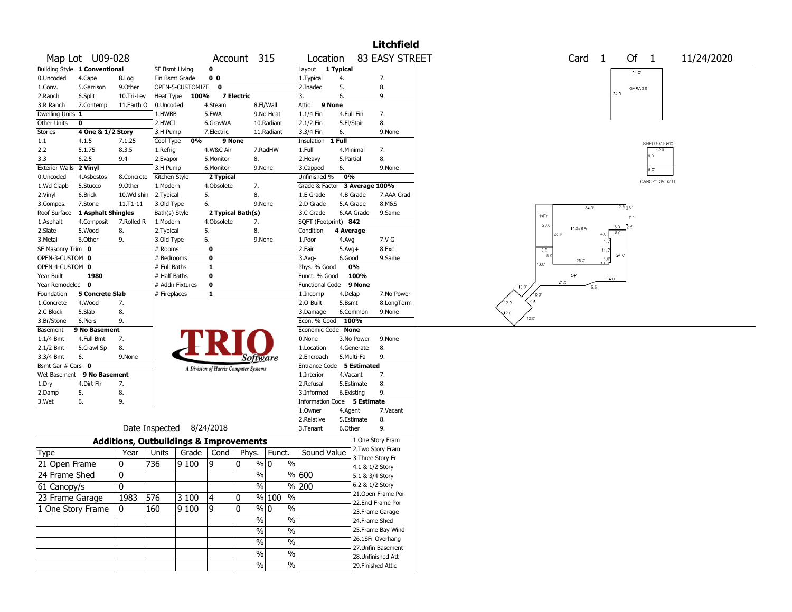|                                |                               |                |                          |                  |                         |                                                   |                   |                      |                 |                 | <b>Litchfield</b>      |                                         |
|--------------------------------|-------------------------------|----------------|--------------------------|------------------|-------------------------|---------------------------------------------------|-------------------|----------------------|-----------------|-----------------|------------------------|-----------------------------------------|
|                                | Map Lot U09-028               |                |                          |                  |                         | Account 315                                       |                   | Location             |                 |                 | <b>83 EASY STREET</b>  | Of 1<br>Card <sub>1</sub><br>11/24/2020 |
|                                | Building Style 1 Conventional |                | SF Bsmt Living           |                  | 0                       |                                                   |                   | Layout               | 1 Typical       |                 |                        | 24.0                                    |
| 0.Uncoded                      | 4.Cape                        | 8.Log          | Fin Bsmt Grade           |                  | 0 <sub>0</sub>          |                                                   |                   | 1. Typical           | 4.              |                 | 7.                     |                                         |
| 1.Conv.                        | 5.Garrison                    | 9.Other        |                          | OPEN-5-CUSTOMIZE | $\bf{0}$                |                                                   |                   | 2.Inadeg             | 5.              |                 | 8.                     | GARAGE                                  |
| 2.Ranch                        | 6.Split                       | 10.Tri-Lev     | Heat Type                | 100%             |                         | 7 Electric                                        | 3.                |                      | 6.              |                 | 9.                     | 24.0                                    |
| 3.R Ranch                      | 7.Contemp                     | 11.Earth O     | 0.Uncoded                |                  | 4.Steam                 | 8.Fl/Wall                                         |                   | 9 None<br>Attic      |                 |                 |                        |                                         |
| Dwelling Units 1               |                               |                | 1.HWBB                   |                  | 5.FWA                   | 9.No Heat                                         |                   | 1.1/4 Fin            | 4.Full Fin      |                 | 7.                     |                                         |
| Other Units                    | 0                             |                | 2.HWCI                   |                  | 6.GravWA                | 10.Radiant                                        |                   | 2.1/2 Fin            | 5.Fl/Stair      |                 | 8.                     |                                         |
| Stories                        | 4 One & 1/2 Story             |                | 3.H Pump                 |                  | 7.Electric              | 11.Radiant                                        |                   | 3.3/4 Fin            | 6.              |                 | 9.None                 |                                         |
| 1.1                            | 4.1.5                         | 7.1.25         | Cool Type                | 0%               | 9 None                  |                                                   |                   | Insulation           | 1 Full          |                 |                        | SHED SV \$600                           |
| 2.2                            | 5.1.75                        | 8.3.5          | 1.Refrig                 |                  | 4.W&C Air               | 7.RadHW                                           |                   | 1.Full               | 4.Minimal       |                 | 7.                     | 12.0                                    |
| 3.3                            | 6.2.5                         | 9.4            | 2.Evapor                 |                  | 5.Monitor-              | 8.                                                |                   | 2. Heavy             | 5.Partial       |                 | 8.                     | 8.0                                     |
| Exterior Walls 2 Vinyl         |                               |                | 3.H Pump                 |                  | 6.Monitor-              | 9.None                                            |                   | 3.Capped             | 6.              |                 | 9.None                 |                                         |
| 0.Uncoded                      | 4.Asbestos                    | 8.Concrete     | Kitchen Style            |                  | 2 Typical               |                                                   |                   | Unfinished %         | 0%              |                 |                        |                                         |
| 1.Wd Clapb                     | 5.Stucco                      | 9.Other        | 1.Modern                 |                  | 4.Obsolete              | 7.                                                |                   | Grade & Factor       |                 |                 | 3 Average 100%         | CANOPY SV \$200                         |
| 2.Vinyl                        | 6.Brick                       | 10.Wd shin     | 2. Typical               |                  | 5.                      | 8.                                                |                   | 1.E Grade            | 4.B Grade       |                 | 7.AAA Grad             |                                         |
| 3.Compos.                      | 7.Stone                       | 11.T1-11       | 3.Old Type               |                  | 6.                      | 9.None                                            |                   | 2.D Grade            | 5.A Grade       |                 | 8.M&S                  |                                         |
| Roof Surface                   | 1 Asphalt Shingles            |                | Bath(s) Style            |                  |                         | 2 Typical Bath(s)                                 |                   | 3.C Grade            | 6.AA Grade      |                 | 9.Same                 | 340'                                    |
| 1.Asphalt                      | 4.Composit                    | 7.Rolled R     | 1.Modern                 |                  | 4.Obsolete              | 7.                                                |                   | SQFT (Footprint) 842 |                 |                 |                        | 1sFr                                    |
| 2.Slate                        | 5.Wood                        | 8.             | 2. Typical               |                  | 5.                      | 8.                                                |                   | Condition            | 4 Average       |                 |                        | 20.0<br>8.0<br>11/2sBFr                 |
| 3.Metal                        | 6.Other                       | 9.             | 3.Old Type               |                  | 6.                      | 9.None                                            |                   | 1.Poor               | 4.Avg           |                 | 7.V G                  | $8.0^{\circ}$<br>4.0<br>28.01           |
| SF Masonry Trim 0              |                               |                | # Rooms                  |                  | $\bf{0}$                |                                                   |                   | 2.Fair               | $5.Avg+$        |                 | 8.Exc                  | 8.C                                     |
| OPEN-3-CUSTOM 0                |                               |                | # Bedrooms               |                  | $\bf{0}$                |                                                   |                   | $3.$ Avg-            | 6.Good          |                 | 9.Same                 | 11.5<br>24.0<br>$1.0^{\circ}$           |
| OPEN-4-CUSTOM 0                |                               |                | # Full Baths             |                  | $\overline{\mathbf{1}}$ |                                                   |                   | Phys. % Good         | 0%              |                 |                        | $26.0^{\circ}$<br>$16.0^{\circ}$        |
| Year Built                     | 1980                          |                | # Half Baths             |                  | $\bf{0}$                |                                                   |                   | Funct. % Good        |                 | 100%            |                        | OP                                      |
| Year Remodeled 0               |                               |                |                          | # Addn Fixtures  | $\bf o$                 |                                                   |                   | Functional Code      |                 | 9 None          |                        | 140'<br>$21.0^{\circ}$                  |
| Foundation                     | <b>5 Concrete Slab</b>        |                | # Fireplaces             |                  | $\mathbf{1}$            |                                                   |                   | 1.Incomp             | 4.Delap         |                 | 7.No Power             | 10.0<br>$5.5^{\circ}$<br>10.0'          |
| 1.Concrete                     | 4.Wood                        | 7.             |                          |                  |                         |                                                   |                   | 2.O-Built            | 5.Bsmt          |                 | 8.LongTerm             | $-5$<br>$12.0^{\circ}$                  |
| 2.C Block                      | 5.Slab                        | 8.             |                          |                  |                         |                                                   |                   | 3.Damage             | 6.Common        |                 | 9.None                 |                                         |
| 3.Br/Stone                     | 6.Piers                       | 9.             |                          |                  |                         |                                                   |                   | Econ. % Good         | 100%            |                 |                        | 12.0"<br>12.0                           |
| Basement                       | 9 No Basement                 |                |                          |                  |                         |                                                   |                   | Economic Code        | <b>None</b>     |                 |                        |                                         |
| 1.1/4 Bmt                      | 4.Full Bmt                    | 7.             |                          |                  |                         |                                                   |                   | 0.None               | 3.No Power      |                 | 9.None                 |                                         |
| 2.1/2 Bmt                      | 5.Crawl Sp                    | 8.             |                          |                  |                         |                                                   |                   | 1.Location           | 4.Generate      |                 | 8.                     |                                         |
|                                |                               | 9.None         |                          |                  |                         |                                                   |                   |                      |                 |                 | 9.                     |                                         |
| 3.3/4 Bmt<br>Bsmt Gar # Cars 0 | 6.                            |                |                          |                  |                         | Software                                          |                   | 2.Encroach           | 5.Multi-Fa      | 5 Estimated     |                        |                                         |
|                                |                               |                |                          |                  |                         | A Division of Harris Computer Systems             |                   | Entrance Code        |                 |                 |                        |                                         |
|                                | Wet Basement 9 No Basement    |                |                          |                  |                         |                                                   |                   | 1.Interior           | 4.Vacant        |                 | 7.                     |                                         |
| 1.Dry                          | 4.Dirt Flr                    | 7.             |                          |                  |                         |                                                   |                   | 2.Refusal            | 5.Estimate      |                 | 8.                     |                                         |
| 2.Damp                         | 5.                            | 8.             |                          |                  |                         |                                                   |                   | 3.Informed           | 6.Existing      |                 | 9.                     |                                         |
| 3.Wet                          | 6.                            | 9.             |                          |                  |                         |                                                   |                   | Information          | Code 5 Estimate |                 |                        |                                         |
|                                |                               |                |                          |                  |                         |                                                   |                   | 1.Owner              | 4.Agent         |                 | 7.Vacant               |                                         |
|                                |                               |                | Date Inspected 8/24/2018 |                  |                         |                                                   |                   | 2.Relative           | 5.Estimate      |                 | 8.                     |                                         |
|                                |                               |                |                          |                  |                         |                                                   |                   | 3.Tenant             | 6.Other         |                 | 9.<br>1.One Story Fram |                                         |
|                                |                               |                |                          |                  |                         | <b>Additions, Outbuildings &amp; Improvements</b> |                   |                      |                 |                 | 2. Two Story Fram      |                                         |
| <b>Type</b>                    |                               | Year           | Units                    | Grade            | Cond                    | Phys.<br>Funct.                                   |                   | Sound Value          |                 |                 | 3. Three Story Fr      |                                         |
| 21 Open Frame                  |                               | 0              | 736                      | 9100             | و                       | % 0<br>0                                          | $\%$              |                      |                 | 4.1 & 1/2 Story |                        |                                         |
| 24 Frame Shed                  |                               | 0              |                          |                  |                         | $\frac{0}{0}$                                     | % 600             |                      |                 | 5.1 & 3/4 Story |                        |                                         |
| 61 Canopy/s                    |                               | $\overline{0}$ |                          |                  |                         | $\frac{9}{6}$                                     | $\frac{9}{6}$ 200 |                      |                 | 6.2 & 1/2 Story |                        |                                         |
|                                |                               |                |                          |                  |                         |                                                   |                   |                      |                 |                 | 21. Open Frame Por     |                                         |
| 23 Frame Garage                |                               | 1983           | 576                      | 3100             | 4                       | % 100 %<br>10                                     |                   |                      |                 |                 | 22.Encl Frame Por      |                                         |
| 1 One Story Frame              |                               | 0              | 160                      | 9 100            | 9                       | 0<br>$\frac{9}{0}$ 0                              | $\frac{0}{0}$     |                      |                 |                 | 23. Frame Garage       |                                         |
|                                |                               |                |                          |                  |                         | $\frac{0}{0}$                                     | $\sqrt{6}$        |                      |                 |                 | 24.Frame Shed          |                                         |
|                                |                               |                |                          |                  |                         | $\%$                                              | $\sqrt{6}$        |                      |                 |                 | 25. Frame Bay Wind     |                                         |
|                                |                               |                |                          |                  |                         |                                                   |                   |                      |                 |                 | 26.1SFr Overhang       |                                         |
|                                |                               |                |                          |                  |                         | $\sqrt{6}$                                        | $\frac{0}{6}$     |                      |                 |                 | 27. Unfin Basement     |                                         |
|                                |                               |                |                          |                  |                         | $\%$                                              | $\sqrt{6}$        |                      |                 |                 | 28. Unfinished Att     |                                         |
|                                |                               |                |                          |                  |                         | $\frac{1}{2}$                                     | $\sqrt{6}$        |                      |                 |                 | 29. Finished Attic     |                                         |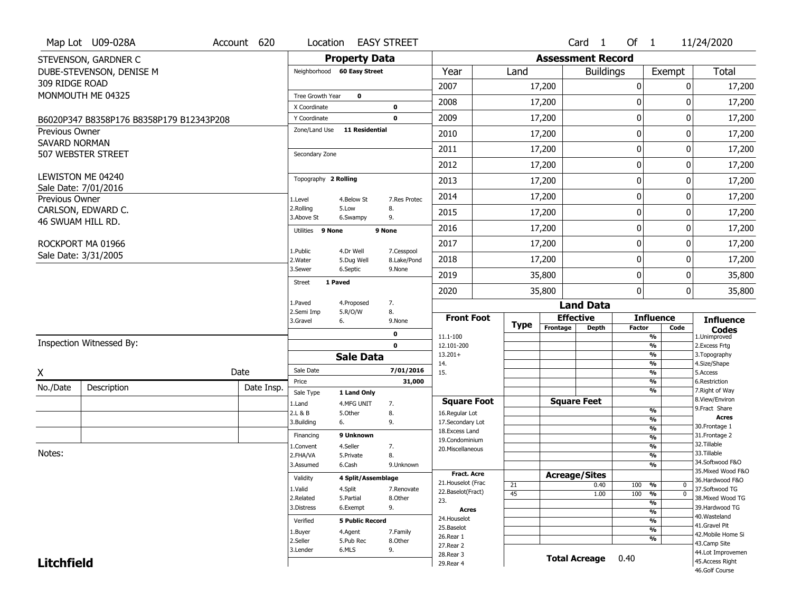|                       | Map Lot U09-028A                         | Account 620 | Location                 |                             | <b>EASY STREET</b>        |                                      |             |          | Card <sub>1</sub>        | Of 1          |                                | 11/24/2020                           |
|-----------------------|------------------------------------------|-------------|--------------------------|-----------------------------|---------------------------|--------------------------------------|-------------|----------|--------------------------|---------------|--------------------------------|--------------------------------------|
|                       | STEVENSON, GARDNER C                     |             |                          | <b>Property Data</b>        |                           |                                      |             |          | <b>Assessment Record</b> |               |                                |                                      |
|                       | DUBE-STEVENSON, DENISE M                 |             |                          | Neighborhood 60 Easy Street |                           | Year                                 | Land        |          | <b>Buildings</b>         |               | Exempt                         | Total                                |
| 309 RIDGE ROAD        |                                          |             |                          |                             |                           | 2007                                 |             | 17,200   |                          | 0             | $\mathbf{0}$                   | 17,200                               |
|                       | MONMOUTH ME 04325                        |             | <b>Tree Growth Year</b>  | $\mathbf 0$                 |                           | 2008                                 |             | 17,200   |                          | 0             | 0                              | 17,200                               |
|                       |                                          |             | X Coordinate             |                             | $\bf{0}$                  |                                      |             |          |                          |               |                                |                                      |
|                       | B6020P347 B8358P176 B8358P179 B12343P208 |             | Y Coordinate             |                             | $\mathbf 0$               | 2009                                 |             | 17,200   |                          | 0             | 0                              | 17,200                               |
| <b>Previous Owner</b> |                                          |             | Zone/Land Use            | <b>11 Residential</b>       |                           | 2010                                 |             | 17,200   |                          | 0             | 0                              | 17,200                               |
| SAVARD NORMAN         | 507 WEBSTER STREET                       |             | Secondary Zone           |                             |                           | 2011                                 |             | 17,200   |                          | 0             | 0                              | 17,200                               |
|                       |                                          |             |                          |                             |                           | 2012                                 |             | 17,200   |                          | 0             | 0                              | 17,200                               |
|                       | LEWISTON ME 04240                        |             | Topography 2 Rolling     |                             |                           | 2013                                 |             | 17,200   |                          | 0             | 0                              | 17,200                               |
| Previous Owner        | Sale Date: 7/01/2016                     |             | 1.Level                  | 4.Below St                  | 7.Res Protec              | 2014                                 |             | 17,200   |                          | 0             | 0                              | 17,200                               |
|                       | CARLSON, EDWARD C.                       |             | 2.Rolling<br>3.Above St  | 5.Low<br>6.Swampy           | 8.<br>9.                  | 2015                                 |             | 17,200   |                          | 0             | $\Omega$                       | 17,200                               |
|                       | 46 SWUAM HILL RD.                        |             | Utilities 9 None         |                             | 9 None                    | 2016                                 |             | 17,200   |                          | 0             | 0                              | 17,200                               |
|                       | ROCKPORT MA 01966                        |             |                          |                             |                           | 2017                                 |             | 17,200   |                          | 0             | 0                              | 17,200                               |
|                       | Sale Date: 3/31/2005                     |             | 1.Public<br>2. Water     | 4.Dr Well<br>5.Dug Well     | 7.Cesspool<br>8.Lake/Pond | 2018                                 |             | 17,200   |                          | 0             | 0                              | 17,200                               |
|                       |                                          |             | 3.Sewer                  | 6.Septic                    | 9.None                    | 2019                                 |             | 35,800   |                          | 0             | 0                              | 35,800                               |
|                       |                                          |             | <b>Street</b><br>1 Paved |                             |                           | 2020                                 |             | 35,800   |                          | 0             | $\mathbf{0}$                   | 35,800                               |
|                       |                                          |             | 1.Paved                  | 4.Proposed                  | 7.                        |                                      |             |          | <b>Land Data</b>         |               |                                |                                      |
|                       |                                          |             | 2.Semi Imp<br>3.Gravel   | 5.R/O/W<br>6.               | 8.<br>9.None              | <b>Front Foot</b>                    |             |          | <b>Effective</b>         |               | <b>Influence</b>               | <b>Influence</b>                     |
|                       |                                          |             |                          |                             | 0                         | 11.1-100                             | <b>Type</b> | Frontage | <b>Depth</b>             | <b>Factor</b> | Code<br>$\frac{9}{6}$          | <b>Codes</b><br>1.Unimproved         |
|                       | <b>Inspection Witnessed By:</b>          |             |                          |                             | $\mathbf 0$               | 12.101-200                           |             |          |                          |               | $\frac{9}{6}$                  | 2.Excess Frtg                        |
|                       |                                          |             |                          | <b>Sale Data</b>            |                           | $13.201+$                            |             |          |                          |               | $\frac{9}{6}$                  | 3. Topography                        |
| X                     |                                          | Date        | Sale Date                |                             | 7/01/2016                 | 14.<br>15.                           |             |          |                          |               | $\frac{9}{6}$<br>$\frac{9}{6}$ | 4.Size/Shape<br>5.Access             |
| No./Date              | Description                              | Date Insp.  | Price                    |                             | 31,000                    |                                      |             |          |                          |               | $\frac{9}{6}$                  | 6.Restriction                        |
|                       |                                          |             | Sale Type                | 1 Land Only                 |                           |                                      |             |          | <b>Square Feet</b>       |               | $\frac{9}{6}$                  | 7. Right of Way<br>8.View/Environ    |
|                       |                                          |             | 1.Land<br>2.L & B        | 4.MFG UNIT<br>5.Other       | 7.<br>8.                  | <b>Square Foot</b><br>16.Regular Lot |             |          |                          |               | $\frac{0}{0}$                  | 9.Fract Share                        |
|                       |                                          |             | 3.Building               | 6.                          | 9.                        | 17.Secondary Lot                     |             |          |                          |               | $\frac{9}{6}$                  | <b>Acres</b>                         |
|                       |                                          |             | Financing                | 9 Unknown                   |                           | 18. Excess Land                      |             |          |                          |               | $\frac{9}{6}$                  | 30. Frontage 1<br>31. Frontage 2     |
|                       |                                          |             | 1.Convent                | 4.Seller                    | 7.                        | 19.Condominium                       |             |          |                          |               | $\frac{9}{6}$<br>$\frac{9}{6}$ | 32. Tillable                         |
| Notes:                |                                          |             | 2.FHA/VA                 | 5.Private                   | 8.                        | 20. Miscellaneous                    |             |          |                          |               | $\frac{9}{6}$                  | 33.Tillable                          |
|                       |                                          |             | 3.Assumed                | 6.Cash                      | 9.Unknown                 |                                      |             |          |                          |               | $\frac{1}{2}$                  | 34.Softwood F&O                      |
|                       |                                          |             | Validity                 | 4 Split/Assemblage          |                           | <b>Fract. Acre</b>                   |             |          | <b>Acreage/Sites</b>     |               |                                | 35. Mixed Wood F&O                   |
|                       |                                          |             | 1.Valid                  | 4.Split                     | 7.Renovate                | 21. Houselot (Frac                   | 21          |          | 0.40                     | 100           | %<br>$\mathbf{0}$              | 36.Hardwood F&O<br>37.Softwood TG    |
|                       |                                          |             | 2.Related                | 5.Partial                   | 8.Other                   | 22.Baselot(Fract)                    | 45          |          | 1.00                     | 100           | $\overline{0}$<br>%            | 38. Mixed Wood TG                    |
|                       |                                          |             | 3.Distress               | 6.Exempt                    | 9.                        | 23.<br>Acres                         |             |          |                          |               | %                              | 39.Hardwood TG                       |
|                       |                                          |             |                          |                             |                           | 24. Houselot                         |             |          |                          |               | $\frac{9}{6}$<br>$\frac{9}{6}$ | 40. Wasteland                        |
|                       |                                          |             | Verified                 | <b>5 Public Record</b>      |                           |                                      |             |          |                          |               |                                | 41.Gravel Pit                        |
|                       |                                          |             |                          |                             |                           | 25.Baselot                           |             |          |                          |               |                                |                                      |
|                       |                                          |             | 1.Buyer                  | 4.Agent                     | 7.Family                  | 26.Rear 1                            |             |          |                          |               | $\frac{9}{6}$<br>%             | 42. Mobile Home Si                   |
|                       |                                          |             | 2.Seller                 | 5.Pub Rec                   | 8.Other                   | 27. Rear 2                           |             |          |                          |               |                                | 43.Camp Site                         |
| <b>Litchfield</b>     |                                          |             | 3.Lender                 | 6.MLS                       | 9.                        | 28. Rear 3<br>29. Rear 4             |             |          | <b>Total Acreage</b>     | 0.40          |                                | 44.Lot Improvemen<br>45.Access Right |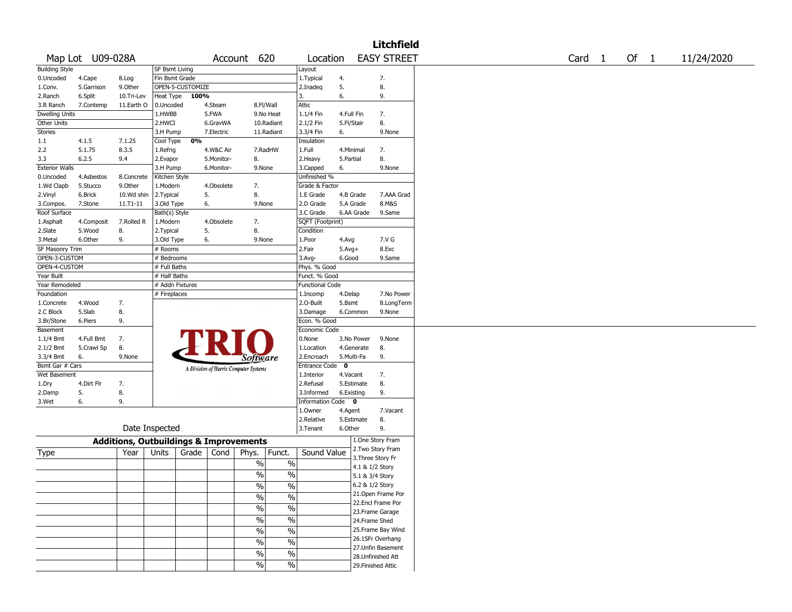| Map Lot U09-028A<br>Account 620<br><b>EASY STREET</b><br>Of $1$<br>11/24/2020<br>Location<br>Card 1<br><b>Building Style</b><br>SF Bsmt Living<br>Layout<br>0.Uncoded<br>4.Cape<br>8.Log<br>Fin Bsmt Grade<br>1. Typical<br>4.<br>7.<br>5.<br>OPEN-5-CUSTOMIZE<br>8.<br>1.Conv.<br>5.Garrison<br>9.0ther<br>2.Inadeq<br>100%<br>6.<br>2.Ranch<br>6.Split<br>10.Tri-Lev<br>Heat Type<br>3.<br>9.<br><b>Attic</b><br>3.R Ranch<br>7.Contemp<br>11.Earth O<br>0.Uncoded<br>4.Steam<br>8.Fl/Wall<br>5.FWA<br>1.1/4 Fin<br>7.<br>Dwelling Units<br>1.HWBB<br>9.No Heat<br>4.Full Fin<br>Other Units<br>2.1/2 Fin<br>8.<br>2.HWCI<br>6.GravWA<br>10.Radiant<br>5.Fl/Stair<br>3.3/4 Fin<br>Stories<br>3.H Pump<br>7.Electric<br>11.Radiant<br>6.<br>9.None<br>0%<br>1.1<br>4.1.5<br>7.1.25<br>Cool Type<br>Insulation<br>5.1.75<br>8.3.5<br>1.Full<br>2.2<br>1.Refrig<br>4.W&C Air<br>7.RadHW<br>4.Minimal<br>7.<br>8.<br>2.Heavy<br>8.<br>3.3<br>6.2.5<br>9.4<br>2.Evapor<br>5.Monitor-<br>5.Partial<br>9.None<br><b>Exterior Walls</b><br>3.H Pump<br>6.Monitor-<br>9.None<br>3.Capped<br>6.<br>Unfinished %<br>0.Uncoded<br>4.Asbestos<br>8.Concrete<br>Kitchen Style<br>1.Wd Clapb<br>5.Stucco<br>9.0ther<br>1.Modern<br>4.Obsolete<br>7.<br>Grade & Factor<br>8.<br>5.<br>2.Vinyl<br>6.Brick<br>10.Wd shin<br>2. Typical<br>1.E Grade<br>4.B Grade<br>7.AAA Grad<br>6.<br>2.D Grade<br>8.M&S<br>7.Stone<br>11.T1-11<br>3.Old Type<br>9.None<br>5.A Grade<br>3.Compos.<br>Roof Surface<br>3.C Grade<br>Bath(s) Style<br>6.AA Grade<br>9.Same<br>1.Asphalt<br>7.Rolled R<br>1.Modern<br>4.Obsolete<br>7.<br>SQFT (Footprint)<br>4.Composit<br>8.<br>8.<br>5.<br>2.Slate<br>5.Wood<br>2. Typical<br>Condition<br>7.V G<br>3.Metal<br>6.Other<br>9.<br>3.Old Type<br>6.<br>9.None<br>1.Poor<br>4.Avg<br>SF Masonry Trim<br># Rooms<br>2.Fair<br>8.Exc<br>$5.Avg+$<br>OPEN-3-CUSTOM<br># Bedrooms<br>3.Avg-<br>6.Good<br>9.Same<br>OPEN-4-CUSTOM<br># Full Baths<br>Phys. % Good<br>Funct. % Good<br>Year Built<br># Half Baths<br># Addn Fixtures<br>Year Remodeled<br><b>Functional Code</b><br>Foundation<br># Fireplaces<br>1.Incomp<br>7.No Power<br>4.Delap<br>2.0-Built<br>8.LongTerm<br>1.Concrete<br>4.Wood<br>7.<br>5.Bsmt<br>8.<br>5.Slab<br>3.Damage<br>2.C Block<br>6.Common<br>9.None<br>Econ. % Good<br>9.<br>3.Br/Stone<br>6.Piers<br>Basement<br>Economic Code<br>0.None<br>1.1/4 Bmt<br>4.Full Bmt<br>7.<br>3.No Power<br>9.None<br>8.<br>2.1/2 Bmt<br>5.Crawl Sp<br>1.Location<br>4.Generate<br>8.<br>6.<br>2.Encroach<br>5.Multi-Fa<br>9.<br>3.3/4 Bmt<br>9.None<br>Software<br>Bsmt Gar # Cars<br>$\mathbf{o}$<br><b>Entrance Code</b><br>A Division of Harris Computer Systems<br>Wet Basement<br>1.Interior<br>4.Vacant<br>7.<br>8.<br>4.Dirt Flr<br>7.<br>2.Refusal<br>5.Estimate<br>1.Dry<br>5.<br>8.<br>9.<br>3.Informed<br>6.Existing<br>2.Damp<br>6.<br>9.<br><b>Information Code</b><br>$\bullet$<br>3.Wet<br>1.Owner<br>4.Agent<br>7.Vacant<br>2.Relative<br>5.Estimate<br>8.<br>Date Inspected<br>9.<br>3.Tenant<br>6.Other<br>1.One Story Fram<br><b>Additions, Outbuildings &amp; Improvements</b><br>2. Two Story Fram<br>Sound Value<br>Units<br>Phys.<br>Funct.<br>Year<br>Grade<br>Cond<br>Type<br>3. Three Story Fr<br>%<br>$\%$<br>4.1 & 1/2 Story<br>%<br>$\%$<br>5.1 & 3/4 Story<br>6.2 & 1/2 Story<br>$\%$<br>$\%$<br>21. Open Frame Por<br>$\sqrt{6}$<br>$\overline{\frac{0}{0}}$<br>22.Encl Frame Por<br>$\overline{\frac{0}{0}}$<br>$\sqrt{6}$<br>23. Frame Garage<br>$\overline{\frac{0}{0}}$<br>$\sqrt{6}$<br>24.Frame Shed<br>25. Frame Bay Wind<br>$\frac{1}{2}$<br>$\overline{\frac{0}{0}}$<br>26.1SFr Overhang<br>$\overline{\frac{0}{0}}$<br>$\%$<br>27.Unfin Basement<br>$\sqrt{6}$<br>$\overline{\frac{0}{6}}$<br>28. Unfinished Att<br>$\frac{1}{2}$<br>$\%$<br>29. Finished Attic |  |  |  |  |  | Litchfield |  |  |  |
|------------------------------------------------------------------------------------------------------------------------------------------------------------------------------------------------------------------------------------------------------------------------------------------------------------------------------------------------------------------------------------------------------------------------------------------------------------------------------------------------------------------------------------------------------------------------------------------------------------------------------------------------------------------------------------------------------------------------------------------------------------------------------------------------------------------------------------------------------------------------------------------------------------------------------------------------------------------------------------------------------------------------------------------------------------------------------------------------------------------------------------------------------------------------------------------------------------------------------------------------------------------------------------------------------------------------------------------------------------------------------------------------------------------------------------------------------------------------------------------------------------------------------------------------------------------------------------------------------------------------------------------------------------------------------------------------------------------------------------------------------------------------------------------------------------------------------------------------------------------------------------------------------------------------------------------------------------------------------------------------------------------------------------------------------------------------------------------------------------------------------------------------------------------------------------------------------------------------------------------------------------------------------------------------------------------------------------------------------------------------------------------------------------------------------------------------------------------------------------------------------------------------------------------------------------------------------------------------------------------------------------------------------------------------------------------------------------------------------------------------------------------------------------------------------------------------------------------------------------------------------------------------------------------------------------------------------------------------------------------------------------------------------------------------------------------------------------------------------------------------------------------------------------------------------------------------------------------------------------------------------------------------------------------------------------------------------------------------------------------------------------------------------------------------------------------------------------------------------------------------------------------------------------------------------------------------------------------------------------------------------------------------------------------------------------------------------------------------------------------------------------------------------------------------------------------------------------|--|--|--|--|--|------------|--|--|--|
|                                                                                                                                                                                                                                                                                                                                                                                                                                                                                                                                                                                                                                                                                                                                                                                                                                                                                                                                                                                                                                                                                                                                                                                                                                                                                                                                                                                                                                                                                                                                                                                                                                                                                                                                                                                                                                                                                                                                                                                                                                                                                                                                                                                                                                                                                                                                                                                                                                                                                                                                                                                                                                                                                                                                                                                                                                                                                                                                                                                                                                                                                                                                                                                                                                                                                                                                                                                                                                                                                                                                                                                                                                                                                                                                                                                                                                    |  |  |  |  |  |            |  |  |  |
|                                                                                                                                                                                                                                                                                                                                                                                                                                                                                                                                                                                                                                                                                                                                                                                                                                                                                                                                                                                                                                                                                                                                                                                                                                                                                                                                                                                                                                                                                                                                                                                                                                                                                                                                                                                                                                                                                                                                                                                                                                                                                                                                                                                                                                                                                                                                                                                                                                                                                                                                                                                                                                                                                                                                                                                                                                                                                                                                                                                                                                                                                                                                                                                                                                                                                                                                                                                                                                                                                                                                                                                                                                                                                                                                                                                                                                    |  |  |  |  |  |            |  |  |  |
|                                                                                                                                                                                                                                                                                                                                                                                                                                                                                                                                                                                                                                                                                                                                                                                                                                                                                                                                                                                                                                                                                                                                                                                                                                                                                                                                                                                                                                                                                                                                                                                                                                                                                                                                                                                                                                                                                                                                                                                                                                                                                                                                                                                                                                                                                                                                                                                                                                                                                                                                                                                                                                                                                                                                                                                                                                                                                                                                                                                                                                                                                                                                                                                                                                                                                                                                                                                                                                                                                                                                                                                                                                                                                                                                                                                                                                    |  |  |  |  |  |            |  |  |  |
|                                                                                                                                                                                                                                                                                                                                                                                                                                                                                                                                                                                                                                                                                                                                                                                                                                                                                                                                                                                                                                                                                                                                                                                                                                                                                                                                                                                                                                                                                                                                                                                                                                                                                                                                                                                                                                                                                                                                                                                                                                                                                                                                                                                                                                                                                                                                                                                                                                                                                                                                                                                                                                                                                                                                                                                                                                                                                                                                                                                                                                                                                                                                                                                                                                                                                                                                                                                                                                                                                                                                                                                                                                                                                                                                                                                                                                    |  |  |  |  |  |            |  |  |  |
|                                                                                                                                                                                                                                                                                                                                                                                                                                                                                                                                                                                                                                                                                                                                                                                                                                                                                                                                                                                                                                                                                                                                                                                                                                                                                                                                                                                                                                                                                                                                                                                                                                                                                                                                                                                                                                                                                                                                                                                                                                                                                                                                                                                                                                                                                                                                                                                                                                                                                                                                                                                                                                                                                                                                                                                                                                                                                                                                                                                                                                                                                                                                                                                                                                                                                                                                                                                                                                                                                                                                                                                                                                                                                                                                                                                                                                    |  |  |  |  |  |            |  |  |  |
|                                                                                                                                                                                                                                                                                                                                                                                                                                                                                                                                                                                                                                                                                                                                                                                                                                                                                                                                                                                                                                                                                                                                                                                                                                                                                                                                                                                                                                                                                                                                                                                                                                                                                                                                                                                                                                                                                                                                                                                                                                                                                                                                                                                                                                                                                                                                                                                                                                                                                                                                                                                                                                                                                                                                                                                                                                                                                                                                                                                                                                                                                                                                                                                                                                                                                                                                                                                                                                                                                                                                                                                                                                                                                                                                                                                                                                    |  |  |  |  |  |            |  |  |  |
|                                                                                                                                                                                                                                                                                                                                                                                                                                                                                                                                                                                                                                                                                                                                                                                                                                                                                                                                                                                                                                                                                                                                                                                                                                                                                                                                                                                                                                                                                                                                                                                                                                                                                                                                                                                                                                                                                                                                                                                                                                                                                                                                                                                                                                                                                                                                                                                                                                                                                                                                                                                                                                                                                                                                                                                                                                                                                                                                                                                                                                                                                                                                                                                                                                                                                                                                                                                                                                                                                                                                                                                                                                                                                                                                                                                                                                    |  |  |  |  |  |            |  |  |  |
|                                                                                                                                                                                                                                                                                                                                                                                                                                                                                                                                                                                                                                                                                                                                                                                                                                                                                                                                                                                                                                                                                                                                                                                                                                                                                                                                                                                                                                                                                                                                                                                                                                                                                                                                                                                                                                                                                                                                                                                                                                                                                                                                                                                                                                                                                                                                                                                                                                                                                                                                                                                                                                                                                                                                                                                                                                                                                                                                                                                                                                                                                                                                                                                                                                                                                                                                                                                                                                                                                                                                                                                                                                                                                                                                                                                                                                    |  |  |  |  |  |            |  |  |  |
|                                                                                                                                                                                                                                                                                                                                                                                                                                                                                                                                                                                                                                                                                                                                                                                                                                                                                                                                                                                                                                                                                                                                                                                                                                                                                                                                                                                                                                                                                                                                                                                                                                                                                                                                                                                                                                                                                                                                                                                                                                                                                                                                                                                                                                                                                                                                                                                                                                                                                                                                                                                                                                                                                                                                                                                                                                                                                                                                                                                                                                                                                                                                                                                                                                                                                                                                                                                                                                                                                                                                                                                                                                                                                                                                                                                                                                    |  |  |  |  |  |            |  |  |  |
|                                                                                                                                                                                                                                                                                                                                                                                                                                                                                                                                                                                                                                                                                                                                                                                                                                                                                                                                                                                                                                                                                                                                                                                                                                                                                                                                                                                                                                                                                                                                                                                                                                                                                                                                                                                                                                                                                                                                                                                                                                                                                                                                                                                                                                                                                                                                                                                                                                                                                                                                                                                                                                                                                                                                                                                                                                                                                                                                                                                                                                                                                                                                                                                                                                                                                                                                                                                                                                                                                                                                                                                                                                                                                                                                                                                                                                    |  |  |  |  |  |            |  |  |  |
|                                                                                                                                                                                                                                                                                                                                                                                                                                                                                                                                                                                                                                                                                                                                                                                                                                                                                                                                                                                                                                                                                                                                                                                                                                                                                                                                                                                                                                                                                                                                                                                                                                                                                                                                                                                                                                                                                                                                                                                                                                                                                                                                                                                                                                                                                                                                                                                                                                                                                                                                                                                                                                                                                                                                                                                                                                                                                                                                                                                                                                                                                                                                                                                                                                                                                                                                                                                                                                                                                                                                                                                                                                                                                                                                                                                                                                    |  |  |  |  |  |            |  |  |  |
|                                                                                                                                                                                                                                                                                                                                                                                                                                                                                                                                                                                                                                                                                                                                                                                                                                                                                                                                                                                                                                                                                                                                                                                                                                                                                                                                                                                                                                                                                                                                                                                                                                                                                                                                                                                                                                                                                                                                                                                                                                                                                                                                                                                                                                                                                                                                                                                                                                                                                                                                                                                                                                                                                                                                                                                                                                                                                                                                                                                                                                                                                                                                                                                                                                                                                                                                                                                                                                                                                                                                                                                                                                                                                                                                                                                                                                    |  |  |  |  |  |            |  |  |  |
|                                                                                                                                                                                                                                                                                                                                                                                                                                                                                                                                                                                                                                                                                                                                                                                                                                                                                                                                                                                                                                                                                                                                                                                                                                                                                                                                                                                                                                                                                                                                                                                                                                                                                                                                                                                                                                                                                                                                                                                                                                                                                                                                                                                                                                                                                                                                                                                                                                                                                                                                                                                                                                                                                                                                                                                                                                                                                                                                                                                                                                                                                                                                                                                                                                                                                                                                                                                                                                                                                                                                                                                                                                                                                                                                                                                                                                    |  |  |  |  |  |            |  |  |  |
|                                                                                                                                                                                                                                                                                                                                                                                                                                                                                                                                                                                                                                                                                                                                                                                                                                                                                                                                                                                                                                                                                                                                                                                                                                                                                                                                                                                                                                                                                                                                                                                                                                                                                                                                                                                                                                                                                                                                                                                                                                                                                                                                                                                                                                                                                                                                                                                                                                                                                                                                                                                                                                                                                                                                                                                                                                                                                                                                                                                                                                                                                                                                                                                                                                                                                                                                                                                                                                                                                                                                                                                                                                                                                                                                                                                                                                    |  |  |  |  |  |            |  |  |  |
|                                                                                                                                                                                                                                                                                                                                                                                                                                                                                                                                                                                                                                                                                                                                                                                                                                                                                                                                                                                                                                                                                                                                                                                                                                                                                                                                                                                                                                                                                                                                                                                                                                                                                                                                                                                                                                                                                                                                                                                                                                                                                                                                                                                                                                                                                                                                                                                                                                                                                                                                                                                                                                                                                                                                                                                                                                                                                                                                                                                                                                                                                                                                                                                                                                                                                                                                                                                                                                                                                                                                                                                                                                                                                                                                                                                                                                    |  |  |  |  |  |            |  |  |  |
|                                                                                                                                                                                                                                                                                                                                                                                                                                                                                                                                                                                                                                                                                                                                                                                                                                                                                                                                                                                                                                                                                                                                                                                                                                                                                                                                                                                                                                                                                                                                                                                                                                                                                                                                                                                                                                                                                                                                                                                                                                                                                                                                                                                                                                                                                                                                                                                                                                                                                                                                                                                                                                                                                                                                                                                                                                                                                                                                                                                                                                                                                                                                                                                                                                                                                                                                                                                                                                                                                                                                                                                                                                                                                                                                                                                                                                    |  |  |  |  |  |            |  |  |  |
|                                                                                                                                                                                                                                                                                                                                                                                                                                                                                                                                                                                                                                                                                                                                                                                                                                                                                                                                                                                                                                                                                                                                                                                                                                                                                                                                                                                                                                                                                                                                                                                                                                                                                                                                                                                                                                                                                                                                                                                                                                                                                                                                                                                                                                                                                                                                                                                                                                                                                                                                                                                                                                                                                                                                                                                                                                                                                                                                                                                                                                                                                                                                                                                                                                                                                                                                                                                                                                                                                                                                                                                                                                                                                                                                                                                                                                    |  |  |  |  |  |            |  |  |  |
|                                                                                                                                                                                                                                                                                                                                                                                                                                                                                                                                                                                                                                                                                                                                                                                                                                                                                                                                                                                                                                                                                                                                                                                                                                                                                                                                                                                                                                                                                                                                                                                                                                                                                                                                                                                                                                                                                                                                                                                                                                                                                                                                                                                                                                                                                                                                                                                                                                                                                                                                                                                                                                                                                                                                                                                                                                                                                                                                                                                                                                                                                                                                                                                                                                                                                                                                                                                                                                                                                                                                                                                                                                                                                                                                                                                                                                    |  |  |  |  |  |            |  |  |  |
|                                                                                                                                                                                                                                                                                                                                                                                                                                                                                                                                                                                                                                                                                                                                                                                                                                                                                                                                                                                                                                                                                                                                                                                                                                                                                                                                                                                                                                                                                                                                                                                                                                                                                                                                                                                                                                                                                                                                                                                                                                                                                                                                                                                                                                                                                                                                                                                                                                                                                                                                                                                                                                                                                                                                                                                                                                                                                                                                                                                                                                                                                                                                                                                                                                                                                                                                                                                                                                                                                                                                                                                                                                                                                                                                                                                                                                    |  |  |  |  |  |            |  |  |  |
|                                                                                                                                                                                                                                                                                                                                                                                                                                                                                                                                                                                                                                                                                                                                                                                                                                                                                                                                                                                                                                                                                                                                                                                                                                                                                                                                                                                                                                                                                                                                                                                                                                                                                                                                                                                                                                                                                                                                                                                                                                                                                                                                                                                                                                                                                                                                                                                                                                                                                                                                                                                                                                                                                                                                                                                                                                                                                                                                                                                                                                                                                                                                                                                                                                                                                                                                                                                                                                                                                                                                                                                                                                                                                                                                                                                                                                    |  |  |  |  |  |            |  |  |  |
|                                                                                                                                                                                                                                                                                                                                                                                                                                                                                                                                                                                                                                                                                                                                                                                                                                                                                                                                                                                                                                                                                                                                                                                                                                                                                                                                                                                                                                                                                                                                                                                                                                                                                                                                                                                                                                                                                                                                                                                                                                                                                                                                                                                                                                                                                                                                                                                                                                                                                                                                                                                                                                                                                                                                                                                                                                                                                                                                                                                                                                                                                                                                                                                                                                                                                                                                                                                                                                                                                                                                                                                                                                                                                                                                                                                                                                    |  |  |  |  |  |            |  |  |  |
|                                                                                                                                                                                                                                                                                                                                                                                                                                                                                                                                                                                                                                                                                                                                                                                                                                                                                                                                                                                                                                                                                                                                                                                                                                                                                                                                                                                                                                                                                                                                                                                                                                                                                                                                                                                                                                                                                                                                                                                                                                                                                                                                                                                                                                                                                                                                                                                                                                                                                                                                                                                                                                                                                                                                                                                                                                                                                                                                                                                                                                                                                                                                                                                                                                                                                                                                                                                                                                                                                                                                                                                                                                                                                                                                                                                                                                    |  |  |  |  |  |            |  |  |  |
|                                                                                                                                                                                                                                                                                                                                                                                                                                                                                                                                                                                                                                                                                                                                                                                                                                                                                                                                                                                                                                                                                                                                                                                                                                                                                                                                                                                                                                                                                                                                                                                                                                                                                                                                                                                                                                                                                                                                                                                                                                                                                                                                                                                                                                                                                                                                                                                                                                                                                                                                                                                                                                                                                                                                                                                                                                                                                                                                                                                                                                                                                                                                                                                                                                                                                                                                                                                                                                                                                                                                                                                                                                                                                                                                                                                                                                    |  |  |  |  |  |            |  |  |  |
|                                                                                                                                                                                                                                                                                                                                                                                                                                                                                                                                                                                                                                                                                                                                                                                                                                                                                                                                                                                                                                                                                                                                                                                                                                                                                                                                                                                                                                                                                                                                                                                                                                                                                                                                                                                                                                                                                                                                                                                                                                                                                                                                                                                                                                                                                                                                                                                                                                                                                                                                                                                                                                                                                                                                                                                                                                                                                                                                                                                                                                                                                                                                                                                                                                                                                                                                                                                                                                                                                                                                                                                                                                                                                                                                                                                                                                    |  |  |  |  |  |            |  |  |  |
|                                                                                                                                                                                                                                                                                                                                                                                                                                                                                                                                                                                                                                                                                                                                                                                                                                                                                                                                                                                                                                                                                                                                                                                                                                                                                                                                                                                                                                                                                                                                                                                                                                                                                                                                                                                                                                                                                                                                                                                                                                                                                                                                                                                                                                                                                                                                                                                                                                                                                                                                                                                                                                                                                                                                                                                                                                                                                                                                                                                                                                                                                                                                                                                                                                                                                                                                                                                                                                                                                                                                                                                                                                                                                                                                                                                                                                    |  |  |  |  |  |            |  |  |  |
|                                                                                                                                                                                                                                                                                                                                                                                                                                                                                                                                                                                                                                                                                                                                                                                                                                                                                                                                                                                                                                                                                                                                                                                                                                                                                                                                                                                                                                                                                                                                                                                                                                                                                                                                                                                                                                                                                                                                                                                                                                                                                                                                                                                                                                                                                                                                                                                                                                                                                                                                                                                                                                                                                                                                                                                                                                                                                                                                                                                                                                                                                                                                                                                                                                                                                                                                                                                                                                                                                                                                                                                                                                                                                                                                                                                                                                    |  |  |  |  |  |            |  |  |  |
|                                                                                                                                                                                                                                                                                                                                                                                                                                                                                                                                                                                                                                                                                                                                                                                                                                                                                                                                                                                                                                                                                                                                                                                                                                                                                                                                                                                                                                                                                                                                                                                                                                                                                                                                                                                                                                                                                                                                                                                                                                                                                                                                                                                                                                                                                                                                                                                                                                                                                                                                                                                                                                                                                                                                                                                                                                                                                                                                                                                                                                                                                                                                                                                                                                                                                                                                                                                                                                                                                                                                                                                                                                                                                                                                                                                                                                    |  |  |  |  |  |            |  |  |  |
|                                                                                                                                                                                                                                                                                                                                                                                                                                                                                                                                                                                                                                                                                                                                                                                                                                                                                                                                                                                                                                                                                                                                                                                                                                                                                                                                                                                                                                                                                                                                                                                                                                                                                                                                                                                                                                                                                                                                                                                                                                                                                                                                                                                                                                                                                                                                                                                                                                                                                                                                                                                                                                                                                                                                                                                                                                                                                                                                                                                                                                                                                                                                                                                                                                                                                                                                                                                                                                                                                                                                                                                                                                                                                                                                                                                                                                    |  |  |  |  |  |            |  |  |  |
|                                                                                                                                                                                                                                                                                                                                                                                                                                                                                                                                                                                                                                                                                                                                                                                                                                                                                                                                                                                                                                                                                                                                                                                                                                                                                                                                                                                                                                                                                                                                                                                                                                                                                                                                                                                                                                                                                                                                                                                                                                                                                                                                                                                                                                                                                                                                                                                                                                                                                                                                                                                                                                                                                                                                                                                                                                                                                                                                                                                                                                                                                                                                                                                                                                                                                                                                                                                                                                                                                                                                                                                                                                                                                                                                                                                                                                    |  |  |  |  |  |            |  |  |  |
|                                                                                                                                                                                                                                                                                                                                                                                                                                                                                                                                                                                                                                                                                                                                                                                                                                                                                                                                                                                                                                                                                                                                                                                                                                                                                                                                                                                                                                                                                                                                                                                                                                                                                                                                                                                                                                                                                                                                                                                                                                                                                                                                                                                                                                                                                                                                                                                                                                                                                                                                                                                                                                                                                                                                                                                                                                                                                                                                                                                                                                                                                                                                                                                                                                                                                                                                                                                                                                                                                                                                                                                                                                                                                                                                                                                                                                    |  |  |  |  |  |            |  |  |  |
|                                                                                                                                                                                                                                                                                                                                                                                                                                                                                                                                                                                                                                                                                                                                                                                                                                                                                                                                                                                                                                                                                                                                                                                                                                                                                                                                                                                                                                                                                                                                                                                                                                                                                                                                                                                                                                                                                                                                                                                                                                                                                                                                                                                                                                                                                                                                                                                                                                                                                                                                                                                                                                                                                                                                                                                                                                                                                                                                                                                                                                                                                                                                                                                                                                                                                                                                                                                                                                                                                                                                                                                                                                                                                                                                                                                                                                    |  |  |  |  |  |            |  |  |  |
|                                                                                                                                                                                                                                                                                                                                                                                                                                                                                                                                                                                                                                                                                                                                                                                                                                                                                                                                                                                                                                                                                                                                                                                                                                                                                                                                                                                                                                                                                                                                                                                                                                                                                                                                                                                                                                                                                                                                                                                                                                                                                                                                                                                                                                                                                                                                                                                                                                                                                                                                                                                                                                                                                                                                                                                                                                                                                                                                                                                                                                                                                                                                                                                                                                                                                                                                                                                                                                                                                                                                                                                                                                                                                                                                                                                                                                    |  |  |  |  |  |            |  |  |  |
|                                                                                                                                                                                                                                                                                                                                                                                                                                                                                                                                                                                                                                                                                                                                                                                                                                                                                                                                                                                                                                                                                                                                                                                                                                                                                                                                                                                                                                                                                                                                                                                                                                                                                                                                                                                                                                                                                                                                                                                                                                                                                                                                                                                                                                                                                                                                                                                                                                                                                                                                                                                                                                                                                                                                                                                                                                                                                                                                                                                                                                                                                                                                                                                                                                                                                                                                                                                                                                                                                                                                                                                                                                                                                                                                                                                                                                    |  |  |  |  |  |            |  |  |  |
|                                                                                                                                                                                                                                                                                                                                                                                                                                                                                                                                                                                                                                                                                                                                                                                                                                                                                                                                                                                                                                                                                                                                                                                                                                                                                                                                                                                                                                                                                                                                                                                                                                                                                                                                                                                                                                                                                                                                                                                                                                                                                                                                                                                                                                                                                                                                                                                                                                                                                                                                                                                                                                                                                                                                                                                                                                                                                                                                                                                                                                                                                                                                                                                                                                                                                                                                                                                                                                                                                                                                                                                                                                                                                                                                                                                                                                    |  |  |  |  |  |            |  |  |  |
|                                                                                                                                                                                                                                                                                                                                                                                                                                                                                                                                                                                                                                                                                                                                                                                                                                                                                                                                                                                                                                                                                                                                                                                                                                                                                                                                                                                                                                                                                                                                                                                                                                                                                                                                                                                                                                                                                                                                                                                                                                                                                                                                                                                                                                                                                                                                                                                                                                                                                                                                                                                                                                                                                                                                                                                                                                                                                                                                                                                                                                                                                                                                                                                                                                                                                                                                                                                                                                                                                                                                                                                                                                                                                                                                                                                                                                    |  |  |  |  |  |            |  |  |  |
|                                                                                                                                                                                                                                                                                                                                                                                                                                                                                                                                                                                                                                                                                                                                                                                                                                                                                                                                                                                                                                                                                                                                                                                                                                                                                                                                                                                                                                                                                                                                                                                                                                                                                                                                                                                                                                                                                                                                                                                                                                                                                                                                                                                                                                                                                                                                                                                                                                                                                                                                                                                                                                                                                                                                                                                                                                                                                                                                                                                                                                                                                                                                                                                                                                                                                                                                                                                                                                                                                                                                                                                                                                                                                                                                                                                                                                    |  |  |  |  |  |            |  |  |  |
|                                                                                                                                                                                                                                                                                                                                                                                                                                                                                                                                                                                                                                                                                                                                                                                                                                                                                                                                                                                                                                                                                                                                                                                                                                                                                                                                                                                                                                                                                                                                                                                                                                                                                                                                                                                                                                                                                                                                                                                                                                                                                                                                                                                                                                                                                                                                                                                                                                                                                                                                                                                                                                                                                                                                                                                                                                                                                                                                                                                                                                                                                                                                                                                                                                                                                                                                                                                                                                                                                                                                                                                                                                                                                                                                                                                                                                    |  |  |  |  |  |            |  |  |  |
|                                                                                                                                                                                                                                                                                                                                                                                                                                                                                                                                                                                                                                                                                                                                                                                                                                                                                                                                                                                                                                                                                                                                                                                                                                                                                                                                                                                                                                                                                                                                                                                                                                                                                                                                                                                                                                                                                                                                                                                                                                                                                                                                                                                                                                                                                                                                                                                                                                                                                                                                                                                                                                                                                                                                                                                                                                                                                                                                                                                                                                                                                                                                                                                                                                                                                                                                                                                                                                                                                                                                                                                                                                                                                                                                                                                                                                    |  |  |  |  |  |            |  |  |  |
|                                                                                                                                                                                                                                                                                                                                                                                                                                                                                                                                                                                                                                                                                                                                                                                                                                                                                                                                                                                                                                                                                                                                                                                                                                                                                                                                                                                                                                                                                                                                                                                                                                                                                                                                                                                                                                                                                                                                                                                                                                                                                                                                                                                                                                                                                                                                                                                                                                                                                                                                                                                                                                                                                                                                                                                                                                                                                                                                                                                                                                                                                                                                                                                                                                                                                                                                                                                                                                                                                                                                                                                                                                                                                                                                                                                                                                    |  |  |  |  |  |            |  |  |  |
|                                                                                                                                                                                                                                                                                                                                                                                                                                                                                                                                                                                                                                                                                                                                                                                                                                                                                                                                                                                                                                                                                                                                                                                                                                                                                                                                                                                                                                                                                                                                                                                                                                                                                                                                                                                                                                                                                                                                                                                                                                                                                                                                                                                                                                                                                                                                                                                                                                                                                                                                                                                                                                                                                                                                                                                                                                                                                                                                                                                                                                                                                                                                                                                                                                                                                                                                                                                                                                                                                                                                                                                                                                                                                                                                                                                                                                    |  |  |  |  |  |            |  |  |  |
|                                                                                                                                                                                                                                                                                                                                                                                                                                                                                                                                                                                                                                                                                                                                                                                                                                                                                                                                                                                                                                                                                                                                                                                                                                                                                                                                                                                                                                                                                                                                                                                                                                                                                                                                                                                                                                                                                                                                                                                                                                                                                                                                                                                                                                                                                                                                                                                                                                                                                                                                                                                                                                                                                                                                                                                                                                                                                                                                                                                                                                                                                                                                                                                                                                                                                                                                                                                                                                                                                                                                                                                                                                                                                                                                                                                                                                    |  |  |  |  |  |            |  |  |  |
|                                                                                                                                                                                                                                                                                                                                                                                                                                                                                                                                                                                                                                                                                                                                                                                                                                                                                                                                                                                                                                                                                                                                                                                                                                                                                                                                                                                                                                                                                                                                                                                                                                                                                                                                                                                                                                                                                                                                                                                                                                                                                                                                                                                                                                                                                                                                                                                                                                                                                                                                                                                                                                                                                                                                                                                                                                                                                                                                                                                                                                                                                                                                                                                                                                                                                                                                                                                                                                                                                                                                                                                                                                                                                                                                                                                                                                    |  |  |  |  |  |            |  |  |  |
|                                                                                                                                                                                                                                                                                                                                                                                                                                                                                                                                                                                                                                                                                                                                                                                                                                                                                                                                                                                                                                                                                                                                                                                                                                                                                                                                                                                                                                                                                                                                                                                                                                                                                                                                                                                                                                                                                                                                                                                                                                                                                                                                                                                                                                                                                                                                                                                                                                                                                                                                                                                                                                                                                                                                                                                                                                                                                                                                                                                                                                                                                                                                                                                                                                                                                                                                                                                                                                                                                                                                                                                                                                                                                                                                                                                                                                    |  |  |  |  |  |            |  |  |  |
|                                                                                                                                                                                                                                                                                                                                                                                                                                                                                                                                                                                                                                                                                                                                                                                                                                                                                                                                                                                                                                                                                                                                                                                                                                                                                                                                                                                                                                                                                                                                                                                                                                                                                                                                                                                                                                                                                                                                                                                                                                                                                                                                                                                                                                                                                                                                                                                                                                                                                                                                                                                                                                                                                                                                                                                                                                                                                                                                                                                                                                                                                                                                                                                                                                                                                                                                                                                                                                                                                                                                                                                                                                                                                                                                                                                                                                    |  |  |  |  |  |            |  |  |  |
|                                                                                                                                                                                                                                                                                                                                                                                                                                                                                                                                                                                                                                                                                                                                                                                                                                                                                                                                                                                                                                                                                                                                                                                                                                                                                                                                                                                                                                                                                                                                                                                                                                                                                                                                                                                                                                                                                                                                                                                                                                                                                                                                                                                                                                                                                                                                                                                                                                                                                                                                                                                                                                                                                                                                                                                                                                                                                                                                                                                                                                                                                                                                                                                                                                                                                                                                                                                                                                                                                                                                                                                                                                                                                                                                                                                                                                    |  |  |  |  |  |            |  |  |  |
|                                                                                                                                                                                                                                                                                                                                                                                                                                                                                                                                                                                                                                                                                                                                                                                                                                                                                                                                                                                                                                                                                                                                                                                                                                                                                                                                                                                                                                                                                                                                                                                                                                                                                                                                                                                                                                                                                                                                                                                                                                                                                                                                                                                                                                                                                                                                                                                                                                                                                                                                                                                                                                                                                                                                                                                                                                                                                                                                                                                                                                                                                                                                                                                                                                                                                                                                                                                                                                                                                                                                                                                                                                                                                                                                                                                                                                    |  |  |  |  |  |            |  |  |  |
|                                                                                                                                                                                                                                                                                                                                                                                                                                                                                                                                                                                                                                                                                                                                                                                                                                                                                                                                                                                                                                                                                                                                                                                                                                                                                                                                                                                                                                                                                                                                                                                                                                                                                                                                                                                                                                                                                                                                                                                                                                                                                                                                                                                                                                                                                                                                                                                                                                                                                                                                                                                                                                                                                                                                                                                                                                                                                                                                                                                                                                                                                                                                                                                                                                                                                                                                                                                                                                                                                                                                                                                                                                                                                                                                                                                                                                    |  |  |  |  |  |            |  |  |  |
|                                                                                                                                                                                                                                                                                                                                                                                                                                                                                                                                                                                                                                                                                                                                                                                                                                                                                                                                                                                                                                                                                                                                                                                                                                                                                                                                                                                                                                                                                                                                                                                                                                                                                                                                                                                                                                                                                                                                                                                                                                                                                                                                                                                                                                                                                                                                                                                                                                                                                                                                                                                                                                                                                                                                                                                                                                                                                                                                                                                                                                                                                                                                                                                                                                                                                                                                                                                                                                                                                                                                                                                                                                                                                                                                                                                                                                    |  |  |  |  |  |            |  |  |  |
|                                                                                                                                                                                                                                                                                                                                                                                                                                                                                                                                                                                                                                                                                                                                                                                                                                                                                                                                                                                                                                                                                                                                                                                                                                                                                                                                                                                                                                                                                                                                                                                                                                                                                                                                                                                                                                                                                                                                                                                                                                                                                                                                                                                                                                                                                                                                                                                                                                                                                                                                                                                                                                                                                                                                                                                                                                                                                                                                                                                                                                                                                                                                                                                                                                                                                                                                                                                                                                                                                                                                                                                                                                                                                                                                                                                                                                    |  |  |  |  |  |            |  |  |  |
|                                                                                                                                                                                                                                                                                                                                                                                                                                                                                                                                                                                                                                                                                                                                                                                                                                                                                                                                                                                                                                                                                                                                                                                                                                                                                                                                                                                                                                                                                                                                                                                                                                                                                                                                                                                                                                                                                                                                                                                                                                                                                                                                                                                                                                                                                                                                                                                                                                                                                                                                                                                                                                                                                                                                                                                                                                                                                                                                                                                                                                                                                                                                                                                                                                                                                                                                                                                                                                                                                                                                                                                                                                                                                                                                                                                                                                    |  |  |  |  |  |            |  |  |  |
|                                                                                                                                                                                                                                                                                                                                                                                                                                                                                                                                                                                                                                                                                                                                                                                                                                                                                                                                                                                                                                                                                                                                                                                                                                                                                                                                                                                                                                                                                                                                                                                                                                                                                                                                                                                                                                                                                                                                                                                                                                                                                                                                                                                                                                                                                                                                                                                                                                                                                                                                                                                                                                                                                                                                                                                                                                                                                                                                                                                                                                                                                                                                                                                                                                                                                                                                                                                                                                                                                                                                                                                                                                                                                                                                                                                                                                    |  |  |  |  |  |            |  |  |  |
|                                                                                                                                                                                                                                                                                                                                                                                                                                                                                                                                                                                                                                                                                                                                                                                                                                                                                                                                                                                                                                                                                                                                                                                                                                                                                                                                                                                                                                                                                                                                                                                                                                                                                                                                                                                                                                                                                                                                                                                                                                                                                                                                                                                                                                                                                                                                                                                                                                                                                                                                                                                                                                                                                                                                                                                                                                                                                                                                                                                                                                                                                                                                                                                                                                                                                                                                                                                                                                                                                                                                                                                                                                                                                                                                                                                                                                    |  |  |  |  |  |            |  |  |  |
|                                                                                                                                                                                                                                                                                                                                                                                                                                                                                                                                                                                                                                                                                                                                                                                                                                                                                                                                                                                                                                                                                                                                                                                                                                                                                                                                                                                                                                                                                                                                                                                                                                                                                                                                                                                                                                                                                                                                                                                                                                                                                                                                                                                                                                                                                                                                                                                                                                                                                                                                                                                                                                                                                                                                                                                                                                                                                                                                                                                                                                                                                                                                                                                                                                                                                                                                                                                                                                                                                                                                                                                                                                                                                                                                                                                                                                    |  |  |  |  |  |            |  |  |  |
|                                                                                                                                                                                                                                                                                                                                                                                                                                                                                                                                                                                                                                                                                                                                                                                                                                                                                                                                                                                                                                                                                                                                                                                                                                                                                                                                                                                                                                                                                                                                                                                                                                                                                                                                                                                                                                                                                                                                                                                                                                                                                                                                                                                                                                                                                                                                                                                                                                                                                                                                                                                                                                                                                                                                                                                                                                                                                                                                                                                                                                                                                                                                                                                                                                                                                                                                                                                                                                                                                                                                                                                                                                                                                                                                                                                                                                    |  |  |  |  |  |            |  |  |  |
|                                                                                                                                                                                                                                                                                                                                                                                                                                                                                                                                                                                                                                                                                                                                                                                                                                                                                                                                                                                                                                                                                                                                                                                                                                                                                                                                                                                                                                                                                                                                                                                                                                                                                                                                                                                                                                                                                                                                                                                                                                                                                                                                                                                                                                                                                                                                                                                                                                                                                                                                                                                                                                                                                                                                                                                                                                                                                                                                                                                                                                                                                                                                                                                                                                                                                                                                                                                                                                                                                                                                                                                                                                                                                                                                                                                                                                    |  |  |  |  |  |            |  |  |  |
|                                                                                                                                                                                                                                                                                                                                                                                                                                                                                                                                                                                                                                                                                                                                                                                                                                                                                                                                                                                                                                                                                                                                                                                                                                                                                                                                                                                                                                                                                                                                                                                                                                                                                                                                                                                                                                                                                                                                                                                                                                                                                                                                                                                                                                                                                                                                                                                                                                                                                                                                                                                                                                                                                                                                                                                                                                                                                                                                                                                                                                                                                                                                                                                                                                                                                                                                                                                                                                                                                                                                                                                                                                                                                                                                                                                                                                    |  |  |  |  |  |            |  |  |  |
|                                                                                                                                                                                                                                                                                                                                                                                                                                                                                                                                                                                                                                                                                                                                                                                                                                                                                                                                                                                                                                                                                                                                                                                                                                                                                                                                                                                                                                                                                                                                                                                                                                                                                                                                                                                                                                                                                                                                                                                                                                                                                                                                                                                                                                                                                                                                                                                                                                                                                                                                                                                                                                                                                                                                                                                                                                                                                                                                                                                                                                                                                                                                                                                                                                                                                                                                                                                                                                                                                                                                                                                                                                                                                                                                                                                                                                    |  |  |  |  |  |            |  |  |  |
|                                                                                                                                                                                                                                                                                                                                                                                                                                                                                                                                                                                                                                                                                                                                                                                                                                                                                                                                                                                                                                                                                                                                                                                                                                                                                                                                                                                                                                                                                                                                                                                                                                                                                                                                                                                                                                                                                                                                                                                                                                                                                                                                                                                                                                                                                                                                                                                                                                                                                                                                                                                                                                                                                                                                                                                                                                                                                                                                                                                                                                                                                                                                                                                                                                                                                                                                                                                                                                                                                                                                                                                                                                                                                                                                                                                                                                    |  |  |  |  |  |            |  |  |  |
|                                                                                                                                                                                                                                                                                                                                                                                                                                                                                                                                                                                                                                                                                                                                                                                                                                                                                                                                                                                                                                                                                                                                                                                                                                                                                                                                                                                                                                                                                                                                                                                                                                                                                                                                                                                                                                                                                                                                                                                                                                                                                                                                                                                                                                                                                                                                                                                                                                                                                                                                                                                                                                                                                                                                                                                                                                                                                                                                                                                                                                                                                                                                                                                                                                                                                                                                                                                                                                                                                                                                                                                                                                                                                                                                                                                                                                    |  |  |  |  |  |            |  |  |  |
|                                                                                                                                                                                                                                                                                                                                                                                                                                                                                                                                                                                                                                                                                                                                                                                                                                                                                                                                                                                                                                                                                                                                                                                                                                                                                                                                                                                                                                                                                                                                                                                                                                                                                                                                                                                                                                                                                                                                                                                                                                                                                                                                                                                                                                                                                                                                                                                                                                                                                                                                                                                                                                                                                                                                                                                                                                                                                                                                                                                                                                                                                                                                                                                                                                                                                                                                                                                                                                                                                                                                                                                                                                                                                                                                                                                                                                    |  |  |  |  |  |            |  |  |  |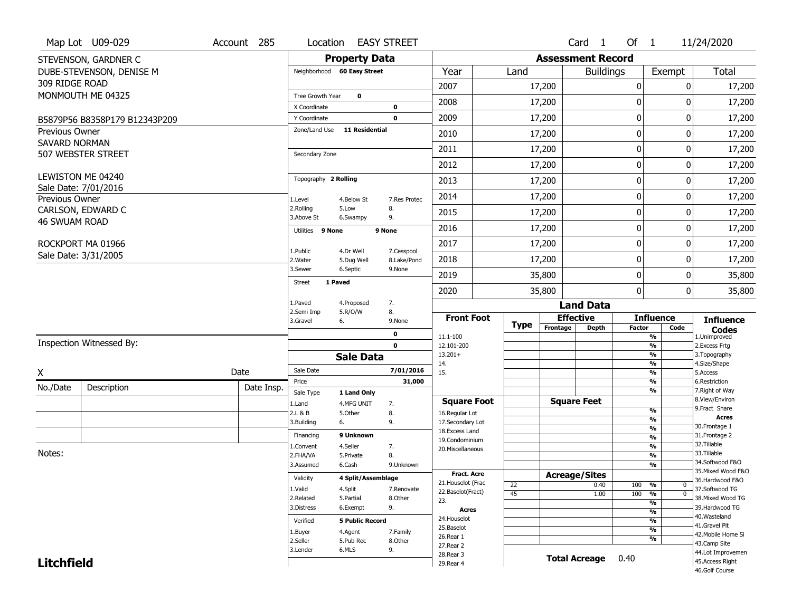|                       | Map Lot U09-029                           | Account 285 | Location                    |                        | <b>EASY STREET</b>        |                                    |             |                          | Card 1           | Of $1$        |                                | 11/24/2020                          |
|-----------------------|-------------------------------------------|-------------|-----------------------------|------------------------|---------------------------|------------------------------------|-------------|--------------------------|------------------|---------------|--------------------------------|-------------------------------------|
|                       | STEVENSON, GARDNER C                      |             |                             | <b>Property Data</b>   |                           |                                    |             | <b>Assessment Record</b> |                  |               |                                |                                     |
|                       | DUBE-STEVENSON, DENISE M                  |             | Neighborhood 60 Easy Street |                        |                           | Year                               | Land        |                          | <b>Buildings</b> |               | Exempt                         | <b>Total</b>                        |
| 309 RIDGE ROAD        |                                           |             |                             |                        |                           | 2007                               |             | 17,200                   |                  | 0             | 0                              | 17,200                              |
|                       | MONMOUTH ME 04325                         |             | Tree Growth Year            | $\mathbf 0$            |                           |                                    |             |                          |                  |               |                                |                                     |
|                       |                                           |             | X Coordinate                |                        | $\mathbf 0$               | 2008                               |             | 17,200                   |                  | 0             | 0                              | 17,200                              |
|                       | B5879P56 B8358P179 B12343P209             |             | Y Coordinate                |                        | $\mathbf 0$               | 2009                               |             | 17,200                   |                  | 0             | 0                              | 17,200                              |
| <b>Previous Owner</b> |                                           |             | Zone/Land Use               | <b>11 Residential</b>  |                           | 2010                               |             | 17,200                   |                  | 0             | $\Omega$                       | 17,200                              |
| <b>SAVARD NORMAN</b>  | 507 WEBSTER STREET                        |             | Secondary Zone              |                        |                           | 2011                               |             | 17,200                   |                  | 0             | 0                              | 17,200                              |
|                       |                                           |             |                             |                        |                           | 2012                               |             | 17,200                   |                  | 0             | 0                              | 17,200                              |
|                       | LEWISTON ME 04240<br>Sale Date: 7/01/2016 |             | Topography 2 Rolling        |                        |                           | 2013                               |             | 17,200                   |                  | 0             | $\Omega$                       | 17,200                              |
| Previous Owner        |                                           |             | 1.Level                     | 4.Below St             | 7.Res Protec              | 2014                               |             | 17,200                   |                  | 0             | 0                              | 17,200                              |
|                       | CARLSON, EDWARD C                         |             | 2.Rolling<br>3.Above St     | 5.Low<br>6.Swampy      | 8.<br>9.                  | 2015                               |             | 17,200                   |                  | 0             | 0                              | 17,200                              |
| <b>46 SWUAM ROAD</b>  |                                           |             | Utilities 9 None            |                        | 9 None                    | 2016                               |             | 17,200                   |                  | 0             | 0                              | 17,200                              |
|                       | ROCKPORT MA 01966                         |             |                             | 4.Dr Well              |                           | 2017                               |             | 17,200                   |                  | 0             | 0                              | 17,200                              |
|                       | Sale Date: 3/31/2005                      |             | 1.Public<br>2. Water        | 5.Dug Well             | 7.Cesspool<br>8.Lake/Pond | 2018                               |             | 17,200                   |                  | 0             | 0                              | 17,200                              |
|                       |                                           |             | 3.Sewer                     | 6.Septic               | 9.None                    | 2019                               |             | 35,800                   |                  | 0             | 0                              | 35,800                              |
|                       |                                           |             | 1 Paved<br><b>Street</b>    |                        |                           | 2020                               |             | 35,800                   |                  | 0             | 0                              | 35,800                              |
|                       |                                           |             | 1.Paved                     | 4.Proposed             | 7.                        |                                    |             |                          | <b>Land Data</b> |               |                                |                                     |
|                       |                                           |             | 2.Semi Imp<br>3.Gravel      | 5.R/O/W<br>6.          | 8.<br>9.None              | <b>Front Foot</b>                  |             | <b>Effective</b>         |                  |               | <b>Influence</b>               | <b>Influence</b>                    |
|                       |                                           |             |                             |                        | $\mathbf 0$               | 11.1-100                           | <b>Type</b> | Frontage                 | <b>Depth</b>     | <b>Factor</b> | Code<br>%                      | <b>Codes</b><br>1.Unimproved        |
|                       | Inspection Witnessed By:                  |             |                             |                        | $\mathbf 0$               | 12.101-200                         |             |                          |                  |               | %                              | 2. Excess Frtg                      |
|                       |                                           |             |                             | <b>Sale Data</b>       |                           | $13.201+$                          |             |                          |                  |               | %                              | 3. Topography                       |
| X                     |                                           | Date        | Sale Date                   |                        | 7/01/2016                 | 14.<br>15.                         |             |                          |                  |               | %<br>%                         | 4.Size/Shape<br>5.Access            |
| No./Date              |                                           | Date Insp.  | Price                       |                        | 31,000                    |                                    |             |                          |                  |               | %                              | 6.Restriction                       |
|                       | Description                               |             | Sale Type                   | 1 Land Only            |                           |                                    |             |                          |                  |               | %                              | 7. Right of Way<br>8.View/Environ   |
|                       |                                           |             | 1.Land                      | 4.MFG UNIT             | 7.                        | <b>Square Foot</b>                 |             | <b>Square Feet</b>       |                  |               | $\frac{9}{6}$                  | 9. Fract Share                      |
|                       |                                           |             | 2.L & B<br>3.Building       | 5.0ther<br>6.          | 8.<br>9.                  | 16.Regular Lot<br>17.Secondary Lot |             |                          |                  |               | $\frac{9}{6}$                  | <b>Acres</b>                        |
|                       |                                           |             |                             |                        |                           | 18. Excess Land                    |             |                          |                  |               | $\frac{9}{6}$                  | 30.Frontage 1                       |
|                       |                                           |             | Financing                   | 9 Unknown              |                           | 19.Condominium                     |             |                          |                  |               | $\frac{9}{6}$                  | 31. Frontage 2<br>32.Tillable       |
| Notes:                |                                           |             | 1.Convent<br>2.FHA/VA       | 4.Seller<br>5.Private  | 7.<br>8.                  | 20.Miscellaneous                   |             |                          |                  |               | $\frac{9}{6}$<br>$\frac{9}{6}$ | 33.Tillable                         |
|                       |                                           |             | 3.Assumed                   | 6.Cash                 | 9.Unknown                 |                                    |             |                          |                  |               | $\%$                           | 34.Softwood F&O                     |
|                       |                                           |             |                             |                        |                           | <b>Fract. Acre</b>                 |             | <b>Acreage/Sites</b>     |                  |               |                                | 35. Mixed Wood F&O                  |
|                       |                                           |             | Validity                    | 4 Split/Assemblage     |                           | 21. Houselot (Frac                 | 22          |                          | 0.40             | 100           | %<br>0                         | 36.Hardwood F&O                     |
|                       |                                           |             | 1.Valid                     | 4.Split                | 7.Renovate                | 22.Baselot(Fract)                  | 45          |                          | 1.00             | 100           | $\overline{0}$<br>%            | 37.Softwood TG                      |
|                       |                                           |             | 2.Related<br>3.Distress     | 5.Partial<br>6.Exempt  | 8.Other<br>9.             | 23.                                |             |                          |                  |               | $\frac{9}{6}$                  | 38. Mixed Wood TG<br>39.Hardwood TG |
|                       |                                           |             |                             |                        |                           | <b>Acres</b>                       |             |                          |                  |               | $\frac{9}{6}$                  | 40. Wasteland                       |
|                       |                                           |             | Verified                    | <b>5 Public Record</b> |                           | 24. Houselot<br>25.Baselot         |             |                          |                  |               | $\frac{9}{6}$                  | 41.Gravel Pit                       |
|                       |                                           |             | 1.Buyer                     | 4.Agent                | 7.Family                  | 26.Rear 1                          |             |                          |                  |               | $\frac{9}{6}$<br>$\frac{9}{6}$ | 42. Mobile Home Si                  |
|                       |                                           |             | 2.Seller                    | 5.Pub Rec              | 8.0ther                   | 27.Rear 2                          |             |                          |                  |               |                                | 43.Camp Site                        |
|                       |                                           |             | 3.Lender                    | 6.MLS                  | 9.                        | 28. Rear 3                         |             | <b>Total Acreage</b>     |                  | 0.40          |                                | 44.Lot Improvemen                   |
| <b>Litchfield</b>     |                                           |             |                             |                        |                           | 29. Rear 4                         |             |                          |                  |               |                                | 45.Access Right<br>46.Golf Course   |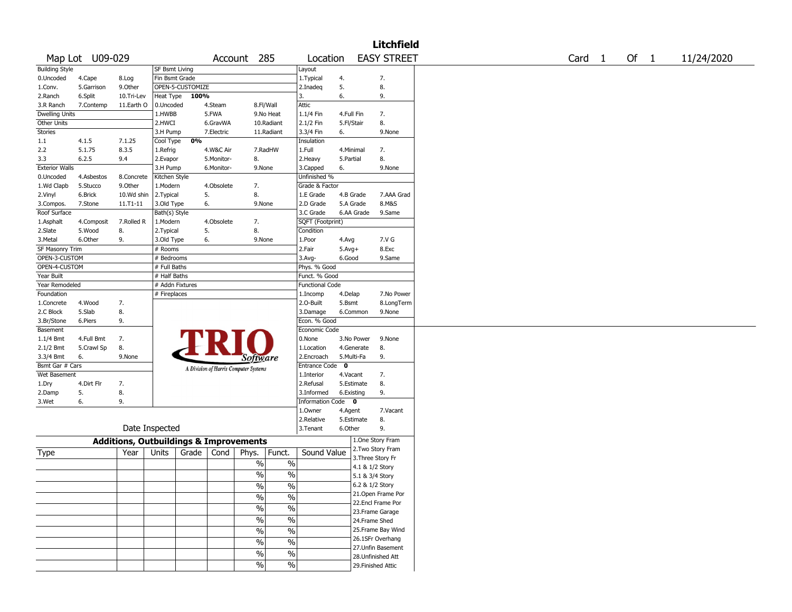|                              |                  |                                                   |                       |       |            |                                       |               |                                    |                          | Litchfield         |                   |        |            |
|------------------------------|------------------|---------------------------------------------------|-----------------------|-------|------------|---------------------------------------|---------------|------------------------------------|--------------------------|--------------------|-------------------|--------|------------|
|                              | Map Lot U09-029  |                                                   |                       |       |            | Account 285                           |               | Location                           |                          | <b>EASY STREET</b> | Card <sub>1</sub> | Of $1$ | 11/24/2020 |
| <b>Building Style</b>        |                  |                                                   | <b>SF Bsmt Living</b> |       |            |                                       |               | Layout                             |                          |                    |                   |        |            |
| 0.Uncoded                    | 4.Cape           | 8.Log                                             | Fin Bsmt Grade        |       |            |                                       |               | 1. Typical                         | 4.                       | 7.                 |                   |        |            |
| 1.Conv.                      | 5.Garrison       | 9.0ther                                           | OPEN-5-CUSTOMIZE      |       |            |                                       |               | 2.Inadeq                           | 5.                       | 8.                 |                   |        |            |
| 2.Ranch                      | 6.Split          | 10.Tri-Lev                                        | Heat Type             | 100%  |            |                                       |               | 3.                                 | 6.                       | 9.                 |                   |        |            |
| 3.R Ranch                    | 7.Contemp        | 11.Earth O                                        | 0.Uncoded             |       | 4.Steam    | 8.Fl/Wall                             |               | Attic                              |                          |                    |                   |        |            |
| Dwelling Units               |                  |                                                   | 1.HWBB                |       | 5.FWA      |                                       | 9.No Heat     | 1.1/4 Fin                          | 4.Full Fin               | 7.                 |                   |        |            |
| Other Units                  |                  |                                                   | 2.HWCI                |       | 6.GravWA   |                                       | 10.Radiant    | 2.1/2 Fin                          | 5.Fl/Stair               | 8.                 |                   |        |            |
| <b>Stories</b>               |                  |                                                   | 3.H Pump              |       | 7.Electric |                                       | 11.Radiant    | 3.3/4 Fin                          | 6.                       | 9.None             |                   |        |            |
| 1.1                          | 4.1.5            | 7.1.25                                            | Cool Type             | 0%    |            |                                       |               | Insulation                         |                          |                    |                   |        |            |
| 2.2                          | 5.1.75           | 8.3.5                                             | 1.Refrig              |       | 4.W&C Air  |                                       | 7.RadHW       | 1.Full                             | 4.Minimal                | 7.                 |                   |        |            |
| 3.3                          | 6.2.5            | 9.4                                               | 2.Evapor              |       | 5.Monitor- | 8.                                    |               | 2. Heavy                           | 5.Partial                | 8.                 |                   |        |            |
| <b>Exterior Walls</b>        |                  |                                                   | 3.H Pump              |       | 6.Monitor- | 9.None                                |               | 3.Capped                           | 6.                       | 9.None             |                   |        |            |
| 0.Uncoded                    | 4.Asbestos       | 8.Concrete                                        | Kitchen Style         |       |            |                                       |               | Unfinished %                       |                          |                    |                   |        |            |
| 1.Wd Clapb                   | 5.Stucco         | 9.Other                                           | 1.Modern              |       | 4.Obsolete | 7.                                    |               | Grade & Factor                     |                          |                    |                   |        |            |
| 2.Vinyl                      | 6.Brick          | 10.Wd shin                                        | 2.Typical             | 5.    |            | 8.                                    |               | 1.E Grade                          | 4.B Grade                | 7.AAA Grad         |                   |        |            |
| 3.Compos.                    | 7.Stone          | 11.T1-11                                          | 3.Old Type            | 6.    |            | 9.None                                |               | 2.D Grade                          | 5.A Grade                | 8.M&S              |                   |        |            |
| Roof Surface                 |                  |                                                   | Bath(s) Style         |       |            |                                       |               | 3.C Grade                          | 6.AA Grade               | 9.Same             |                   |        |            |
| 1.Asphalt                    | 4.Composit       | 7.Rolled R                                        | 1.Modern              |       | 4.Obsolete | 7.                                    |               | SQFT (Footprint)                   |                          |                    |                   |        |            |
| 2.Slate                      | 5.Wood           | 8.                                                | 2.Typical             | 5.    |            | 8.                                    |               | Condition                          |                          |                    |                   |        |            |
| 3.Metal                      | 6.Other          | 9.                                                | 3.Old Type            | 6.    |            | 9.None                                |               | 1.Poor                             | 4.Avg                    | 7.V G              |                   |        |            |
| SF Masonry Trim              |                  |                                                   | # Rooms               |       |            |                                       |               | 2.Fair                             | $5.Avg+$                 | 8.Exc              |                   |        |            |
| OPEN-3-CUSTOM                |                  |                                                   | # Bedrooms            |       |            |                                       |               | $3.$ Avg-                          | 6.Good                   | 9.Same             |                   |        |            |
| OPEN-4-CUSTOM                |                  |                                                   | # Full Baths          |       |            |                                       |               | Phys. % Good                       |                          |                    |                   |        |            |
| Year Built                   |                  |                                                   | # Half Baths          |       |            |                                       |               | Funct. % Good                      |                          |                    |                   |        |            |
| Year Remodeled               |                  |                                                   | # Addn Fixtures       |       |            |                                       |               | <b>Functional Code</b>             |                          |                    |                   |        |            |
| Foundation                   |                  |                                                   | # Fireplaces          |       |            |                                       |               | 1.Incomp                           | 4.Delap                  | 7.No Power         |                   |        |            |
| 1.Concrete                   | 4.Wood           | 7.                                                |                       |       |            |                                       |               | 2.0-Built                          | 5.Bsmt                   | 8.LongTerm         |                   |        |            |
| 2.C Block                    | 5.Slab           | 8.                                                |                       |       |            |                                       |               | 3.Damage                           | 6.Common                 | 9.None             |                   |        |            |
| 3.Br/Stone                   | 6.Piers          | 9.                                                |                       |       |            |                                       |               | Econ. % Good                       |                          |                    |                   |        |            |
| Basement                     |                  |                                                   |                       |       |            |                                       |               | Economic Code                      |                          |                    |                   |        |            |
|                              | 4.Full Bmt       | 7.                                                |                       |       |            |                                       |               | 0.None                             | 3.No Power               | 9.None             |                   |        |            |
| 1.1/4 Bmt                    |                  |                                                   |                       |       |            |                                       |               |                                    |                          |                    |                   |        |            |
| 2.1/2 Bmt                    | 5.Crawl Sp<br>6. | 8.<br>9.None                                      |                       |       |            |                                       |               | 1.Location<br>2.Encroach           | 4.Generate<br>5.Multi-Fa | 8.<br>9.           |                   |        |            |
| 3.3/4 Bmt<br>Bsmt Gar # Cars |                  |                                                   |                       |       |            | Software                              |               |                                    | $\mathbf{o}$             |                    |                   |        |            |
| Wet Basement                 |                  |                                                   |                       |       |            | A Division of Harris Computer Systems |               | <b>Entrance Code</b><br>1.Interior | 4.Vacant                 | 7.                 |                   |        |            |
|                              | 4.Dirt Flr       |                                                   |                       |       |            |                                       |               | 2.Refusal                          | 5.Estimate               | 8.                 |                   |        |            |
| 1.Dry                        |                  | 7.                                                |                       |       |            |                                       |               |                                    |                          | 9.                 |                   |        |            |
| 2.Damp                       | 5.<br>6.         | 8.<br>9.                                          |                       |       |            |                                       |               | 3.Informed                         | 6.Existing               |                    |                   |        |            |
| 3.Wet                        |                  |                                                   |                       |       |            |                                       |               | Information Code 0                 |                          |                    |                   |        |            |
|                              |                  |                                                   |                       |       |            |                                       |               | 1.Owner                            | 4.Agent                  | 7.Vacant           |                   |        |            |
|                              |                  | Date Inspected                                    |                       |       |            |                                       |               | 2.Relative                         | 5.Estimate               | 8.                 |                   |        |            |
|                              |                  |                                                   |                       |       |            |                                       |               | 3. Tenant                          | 6.Other                  | 9.                 |                   |        |            |
|                              |                  | <b>Additions, Outbuildings &amp; Improvements</b> |                       |       |            |                                       |               |                                    |                          | 1.One Story Fram   |                   |        |            |
| Type                         |                  | Year                                              | Units                 | Grade | Cond       | Phys.                                 | Funct.        | Sound Value                        |                          | 2. Two Story Fram  |                   |        |            |
|                              |                  |                                                   |                       |       |            | $\%$                                  | $\%$          |                                    |                          | 3. Three Story Fr  |                   |        |            |
|                              |                  |                                                   |                       |       |            |                                       |               |                                    |                          | 4.1 & 1/2 Story    |                   |        |            |
|                              |                  |                                                   |                       |       |            | %                                     | %             |                                    |                          | 5.1 & 3/4 Story    |                   |        |            |
|                              |                  |                                                   |                       |       |            | $\sqrt{6}$                            | $\%$          |                                    |                          | 6.2 & 1/2 Story    |                   |        |            |
|                              |                  |                                                   |                       |       |            | $\frac{1}{2}$                         | $\frac{1}{2}$ |                                    |                          | 21. Open Frame Por |                   |        |            |
|                              |                  |                                                   |                       |       |            |                                       |               |                                    |                          | 22.Encl Frame Por  |                   |        |            |
|                              |                  |                                                   |                       |       |            | $\sqrt{6}$                            | $\frac{0}{6}$ |                                    |                          | 23. Frame Garage   |                   |        |            |
|                              |                  |                                                   |                       |       |            | $\frac{1}{2}$                         | $\frac{0}{6}$ |                                    |                          | 24.Frame Shed      |                   |        |            |
|                              |                  |                                                   |                       |       |            | $\frac{0}{6}$                         | $\frac{0}{6}$ |                                    |                          | 25. Frame Bay Wind |                   |        |            |
|                              |                  |                                                   |                       |       |            | $\%$                                  | $\frac{1}{2}$ |                                    |                          | 26.1SFr Overhang   |                   |        |            |
|                              |                  |                                                   |                       |       |            |                                       |               |                                    |                          | 27.Unfin Basement  |                   |        |            |
|                              |                  |                                                   |                       |       |            | $\%$                                  | $\frac{1}{2}$ |                                    |                          | 28.Unfinished Att  |                   |        |            |
|                              |                  |                                                   |                       |       |            | $\frac{9}{6}$                         | $\%$          |                                    |                          | 29. Finished Attic |                   |        |            |
|                              |                  |                                                   |                       |       |            |                                       |               |                                    |                          |                    |                   |        |            |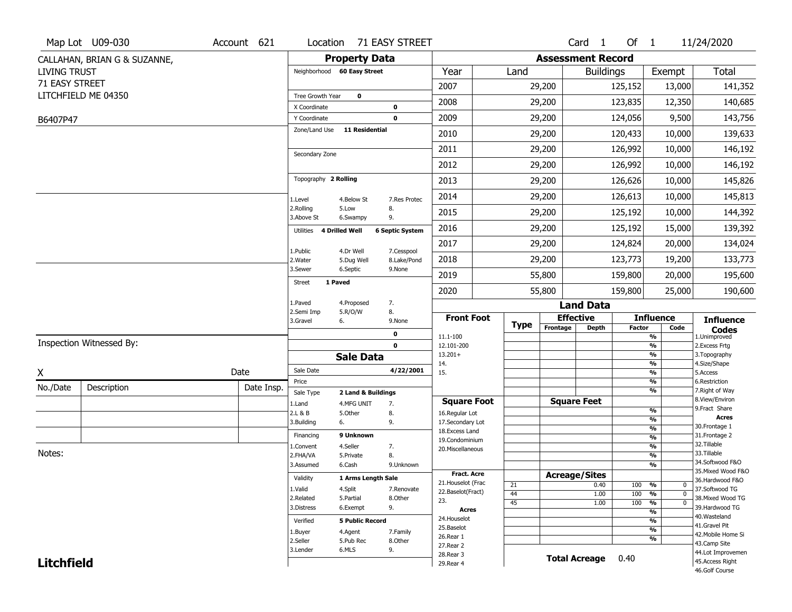|                     | Map Lot U09-030              | Account 621          |                              |                        | Location 71 EASY STREET |                                    |             |                          | Card <sub>1</sub>    | Of 1          |                                | 11/24/2020                          |
|---------------------|------------------------------|----------------------|------------------------------|------------------------|-------------------------|------------------------------------|-------------|--------------------------|----------------------|---------------|--------------------------------|-------------------------------------|
|                     | CALLAHAN, BRIAN G & SUZANNE, |                      |                              | <b>Property Data</b>   |                         |                                    |             | <b>Assessment Record</b> |                      |               |                                |                                     |
| <b>LIVING TRUST</b> |                              |                      | Neighborhood 60 Easy Street  |                        |                         | Year                               | Land        |                          | <b>Buildings</b>     |               | Exempt                         | <b>Total</b>                        |
| 71 EASY STREET      |                              |                      |                              |                        |                         | 2007                               |             | 29,200                   |                      | 125,152       | 13,000                         | 141,352                             |
|                     | LITCHFIELD ME 04350          |                      | Tree Growth Year             | $\mathbf 0$            |                         |                                    |             |                          |                      |               |                                |                                     |
|                     |                              |                      | X Coordinate                 |                        | 0                       | 2008                               |             | 29,200                   |                      | 123,835       | 12,350                         | 140,685                             |
| B6407P47            |                              |                      | Y Coordinate                 |                        | 0                       | 2009                               |             | 29,200                   |                      | 124,056       | 9,500                          | 143,756                             |
|                     |                              |                      | Zone/Land Use                | <b>11 Residential</b>  |                         | 2010                               |             | 29,200                   |                      | 120,433       | 10,000                         | 139,633                             |
|                     |                              |                      | Secondary Zone               |                        |                         | 2011                               |             | 29,200                   |                      | 126,992       | 10,000                         | 146,192                             |
|                     |                              |                      |                              |                        |                         | 2012                               |             | 29,200                   |                      | 126,992       | 10,000                         | 146,192                             |
|                     |                              |                      | Topography 2 Rolling         |                        |                         | 2013                               |             | 29,200                   |                      | 126,626       | 10,000                         | 145,826                             |
|                     |                              |                      | 1.Level                      | 4.Below St             | 7.Res Protec            | 2014                               |             | 29,200                   |                      | 126,613       | 10,000                         | 145,813                             |
|                     |                              |                      | 2.Rolling<br>3.Above St      | 5.Low<br>6.Swampy      | 8.<br>9.                | 2015                               |             | 29,200                   |                      | 125,192       | 10,000                         | 144,392                             |
|                     |                              |                      | 4 Drilled Well<br>Utilities  |                        | <b>6 Septic System</b>  | 2016                               |             | 29,200                   |                      | 125,192       | 15,000                         | 139,392                             |
|                     |                              |                      | 1.Public                     | 4.Dr Well              | 7.Cesspool              | 2017                               |             | 29,200                   |                      | 124,824       | 20,000                         | 134,024                             |
|                     |                              |                      | 2. Water                     | 5.Dug Well             | 8.Lake/Pond             | 2018                               |             | 29,200                   |                      | 123,773       | 19,200                         | 133,773                             |
|                     |                              |                      | 3.Sewer                      | 6.Septic               | 9.None                  | 2019                               |             | 55,800                   |                      | 159,800       | 20,000                         | 195,600                             |
|                     |                              |                      | 1 Paved<br><b>Street</b>     |                        |                         | 2020                               |             | 55,800                   |                      | 159,800       | 25,000                         | 190,600                             |
|                     |                              |                      | 1.Paved                      | 4.Proposed             | 7.                      |                                    |             |                          | <b>Land Data</b>     |               |                                |                                     |
|                     |                              |                      | 2.Semi Imp<br>3.Gravel<br>6. | 5.R/O/W                | 8.<br>9.None            | <b>Front Foot</b>                  |             |                          | <b>Effective</b>     |               | <b>Influence</b>               | <b>Influence</b>                    |
|                     |                              |                      |                              |                        | 0                       | 11.1-100                           | <b>Type</b> | Frontage                 | <b>Depth</b>         | <b>Factor</b> | Code<br>%                      | <b>Codes</b><br>1.Unimproved        |
|                     | Inspection Witnessed By:     |                      |                              |                        | $\mathbf 0$             | 12.101-200                         |             |                          |                      |               | $\frac{9}{6}$                  | 2. Excess Frtg                      |
|                     |                              |                      |                              | <b>Sale Data</b>       |                         | $13.201+$                          |             |                          |                      |               | %                              | 3. Topography                       |
| X                   |                              | Date                 | Sale Date                    |                        | 4/22/2001               | 14.<br>15.                         |             |                          |                      |               | %<br>$\frac{9}{6}$             | 4.Size/Shape<br>5.Access            |
| No./Date            |                              |                      | Price                        |                        |                         |                                    |             |                          |                      |               | %                              | 6.Restriction                       |
|                     | Description                  | Date Insp.           | Sale Type                    | 2 Land & Buildings     |                         |                                    |             |                          |                      |               | %                              | 7. Right of Way<br>8.View/Environ   |
|                     |                              |                      | 1.Land                       | 4.MFG UNIT             | 7.                      | <b>Square Foot</b>                 |             |                          | <b>Square Feet</b>   |               | $\frac{9}{6}$                  | 9. Fract Share                      |
|                     |                              |                      | 2.L & B<br>3.Building<br>6.  | 5.Other                | 8.<br>9.                | 16.Regular Lot<br>17.Secondary Lot |             |                          |                      |               | $\overline{\frac{9}{6}}$       | <b>Acres</b>                        |
|                     |                              |                      | Financing                    | 9 Unknown              |                         | 18.Excess Land                     |             |                          |                      |               | $\frac{9}{6}$                  | 30.Frontage 1<br>31. Frontage 2     |
|                     |                              |                      |                              | 4.Seller               |                         | 19.Condominium                     |             |                          |                      |               | $\frac{9}{6}$<br>$\frac{9}{6}$ | 32.Tillable                         |
| Notes:              |                              |                      | 1.Convent<br>2.FHA/VA        | 5.Private              | 7.<br>8.                | 20.Miscellaneous                   |             |                          |                      |               | $\frac{9}{6}$                  | 33.Tillable                         |
|                     |                              |                      | 3.Assumed                    | 6.Cash                 | 9.Unknown               |                                    |             |                          |                      |               | %                              | 34.Softwood F&O                     |
|                     |                              |                      | Validity                     | 1 Arms Length Sale     |                         | <b>Fract. Acre</b>                 |             |                          | <b>Acreage/Sites</b> |               |                                | 35. Mixed Wood F&O                  |
|                     |                              |                      |                              |                        |                         | 21. Houselot (Frac                 | 21          |                          | 0.40                 | 100           | %<br>0                         | 36.Hardwood F&O                     |
|                     |                              |                      | 1.Valid<br>2.Related         | 4.Split<br>5.Partial   | 7.Renovate<br>8.Other   | 22.Baselot(Fract)                  | 44          |                          | 1.00                 | 100           | $\frac{9}{6}$<br>$\mathbf 0$   | 37.Softwood TG<br>38. Mixed Wood TG |
|                     |                              |                      | 3.Distress                   | 6.Exempt               | 9.                      | 23.<br><b>Acres</b>                | 45          |                          | 1.00                 | 100           | %<br>$\mathbf 0$               | 39.Hardwood TG                      |
|                     |                              |                      |                              |                        |                         | 24. Houselot                       |             |                          |                      |               | $\frac{9}{6}$                  | 40. Wasteland                       |
|                     |                              |                      | Verified                     | <b>5 Public Record</b> |                         | 25.Baselot                         |             |                          |                      |               | $\frac{9}{6}$<br>$\frac{9}{6}$ | 41.Gravel Pit                       |
|                     |                              |                      | 1.Buyer                      | 4.Agent                | 7.Family                | 26.Rear 1                          |             |                          |                      |               | %                              | 42. Mobile Home Si                  |
|                     |                              | 2.Seller<br>3.Lender | 5.Pub Rec<br>6.MLS           | 8.Other<br>9.          | 27.Rear 2               |                                    |             |                          |                      |               | 43.Camp Site                   |                                     |
|                     |                              |                      |                              |                        |                         |                                    |             |                          |                      |               |                                | 44.Lot Improvemen                   |
| <b>Litchfield</b>   |                              |                      |                              |                        |                         | 28. Rear 3<br>29. Rear 4           |             | <b>Total Acreage</b>     |                      | 0.40          |                                | 45. Access Right                    |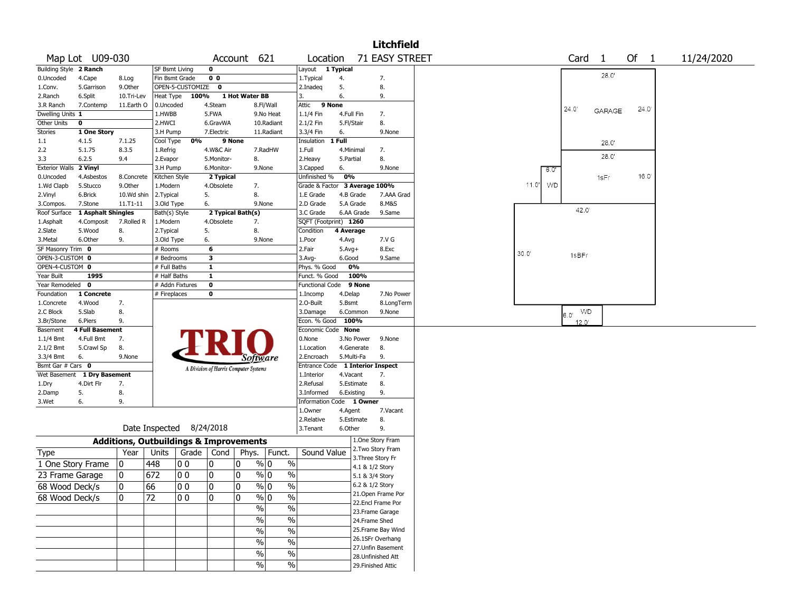|                        |                    |                                                   |                |                          |                                       |                |                         |                                  |            |                 | <b>Litchfield</b>                    |       |       |      |                        |               |      |            |
|------------------------|--------------------|---------------------------------------------------|----------------|--------------------------|---------------------------------------|----------------|-------------------------|----------------------------------|------------|-----------------|--------------------------------------|-------|-------|------|------------------------|---------------|------|------------|
|                        | Map Lot U09-030    |                                                   |                |                          |                                       | Account 621    |                         | Location                         |            |                 | 71 EASY STREET                       |       |       |      | Card                   | -1            | Of 1 | 11/24/2020 |
| Building Style 2 Ranch |                    |                                                   | SF Bsmt Living |                          | $\mathbf 0$                           |                |                         | Layout 1 Typical                 |            |                 |                                      |       |       |      |                        |               |      |            |
| 0.Uncoded              | 4.Cape             | 8.Log                                             | Fin Bsmt Grade |                          | 0 <sub>0</sub>                        |                |                         | 1.Typical                        | 4.         |                 | 7.                                   |       |       |      |                        | 28.0'         |      |            |
| 1.Conv.                | 5.Garrison         | 9.0ther                                           |                | OPEN-5-CUSTOMIZE         | $\mathbf 0$                           |                |                         | 2.Inadeg                         | 5.         |                 | 8.                                   |       |       |      |                        |               |      |            |
| 2.Ranch                | 6.Split            | 10.Tri-Lev                                        | Heat Type      | 100%                     |                                       | 1 Hot Water BB |                         | 3.                               | 6.         |                 | 9.                                   |       |       |      |                        |               |      |            |
| 3.R Ranch              | 7.Contemp          | 11.Earth O                                        | 0.Uncoded      |                          | 4.Steam                               |                | 8.Fl/Wall               | 9 None<br>Attic                  |            |                 |                                      |       |       |      | 24.0                   |               | 24.0 |            |
| Dwelling Units 1       |                    |                                                   | 1.HWBB         |                          | 5.FWA                                 |                | 9.No Heat               | 1.1/4 Fin                        | 4.Full Fin |                 | 7.                                   |       |       |      |                        | <b>GARAGE</b> |      |            |
| Other Units            | 0                  |                                                   | 2.HWCI         |                          | 6.GravWA                              |                | 10.Radiant              | 2.1/2 Fin                        | 5.Fl/Stair |                 | 8.                                   |       |       |      |                        |               |      |            |
| Stories                | 1 One Story        |                                                   | 3.H Pump       |                          | 7.Electric                            |                | 11.Radiant              | 3.3/4 Fin                        | 6.         |                 | 9.None                               |       |       |      |                        |               |      |            |
| 1.1                    | 4.1.5              | 7.1.25                                            | Cool Type      | 0%                       |                                       | 9 None         |                         | Insulation                       | 1 Full     |                 |                                      |       |       |      |                        | 28.0'         |      |            |
| 2.2                    | 5.1.75             | 8.3.5                                             | 1.Refrig       |                          | 4.W&C Air                             |                | 7.RadHW                 | 1.Full                           | 4.Minimal  |                 | 7.                                   |       |       |      |                        |               |      |            |
| 3.3                    | 6.2.5              | 9.4                                               | 2.Evapor       |                          | 5.Monitor-                            | 8.             |                         | 2.Heavy                          | 5.Partial  |                 | 8.                                   |       |       |      |                        | 28.0'         |      |            |
| <b>Exterior Walls</b>  | 2 Vinyl            |                                                   | 3.H Pump       |                          | 6.Monitor-                            |                | 9.None                  | 3.Capped                         | 6.         |                 | 9.None                               |       |       | 6.0' |                        |               |      |            |
| 0.Uncoded              | 4.Asbestos         | 8.Concrete                                        | Kitchen Style  |                          | 2 Typical                             |                |                         | Unfinished %                     | 0%         |                 |                                      |       |       |      |                        | 1sFr          | 16.0 |            |
| 1.Wd Clapb             | 5.Stucco           | 9.0ther                                           | 1.Modern       |                          | 4.Obsolete                            | 7.             |                         | Grade & Factor 3 Average 100%    |            |                 |                                      |       | 11.0' | WD   |                        |               |      |            |
| 2.Vinyl                | 6.Brick            | 10.Wd shin                                        | 2. Typical     |                          | 5.                                    | 8.             |                         | 1.E Grade                        | 4.B Grade  |                 | 7.AAA Grad                           |       |       |      |                        |               |      |            |
| 3.Compos.              | 7.Stone            | $11. T1 - 11$                                     | 3.Old Type     |                          | 6.                                    |                | 9.None                  | 2.D Grade                        | 5.A Grade  |                 | 8.M&S                                |       |       |      |                        |               |      |            |
| Roof Surface           | 1 Asphalt Shingles |                                                   | Bath(s) Style  |                          | 2 Typical Bath(s)                     |                |                         | 3.C Grade                        | 6.AA Grade |                 | 9.Same                               |       |       |      | 42.0                   |               |      |            |
| 1.Asphalt              | 4.Composit         | 7.Rolled R                                        | 1.Modern       |                          | 4.Obsolete                            | 7.             |                         | SQFT (Footprint) 1260            |            |                 |                                      |       |       |      |                        |               |      |            |
| 2.Slate                | 5.Wood             | 8.                                                | 2.Typical      |                          | 5.                                    | 8.             |                         | Condition                        | 4 Average  |                 |                                      |       |       |      |                        |               |      |            |
| 3.Metal                | 6.Other            | 9.                                                | 3.Old Type     |                          | 6.                                    |                | 9.None                  | 1.Poor                           | 4.Avg      |                 | 7.V G                                |       |       |      |                        |               |      |            |
| SF Masonry Trim 0      |                    |                                                   | # Rooms        |                          | 6                                     |                |                         | 2.Fair                           | $5.Avg+$   |                 | 8.Exc                                |       |       |      |                        |               |      |            |
| OPEN-3-CUSTOM 0        |                    |                                                   | # Bedrooms     |                          | 3                                     |                |                         | 3.Avg-                           | 6.Good     |                 | 9.Same                               | 30.0' |       |      | 1sBFr                  |               |      |            |
| OPEN-4-CUSTOM 0        |                    |                                                   | # Full Baths   |                          | 1                                     |                |                         | Phys. % Good                     | 0%         |                 |                                      |       |       |      |                        |               |      |            |
| Year Built             | 1995               |                                                   | # Half Baths   |                          | $\mathbf{1}$                          |                |                         | Funct. % Good                    |            | 100%            |                                      |       |       |      |                        |               |      |            |
| Year Remodeled         | $\mathbf 0$        |                                                   |                | # Addn Fixtures          | $\overline{\mathbf{0}}$               |                |                         | <b>Functional Code</b>           |            | 9 None          |                                      |       |       |      |                        |               |      |            |
| Foundation             | 1 Concrete         |                                                   | # Fireplaces   |                          | $\bf{0}$                              |                |                         | 1.Incomp                         | 4.Delap    |                 | 7.No Power                           |       |       |      |                        |               |      |            |
| 1.Concrete             | 4.Wood             | 7.                                                |                |                          |                                       |                |                         | 2.0-Built                        | 5.Bsmt     |                 | 8.LongTerm                           |       |       |      |                        |               |      |            |
| 2.C Block              | 5.Slab             | 8.                                                |                |                          |                                       |                |                         | 3.Damage                         | 6.Common   |                 | 9.None                               |       |       |      | WD                     |               |      |            |
| 3.Br/Stone             | 6.Piers            | 9.                                                |                |                          |                                       |                |                         | Econ. % Good                     | 100%       |                 |                                      |       |       |      | $6.0^{\circ}$<br>12.0' |               |      |            |
| Basement               | 4 Full Basement    |                                                   |                |                          |                                       |                |                         | Economic Code None               |            |                 |                                      |       |       |      |                        |               |      |            |
| $1.1/4$ Bmt            | 4.Full Bmt         | 7.                                                |                |                          |                                       |                |                         | 0.None                           | 3.No Power |                 | 9.None                               |       |       |      |                        |               |      |            |
| 2.1/2 Bmt              | 5.Crawl Sp         | 8.                                                |                |                          |                                       |                |                         | 1.Location                       | 4.Generate |                 | 8.                                   |       |       |      |                        |               |      |            |
| 3.3/4 Bmt              | 6.                 | 9.None                                            |                |                          |                                       |                |                         | 2.Encroach                       | 5.Multi-Fa |                 | 9.                                   |       |       |      |                        |               |      |            |
| Bsmt Gar # Cars 0      |                    |                                                   |                |                          |                                       |                | Software                | Entrance Code 1 Interior Inspect |            |                 |                                      |       |       |      |                        |               |      |            |
| Wet Basement           | 1 Dry Basement     |                                                   |                |                          | A Division of Harris Computer Systems |                |                         | 1.Interior                       | 4.Vacant   |                 | 7.                                   |       |       |      |                        |               |      |            |
|                        | 4.Dirt Flr         | 7.                                                |                |                          |                                       |                |                         | 2.Refusal                        | 5.Estimate |                 | 8.                                   |       |       |      |                        |               |      |            |
| 1.Dry                  | 5.                 | 8.                                                |                |                          |                                       |                |                         | 3.Informed                       | 6.Existing |                 | 9.                                   |       |       |      |                        |               |      |            |
| 2.Damp<br>3.Wet        | 6.                 | 9.                                                |                |                          |                                       |                |                         | Information Code 1 Owner         |            |                 |                                      |       |       |      |                        |               |      |            |
|                        |                    |                                                   |                |                          |                                       |                |                         | 1.Owner                          |            |                 | 7.Vacant                             |       |       |      |                        |               |      |            |
|                        |                    |                                                   |                |                          |                                       |                |                         |                                  | 4.Agent    |                 |                                      |       |       |      |                        |               |      |            |
|                        |                    |                                                   |                | Date Inspected 8/24/2018 |                                       |                |                         | 2.Relative                       | 5.Estimate |                 | 8.                                   |       |       |      |                        |               |      |            |
|                        |                    |                                                   |                |                          |                                       |                |                         | 3.Tenant                         | 6.Other    |                 | 9.                                   |       |       |      |                        |               |      |            |
|                        |                    | <b>Additions, Outbuildings &amp; Improvements</b> |                |                          |                                       |                |                         |                                  |            |                 | 1.One Story Fram                     |       |       |      |                        |               |      |            |
| Type                   |                    | Year                                              | Units          |                          | Grade   Cond                          | Phys.          | Funct.                  | Sound Value                      |            |                 | 2. Two Story Fram                    |       |       |      |                        |               |      |            |
|                        | 1 One Story Frame  | 10                                                | 448            | 00                       | 0                                     | 0              | $\frac{9}{0}$ 0<br>$\%$ |                                  |            |                 | 3. Three Story Fr<br>4.1 & 1/2 Story |       |       |      |                        |               |      |            |
| 23 Frame Garage        |                    | 10                                                | 672            | 00                       | 0                                     | 0              | % 0<br>%                |                                  |            |                 | 5.1 & 3/4 Story                      |       |       |      |                        |               |      |            |
|                        |                    | ١o                                                |                |                          |                                       |                |                         |                                  |            | 6.2 & 1/2 Story |                                      |       |       |      |                        |               |      |            |
| 68 Wood Deck/s         |                    |                                                   | 66             | 0 O                      | $ 0\rangle$                           | l0             | $\sqrt[6]{0}$<br>$\%$   |                                  |            |                 | 21. Open Frame Por                   |       |       |      |                        |               |      |            |
| 68 Wood Deck/s         |                    | 0                                                 | 72             | 00                       | 0                                     | 0              | $\%$ 0<br>$\%$          |                                  |            |                 | 22.Encl Frame Por                    |       |       |      |                        |               |      |            |
|                        |                    |                                                   |                |                          |                                       |                | %<br>$\%$               |                                  |            |                 | 23. Frame Garage                     |       |       |      |                        |               |      |            |
|                        |                    |                                                   |                |                          |                                       |                | $\%$<br>%               |                                  |            | 24.Frame Shed   |                                      |       |       |      |                        |               |      |            |
|                        |                    |                                                   |                |                          |                                       |                |                         |                                  |            |                 |                                      |       |       |      |                        |               |      |            |
|                        |                    |                                                   |                |                          |                                       |                | $\%$<br>$\%$            |                                  |            |                 | 25. Frame Bay Wind                   |       |       |      |                        |               |      |            |
|                        |                    |                                                   |                |                          |                                       |                | $\%$<br>$\%$            |                                  |            |                 | 26.1SFr Overhang                     |       |       |      |                        |               |      |            |
|                        |                    |                                                   |                |                          |                                       |                | $\%$<br>$\%$            |                                  |            |                 | 27.Unfin Basement                    |       |       |      |                        |               |      |            |
|                        |                    |                                                   |                |                          |                                       |                |                         |                                  |            |                 | 28.Unfinished Att                    |       |       |      |                        |               |      |            |
|                        |                    |                                                   |                |                          |                                       |                | $\%$<br>$\%$            |                                  |            |                 | 29. Finished Attic                   |       |       |      |                        |               |      |            |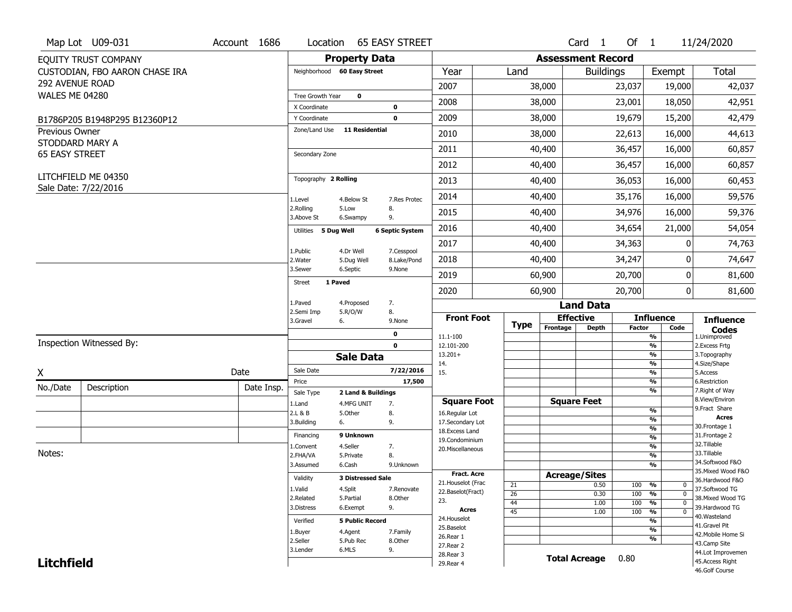|                                          | Map Lot U09-031                | Account 1686 | Location                     | <b>65 EASY STREET</b>         |                           |                                     |             |                          | Card 1               | Of $1$        |                                          | 11/24/2020                            |
|------------------------------------------|--------------------------------|--------------|------------------------------|-------------------------------|---------------------------|-------------------------------------|-------------|--------------------------|----------------------|---------------|------------------------------------------|---------------------------------------|
|                                          | EQUITY TRUST COMPANY           |              |                              | <b>Property Data</b>          |                           |                                     |             | <b>Assessment Record</b> |                      |               |                                          |                                       |
|                                          | CUSTODIAN, FBO AARON CHASE IRA |              | Neighborhood 60 Easy Street  |                               |                           | Year                                | Land        |                          | <b>Buildings</b>     |               | Exempt                                   | <b>Total</b>                          |
| 292 AVENUE ROAD                          |                                |              |                              |                               |                           | 2007                                |             | 38,000                   |                      | 23,037        | 19,000                                   | 42,037                                |
| <b>WALES ME 04280</b>                    |                                |              | Tree Growth Year             | $\mathbf 0$                   |                           |                                     |             |                          |                      |               |                                          |                                       |
|                                          |                                |              | X Coordinate                 |                               | 0                         | 2008                                |             | 38,000                   |                      | 23,001        | 18,050                                   | 42,951                                |
|                                          | B1786P205 B1948P295 B12360P12  |              | Y Coordinate                 |                               | $\mathbf 0$               | 2009                                |             | 38,000                   |                      | 19,679        | 15,200                                   | 42,479                                |
| Previous Owner                           |                                |              | Zone/Land Use                | 11 Residential                |                           | 2010                                |             | 38,000                   |                      | 22,613        | 16,000                                   | 44,613                                |
| STODDARD MARY A<br><b>65 EASY STREET</b> |                                |              | Secondary Zone               |                               |                           | 2011                                |             | 40,400                   |                      | 36,457        | 16,000                                   | 60,857                                |
|                                          |                                |              |                              |                               |                           | 2012                                |             | 40,400                   |                      | 36,457        | 16,000                                   | 60,857                                |
|                                          | LITCHFIELD ME 04350            |              | Topography 2 Rolling         |                               |                           | 2013                                |             | 40,400                   |                      | 36,053        | 16,000                                   | 60,453                                |
|                                          | Sale Date: 7/22/2016           |              | 1.Level                      | 4.Below St                    | 7.Res Protec              | 2014                                |             | 40,400                   |                      | 35,176        | 16,000                                   | 59,576                                |
|                                          |                                |              | 2.Rolling<br>3.Above St      | 8.<br>5.Low<br>9.<br>6.Swampy |                           | 2015                                |             | 40,400                   |                      | 34,976        | 16,000                                   | 59,376                                |
|                                          |                                |              | Utilities 5 Dug Well         |                               | <b>6 Septic System</b>    | 2016                                |             | 40,400                   |                      | 34,654        | 21,000                                   | 54,054                                |
|                                          |                                |              |                              |                               |                           | 2017                                |             | 40,400                   |                      | 34,363        | 0                                        | 74,763                                |
|                                          |                                |              | 1.Public<br>2. Water         | 4.Dr Well<br>5.Dug Well       | 7.Cesspool<br>8.Lake/Pond | 2018                                |             | 40,400                   |                      | 34,247        | 0                                        | 74,647                                |
|                                          |                                |              | 3.Sewer                      | 6.Septic                      | 9.None                    | 2019                                |             | 60,900                   |                      | 20,700        | 0                                        | 81,600                                |
|                                          |                                |              | 1 Paved<br><b>Street</b>     |                               |                           | 2020                                |             | 60,900                   |                      | 20,700        | 0                                        | 81,600                                |
|                                          |                                |              | 1.Paved                      | 7.<br>4.Proposed              |                           |                                     |             |                          | <b>Land Data</b>     |               |                                          |                                       |
|                                          |                                |              | 2.Semi Imp<br>3.Gravel<br>6. | 5.R/O/W<br>8.                 | 9.None                    | <b>Front Foot</b>                   |             |                          | <b>Effective</b>     |               | <b>Influence</b>                         | <b>Influence</b>                      |
|                                          |                                |              |                              |                               | 0                         |                                     | <b>Type</b> | Frontage                 | <b>Depth</b>         | <b>Factor</b> | Code<br>%                                | <b>Codes</b><br>1.Unimproved          |
|                                          |                                |              |                              |                               |                           |                                     |             |                          |                      |               |                                          |                                       |
|                                          | Inspection Witnessed By:       |              |                              |                               | $\mathbf 0$               | 11.1-100<br>12.101-200              |             |                          |                      |               | $\frac{9}{6}$                            | 2. Excess Frtg                        |
|                                          |                                |              |                              | <b>Sale Data</b>              |                           | $13.201+$                           |             |                          |                      |               | %                                        | 3. Topography                         |
|                                          |                                |              | Sale Date                    |                               | 7/22/2016                 | 14.                                 |             |                          |                      |               | %                                        | 4.Size/Shape                          |
| X                                        |                                | Date         | Price                        |                               | 17,500                    | 15.                                 |             |                          |                      |               | $\frac{9}{6}$<br>%                       | 5.Access<br>6.Restriction             |
| No./Date                                 | Description                    | Date Insp.   | Sale Type                    | 2 Land & Buildings            |                           |                                     |             |                          |                      |               | %                                        | 7. Right of Way                       |
|                                          |                                |              | 1.Land                       | 4.MFG UNIT<br>7.              |                           | <b>Square Foot</b>                  |             |                          | <b>Square Feet</b>   |               |                                          | 8.View/Environ<br>9. Fract Share      |
|                                          |                                |              | 2.L & B                      | 5.Other<br>8.                 |                           | 16.Regular Lot                      |             |                          |                      |               | $\frac{9}{6}$<br>$\frac{9}{6}$           | <b>Acres</b>                          |
|                                          |                                |              | 3.Building<br>6.             | 9.                            |                           | 17.Secondary Lot<br>18. Excess Land |             |                          |                      |               | $\frac{9}{6}$                            | 30. Frontage 1                        |
|                                          |                                |              | Financing                    | 9 Unknown                     |                           | 19.Condominium                      |             |                          |                      |               | $\frac{9}{6}$                            | 31. Frontage 2                        |
|                                          |                                |              | 1.Convent                    | 4.Seller<br>7.                |                           | 20.Miscellaneous                    |             |                          |                      |               | $\frac{9}{6}$                            | 32. Tillable                          |
| Notes:                                   |                                |              | 2.FHA/VA                     | 8.<br>5.Private               |                           |                                     |             |                          |                      |               | $\frac{9}{6}$                            | 33.Tillable                           |
|                                          |                                |              | 3.Assumed                    | 6.Cash                        | 9.Unknown                 |                                     |             |                          |                      |               | $\overline{\frac{9}{6}}$                 | 34.Softwood F&O<br>35. Mixed Wood F&O |
|                                          |                                |              | Validity                     | <b>3 Distressed Sale</b>      |                           | <b>Fract, Acre</b>                  |             | <b>Acreage/Sites</b>     |                      |               |                                          | 36.Hardwood F&O                       |
|                                          |                                |              | 1.Valid                      | 4.Split                       | 7.Renovate                | 21. Houselot (Frac                  | 21          |                          | 0.50                 | 100           | %<br>0                                   | 37.Softwood TG                        |
|                                          |                                |              | 2.Related                    | 5.Partial                     | 8.Other                   | 22.Baselot(Fract)<br>23.            | 26          |                          | 0.30                 | 100           | $\frac{9}{6}$<br>$\mathbf 0$             | 38. Mixed Wood TG                     |
|                                          |                                |              | 3.Distress                   | 9.<br>6.Exempt                |                           | <b>Acres</b>                        | 44          |                          | 1.00                 | 100           | $\frac{9}{6}$<br>$\mathbf 0$<br>$\Omega$ | 39.Hardwood TG                        |
|                                          |                                |              |                              |                               |                           | 24. Houselot                        | 45          |                          | 1.00                 | 100           | $\frac{9}{6}$                            | 40. Wasteland                         |
|                                          |                                |              | Verified                     | <b>5 Public Record</b>        |                           | 25.Baselot                          |             |                          |                      |               | $\frac{9}{6}$<br>$\frac{9}{6}$           | 41.Gravel Pit                         |
|                                          |                                |              | 1.Buyer                      | 4.Agent                       | 7.Family                  | 26.Rear 1                           |             |                          |                      |               | $\frac{9}{6}$                            | 42. Mobile Home Si                    |
|                                          |                                |              | 2.Seller                     | 5.Pub Rec                     | 8.Other                   | 27.Rear 2                           |             |                          |                      |               |                                          | 43.Camp Site                          |
| <b>Litchfield</b>                        |                                |              | 3.Lender                     | 6.MLS<br>9.                   |                           | 28. Rear 3<br>29. Rear 4            |             |                          | <b>Total Acreage</b> | 0.80          |                                          | 44.Lot Improvemen<br>45.Access Right  |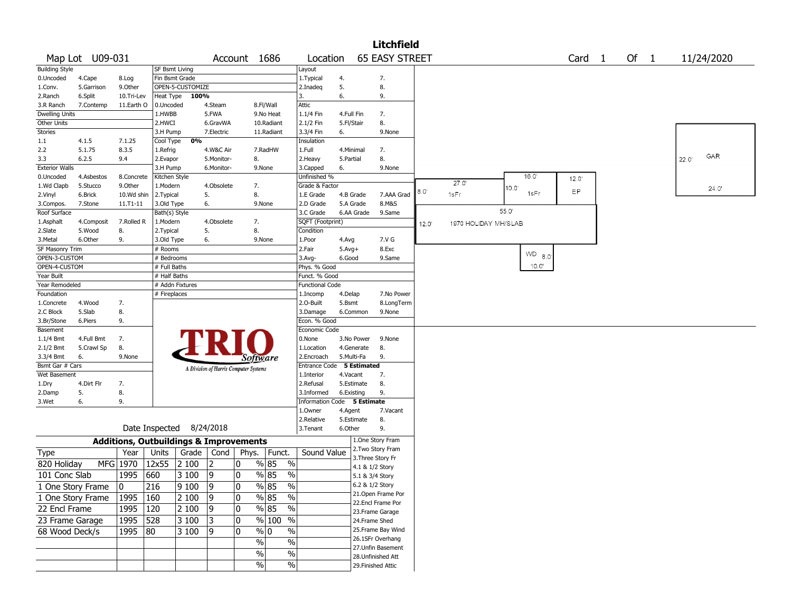|                              |                   |                                                   |                  |                          |                                       |                 |                                           |                                         |            |            | <b>Litchfield</b>                      |       |      |                      |                |             |                   |      |            |
|------------------------------|-------------------|---------------------------------------------------|------------------|--------------------------|---------------------------------------|-----------------|-------------------------------------------|-----------------------------------------|------------|------------|----------------------------------------|-------|------|----------------------|----------------|-------------|-------------------|------|------------|
|                              | Map Lot U09-031   |                                                   |                  |                          |                                       | Account 1686    |                                           | Location                                |            |            | <b>65 EASY STREET</b>                  |       |      |                      |                |             | Card <sub>1</sub> | Of 1 | 11/24/2020 |
| <b>Building Style</b>        |                   |                                                   | SF Bsmt Living   |                          |                                       |                 |                                           | Layout                                  |            |            |                                        |       |      |                      |                |             |                   |      |            |
| 0.Uncoded                    | 4.Cape            | 8.Log                                             | Fin Bsmt Grade   |                          |                                       |                 |                                           | 1. Typical                              | 4.         |            | 7.                                     |       |      |                      |                |             |                   |      |            |
| 1.Conv.                      | 5.Garrison        | 9.0ther                                           |                  | OPEN-5-CUSTOMIZE         |                                       |                 |                                           | 2.Inadeg                                | 5.         |            | 8.                                     |       |      |                      |                |             |                   |      |            |
| 2.Ranch                      | 6.Split           | 10.Tri-Lev                                        | <b>Heat Type</b> | 100%                     |                                       |                 |                                           | 3.                                      | 6.         |            | 9.                                     |       |      |                      |                |             |                   |      |            |
| 3.R Ranch                    | 7.Contemp         | 11.Earth O                                        | 0.Uncoded        |                          | 4.Steam                               |                 | 8.Fl/Wall                                 | Attic                                   |            |            |                                        |       |      |                      |                |             |                   |      |            |
| <b>Dwelling Units</b>        |                   |                                                   | 1.HWBB           |                          | 5.FWA                                 |                 | 9.No Heat                                 | 1.1/4 Fin                               | 4.Full Fin |            | 7.                                     |       |      |                      |                |             |                   |      |            |
| Other Units                  |                   |                                                   | 2.HWCI           |                          | 6.GravWA                              |                 | 10.Radiant                                | 2.1/2 Fin                               | 5.Fl/Stair |            | 8.                                     |       |      |                      |                |             |                   |      |            |
| Stories                      |                   |                                                   | 3.H Pump         |                          | 7.Electric                            |                 | 11.Radiant                                | 3.3/4 Fin                               | 6.         |            | 9.None                                 |       |      |                      |                |             |                   |      |            |
| 1.1                          | 4.1.5             | 7.1.25                                            | Cool Type        | 0%                       |                                       |                 |                                           | Insulation                              |            |            |                                        |       |      |                      |                |             |                   |      |            |
| 2.2                          | 5.1.75            | 8.3.5                                             | 1.Refrig         |                          | 4.W&C Air                             |                 | 7.RadHW                                   | 1.Full                                  | 4.Minimal  |            | 7.                                     |       |      |                      |                |             |                   |      | GAR        |
| 3.3                          | 6.2.5             | 9.4                                               | 2.Evapor         |                          | 5.Monitor-                            | 8.              |                                           | 2. Heavy                                | 5.Partial  |            | 8.                                     |       |      |                      |                |             |                   |      | 22.0'      |
| <b>Exterior Walls</b>        |                   |                                                   | 3.H Pump         |                          | 6.Monitor-                            |                 | 9.None                                    | 3.Capped                                | 6.         |            | 9.None                                 |       |      |                      |                |             |                   |      |            |
| 0.Uncoded                    | 4.Asbestos        | 8.Concrete                                        | Kitchen Style    |                          |                                       |                 |                                           | Unfinished %                            |            |            |                                        |       |      | 27.0'                |                | 16.0        | 12.0              |      |            |
| 1.Wd Clapb                   | 5.Stucco          | 9.0ther                                           | 1.Modern         |                          | 4.Obsolete                            | 7.              |                                           | Grade & Factor                          |            |            |                                        | 8.0   |      |                      | $10.0^{\circ}$ |             | ΕP                |      | 24.0'      |
| 2.Vinyl                      | 6.Brick           | 10.Wd shin                                        | 2. Typical       |                          | 5.                                    | 8.              |                                           | 1.E Grade                               | 4.B Grade  |            | 7.AAA Grad                             |       | 1sFr |                      |                | 1sFr        |                   |      |            |
| 3.Compos.                    | 7.Stone           | $11.71 - 11$                                      | 3.Old Type       |                          | 6.                                    |                 | 9.None                                    | 2.D Grade                               | 5.A Grade  |            | 8.M&S                                  |       |      |                      | 55.0           |             |                   |      |            |
| Roof Surface                 |                   |                                                   | Bath(s) Style    |                          |                                       |                 |                                           | 3.C Grade                               | 6.AA Grade |            | 9.Same                                 |       |      |                      |                |             |                   |      |            |
| 1.Asphalt                    | 4.Composit        | 7.Rolled R                                        | 1.Modern         |                          | 4.Obsolete                            | 7.              |                                           | SQFT (Footprint)                        |            |            |                                        | 12.0' |      | 1970 HOLIDAY MH/SLAB |                |             |                   |      |            |
| 2.Slate                      | 5.Wood            | 8.                                                | 2.Typical        |                          | 5.                                    | 8.              |                                           | Condition                               |            |            |                                        |       |      |                      |                |             |                   |      |            |
| 3.Metal                      | 6.Other           | 9.                                                | 3.Old Type       |                          | 6.                                    |                 | 9.None                                    | 1.Poor                                  | 4.Avg      |            | 7.V G                                  |       |      |                      |                |             |                   |      |            |
| SF Masonry Trim              |                   |                                                   | # Rooms          |                          |                                       |                 |                                           | 2.Fair                                  | $5.Avg+$   |            | 8.Exc                                  |       |      |                      |                | $WD_{-8.0}$ |                   |      |            |
| OPEN-3-CUSTOM                |                   |                                                   | # Bedrooms       |                          |                                       |                 |                                           | $3.$ Avg-                               | 6.Good     |            | 9.Same                                 |       |      |                      |                | 10.0'       |                   |      |            |
| OPEN-4-CUSTOM                |                   |                                                   | # Full Baths     |                          |                                       |                 |                                           | Phys. % Good                            |            |            |                                        |       |      |                      |                |             |                   |      |            |
| Year Built<br>Year Remodeled |                   |                                                   | # Half Baths     | # Addn Fixtures          |                                       |                 |                                           | Funct. % Good<br><b>Functional Code</b> |            |            |                                        |       |      |                      |                |             |                   |      |            |
| Foundation                   |                   |                                                   | # Fireplaces     |                          |                                       |                 |                                           | 1.Incomp                                | 4.Delap    |            | 7.No Power                             |       |      |                      |                |             |                   |      |            |
| 1.Concrete                   | 4.Wood            | 7.                                                |                  |                          |                                       |                 |                                           | 2.O-Built                               | 5.Bsmt     |            | 8.LongTerm                             |       |      |                      |                |             |                   |      |            |
| 2.C Block                    | 5.Slab            | 8.                                                |                  |                          |                                       |                 |                                           | 3.Damage                                | 6.Common   |            | 9.None                                 |       |      |                      |                |             |                   |      |            |
| 3.Br/Stone                   | 6.Piers           | 9.                                                |                  |                          |                                       |                 |                                           | Econ. % Good                            |            |            |                                        |       |      |                      |                |             |                   |      |            |
| Basement                     |                   |                                                   |                  |                          |                                       |                 |                                           | Economic Code                           |            |            |                                        |       |      |                      |                |             |                   |      |            |
| $1.1/4$ Bmt                  | 4.Full Bmt        | 7.                                                |                  |                          |                                       |                 |                                           | 0.None                                  | 3.No Power |            | 9.None                                 |       |      |                      |                |             |                   |      |            |
| $2.1/2$ Bmt                  | 5.Crawl Sp        | 8.                                                |                  |                          |                                       |                 |                                           | 1.Location                              | 4.Generate |            | 8.                                     |       |      |                      |                |             |                   |      |            |
| 3.3/4 Bmt                    | 6.                | 9.None                                            |                  |                          |                                       | <i>Software</i> |                                           | 2.Encroach                              | 5.Multi-Fa |            | 9.                                     |       |      |                      |                |             |                   |      |            |
| Bsmt Gar # Cars              |                   |                                                   |                  |                          | A Division of Harris Computer Systems |                 |                                           | Entrance Code 5 Estimated               |            |            |                                        |       |      |                      |                |             |                   |      |            |
| Wet Basement                 |                   |                                                   |                  |                          |                                       |                 |                                           | 1.Interior                              | 4.Vacant   |            | 7.                                     |       |      |                      |                |             |                   |      |            |
| 1.Dry                        | 4.Dirt Flr        | 7.                                                |                  |                          |                                       |                 |                                           | 2.Refusal                               | 5.Estimate |            | 8.                                     |       |      |                      |                |             |                   |      |            |
| 2.Damp                       | 5.                | 8.                                                |                  |                          |                                       |                 |                                           | 3.Informed                              | 6.Existing |            | 9.                                     |       |      |                      |                |             |                   |      |            |
| 3.Wet                        | 6.                | 9.                                                |                  |                          |                                       |                 |                                           | <b>Information Code</b>                 |            | 5 Estimate |                                        |       |      |                      |                |             |                   |      |            |
|                              |                   |                                                   |                  |                          |                                       |                 |                                           | 1.Owner                                 | 4.Agent    |            | 7.Vacant                               |       |      |                      |                |             |                   |      |            |
|                              |                   |                                                   |                  |                          |                                       |                 |                                           | 2.Relative                              | 5.Estimate |            | 8.                                     |       |      |                      |                |             |                   |      |            |
|                              |                   |                                                   |                  | Date Inspected 8/24/2018 |                                       |                 |                                           | 3.Tenant                                | 6.Other    |            | 9.                                     |       |      |                      |                |             |                   |      |            |
|                              |                   | <b>Additions, Outbuildings &amp; Improvements</b> |                  |                          |                                       |                 |                                           |                                         |            |            | 1.One Story Fram                       |       |      |                      |                |             |                   |      |            |
| Type                         |                   | Year                                              | Units            | Grade                    | Cond                                  | Phys.           | Funct.                                    | Sound Value                             |            |            | 2. Two Story Fram                      |       |      |                      |                |             |                   |      |            |
| 820 Holiday                  |                   | MFG 1970                                          | 12x55            | 2 100                    | 2                                     | 0               | % 85<br>$\%$                              |                                         |            |            | 3. Three Story Fr                      |       |      |                      |                |             |                   |      |            |
|                              |                   |                                                   |                  |                          |                                       |                 |                                           |                                         |            |            | 4.1 & 1/2 Story                        |       |      |                      |                |             |                   |      |            |
| 101 Conc Slab                |                   | 1995                                              | 660              | 3 100                    | 9                                     | 0               | % 85<br>$\%$                              |                                         |            |            | 5.1 & 3/4 Story                        |       |      |                      |                |             |                   |      |            |
|                              | 1 One Story Frame | 10                                                | 216              | 9100                     | 9                                     | 0               | $\sqrt{8}$ 85<br>$\frac{9}{6}$            |                                         |            |            | 6.2 & 1/2 Story                        |       |      |                      |                |             |                   |      |            |
|                              | 1 One Story Frame | 1995                                              | 160              | 2 100                    | 9                                     | $\mathbf 0$     | $\frac{8}{5}$<br>$\%$                     |                                         |            |            | 21.Open Frame Por                      |       |      |                      |                |             |                   |      |            |
| 22 Encl Frame                |                   | 1995                                              | 120              | 2 100                    | 9                                     | 0               | $\sqrt{8}$ 85<br>$\overline{\frac{0}{0}}$ |                                         |            |            | 22.Encl Frame Por                      |       |      |                      |                |             |                   |      |            |
|                              |                   | 1995                                              | 528              | 3 100                    |                                       | 0               | % 100 %                                   |                                         |            |            | 23. Frame Garage                       |       |      |                      |                |             |                   |      |            |
| 23 Frame Garage              |                   |                                                   |                  |                          | 3                                     |                 |                                           |                                         |            |            | 24.Frame Shed                          |       |      |                      |                |             |                   |      |            |
| 68 Wood Deck/s               |                   | 1995                                              | $ 80\rangle$     | 3 100                    | 9                                     | 10              | $\%$ 0<br>$\%$                            |                                         |            |            | 25. Frame Bay Wind<br>26.1SFr Overhang |       |      |                      |                |             |                   |      |            |
|                              |                   |                                                   |                  |                          |                                       | $\%$            | $\%$                                      |                                         |            |            | 27.Unfin Basement                      |       |      |                      |                |             |                   |      |            |
|                              |                   |                                                   |                  |                          |                                       | $\sqrt{6}$      | $\%$                                      |                                         |            |            | 28.Unfinished Att                      |       |      |                      |                |             |                   |      |            |
|                              |                   |                                                   |                  |                          |                                       | $\sqrt{6}$      | $\%$                                      |                                         |            |            | 29. Finished Attic                     |       |      |                      |                |             |                   |      |            |
|                              |                   |                                                   |                  |                          |                                       |                 |                                           |                                         |            |            |                                        |       |      |                      |                |             |                   |      |            |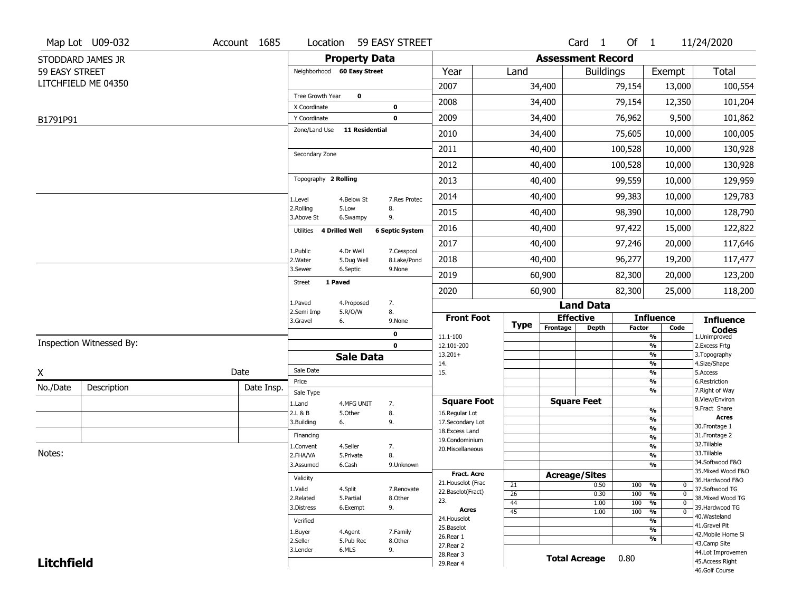|                   | Map Lot U09-032          | Account 1685 | Location                     |                         | 59 EASY STREET            |                                          |                       |                          | Card <sub>1</sub>    | Of 1          |                                           | 11/24/2020                        |
|-------------------|--------------------------|--------------|------------------------------|-------------------------|---------------------------|------------------------------------------|-----------------------|--------------------------|----------------------|---------------|-------------------------------------------|-----------------------------------|
|                   | STODDARD JAMES JR        |              |                              | <b>Property Data</b>    |                           |                                          |                       | <b>Assessment Record</b> |                      |               |                                           |                                   |
| 59 EASY STREET    |                          |              | Neighborhood 60 Easy Street  |                         |                           | Year                                     | Land                  |                          | <b>Buildings</b>     |               | Exempt                                    | Total                             |
|                   | LITCHFIELD ME 04350      |              |                              |                         |                           | 2007                                     |                       | 34,400                   |                      | 79,154        | 13,000                                    | 100,554                           |
|                   |                          |              | Tree Growth Year             | $\mathbf 0$             |                           | 2008                                     |                       | 34,400                   |                      | 79,154        | 12,350                                    | 101,204                           |
|                   |                          |              | X Coordinate<br>Y Coordinate |                         | 0<br>$\mathbf 0$          | 2009                                     |                       | 34,400                   |                      | 76,962        | 9,500                                     | 101,862                           |
| B1791P91          |                          |              | Zone/Land Use                | <b>11 Residential</b>   |                           | 2010                                     |                       | 34,400                   |                      | 75,605        | 10,000                                    | 100,005                           |
|                   |                          |              |                              |                         |                           |                                          |                       |                          |                      |               |                                           |                                   |
|                   |                          |              | Secondary Zone               |                         |                           | 2011                                     |                       | 40,400                   |                      | 100,528       | 10,000                                    | 130,928                           |
|                   |                          |              |                              |                         |                           | 2012                                     |                       | 40,400                   |                      | 100,528       | 10,000                                    | 130,928                           |
|                   |                          |              | Topography 2 Rolling         |                         |                           | 2013                                     |                       | 40,400                   |                      | 99,559        | 10,000                                    | 129,959                           |
|                   |                          |              | 1.Level                      | 4.Below St              | 7.Res Protec              | 2014                                     |                       | 40,400                   |                      | 99,383        | 10,000                                    | 129,783                           |
|                   |                          |              | 2.Rolling<br>3.Above St      | 5.Low<br>6.Swampy       | 8.<br>9.                  | 2015                                     |                       | 40,400                   |                      | 98,390        | 10,000                                    | 128,790                           |
|                   |                          |              | 4 Drilled Well<br>Utilities  |                         | <b>6 Septic System</b>    | 2016                                     |                       | 40,400                   |                      | 97,422        | 15,000                                    | 122,822                           |
|                   |                          |              |                              |                         |                           | 2017                                     |                       | 40,400                   |                      | 97,246        | 20,000                                    | 117,646                           |
|                   |                          |              | 1.Public<br>2. Water         | 4.Dr Well<br>5.Dug Well | 7.Cesspool<br>8.Lake/Pond | 2018                                     |                       | 40,400                   |                      | 96,277        | 19,200                                    | 117,477                           |
|                   |                          |              | 3.Sewer                      | 6.Septic                | 9.None                    | 2019                                     |                       | 60,900                   |                      | 82,300        | 20,000                                    | 123,200                           |
|                   |                          |              | 1 Paved<br><b>Street</b>     |                         |                           | 2020                                     |                       | 60,900                   |                      | 82,300        | 25,000                                    | 118,200                           |
|                   |                          |              | 1.Paved                      | 4.Proposed              | 7.                        |                                          |                       |                          | <b>Land Data</b>     |               |                                           |                                   |
|                   |                          |              | 2.Semi Imp<br>3.Gravel<br>6. | 5.R/O/W                 | 8.<br>9.None              | <b>Front Foot</b>                        |                       | <b>Effective</b>         |                      |               | <b>Influence</b>                          | <b>Influence</b>                  |
|                   |                          |              |                              |                         | 0                         | 11.1-100                                 | <b>Type</b>           | Frontage                 | <b>Depth</b>         | <b>Factor</b> | Code<br>$\frac{9}{6}$                     | <b>Codes</b><br>1.Unimproved      |
|                   | Inspection Witnessed By: |              |                              |                         | $\mathbf{0}$              | 12.101-200                               |                       |                          |                      |               | $\frac{9}{6}$                             | 2. Excess Frtg                    |
|                   |                          |              |                              | <b>Sale Data</b>        |                           | $13.201+$<br>14.                         |                       |                          |                      |               | $\overline{\frac{9}{6}}$<br>$\frac{9}{6}$ | 3. Topography<br>4.Size/Shape     |
| X                 |                          | Date         | Sale Date                    |                         |                           | 15.                                      |                       |                          |                      |               | $\frac{9}{6}$                             | 5.Access                          |
| No./Date          | Description              | Date Insp.   | Price                        |                         |                           |                                          |                       |                          |                      |               | %<br>%                                    | 6.Restriction<br>7. Right of Way  |
|                   |                          |              | Sale Type<br>1.Land          | 4.MFG UNIT              | 7.                        | <b>Square Foot</b>                       |                       | <b>Square Feet</b>       |                      |               |                                           | 8.View/Environ                    |
|                   |                          |              | 2.L & B                      | 5.Other                 | 8.                        | 16.Regular Lot                           |                       |                          |                      |               | %                                         | 9.Fract Share<br>Acres            |
|                   |                          |              | 3.Building<br>6.             |                         | 9.                        | 17.Secondary Lot                         |                       |                          |                      |               | %<br>$\frac{9}{6}$                        | 30. Frontage 1                    |
|                   |                          |              | Financing                    |                         |                           | 18.Excess Land<br>19.Condominium         |                       |                          |                      |               | $\frac{9}{6}$                             | 31. Frontage 2                    |
|                   |                          |              | 1.Convent                    | 4.Seller                | 7.                        | 20.Miscellaneous                         |                       |                          |                      |               | $\frac{9}{6}$                             | 32.Tillable                       |
| Notes:            |                          |              | 2.FHA/VA                     | 5.Private               | 8.                        |                                          |                       |                          |                      |               | $\frac{9}{6}$                             | 33.Tillable<br>34.Softwood F&O    |
|                   |                          |              | 3.Assumed                    | 6.Cash                  | 9.Unknown                 |                                          |                       |                          |                      |               | $\frac{9}{6}$                             | 35. Mixed Wood F&O                |
|                   |                          |              | Validity                     |                         |                           | <b>Fract. Acre</b><br>21. Houselot (Frac |                       | <b>Acreage/Sites</b>     |                      |               |                                           | 36.Hardwood F&O                   |
|                   |                          |              | 1.Valid                      | 4.Split                 | 7.Renovate                | 22.Baselot(Fract)                        | 21<br>$\overline{26}$ |                          | 0.50                 | 100           | %<br>0<br>$\mathbf{0}$                    | 37.Softwood TG                    |
|                   |                          |              | 2.Related                    | 5.Partial               | 8.Other                   | 23.                                      | 44                    |                          | 0.30<br>1.00         | 100<br>100    | %<br>$\frac{9}{6}$<br>$\mathbf 0$         | 38. Mixed Wood TG                 |
|                   |                          |              | 3.Distress                   | 6.Exempt                | 9.                        | Acres                                    | $\overline{45}$       |                          | 1.00                 | 100           | $\frac{9}{6}$<br>$\overline{0}$           | 39.Hardwood TG                    |
|                   |                          |              | Verified                     |                         |                           | 24. Houselot                             |                       |                          |                      |               | $\frac{9}{6}$                             | 40.Wasteland                      |
|                   |                          |              |                              |                         |                           |                                          |                       |                          |                      |               | $\frac{9}{6}$                             | 41.Gravel Pit                     |
|                   |                          |              |                              |                         |                           | 25.Baselot                               |                       |                          |                      |               |                                           |                                   |
|                   |                          |              | 1.Buyer<br>2.Seller          | 4.Agent<br>5.Pub Rec    | 7.Family<br>8.Other       | 26.Rear 1                                |                       |                          |                      |               | $\frac{9}{6}$                             | 42. Mobile Home Si                |
|                   |                          |              | 3.Lender                     | 6.MLS                   | 9.                        | 27. Rear 2                               |                       |                          |                      |               |                                           | 43.Camp Site<br>44.Lot Improvemen |
| <b>Litchfield</b> |                          |              |                              |                         |                           | 28. Rear 3<br>29. Rear 4                 |                       |                          | <b>Total Acreage</b> | 0.80          |                                           | 45.Access Right<br>46.Golf Course |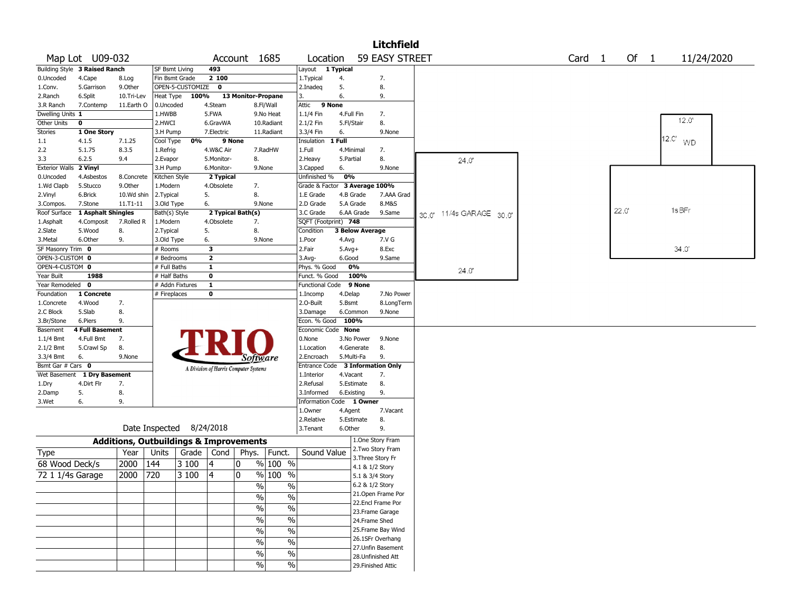|                        |                                                               |                                                   |                |                          |                         |                                       |               |                          |            |                        | <b>Litchfield</b>                      |  |                |                          |        |        |            |  |
|------------------------|---------------------------------------------------------------|---------------------------------------------------|----------------|--------------------------|-------------------------|---------------------------------------|---------------|--------------------------|------------|------------------------|----------------------------------------|--|----------------|--------------------------|--------|--------|------------|--|
|                        | 59 EASY STREET<br>Map Lot U09-032<br>Account 1685<br>Location |                                                   |                |                          |                         |                                       |               |                          |            |                        |                                        |  |                |                          | Card 1 | Of $1$ | 11/24/2020 |  |
|                        | <b>Building Style 3 Raised Ranch</b>                          |                                                   | SF Bsmt Living |                          | 493                     |                                       |               | Layout                   | 1 Typical  |                        |                                        |  |                |                          |        |        |            |  |
| 0.Uncoded              | 4.Cape                                                        | 8.Log                                             | Fin Bsmt Grade |                          | 2 100                   |                                       |               | 1. Typical               | 4.         |                        | 7.                                     |  |                |                          |        |        |            |  |
| 1.Conv.                | 5.Garrison                                                    | 9.Other                                           |                | OPEN-5-CUSTOMIZE         | $\mathbf 0$             |                                       |               | 2.Inadeg                 | 5.         |                        | 8.                                     |  |                |                          |        |        |            |  |
| 2.Ranch                | 6.Split                                                       | 10.Tri-Lev                                        | Heat Type      | 100%                     |                         | 13 Monitor-Propane                    |               | 3.                       | 6.         |                        | 9.                                     |  |                |                          |        |        |            |  |
| 3.R Ranch              | 7.Contemp                                                     | 11.Earth O                                        | 0.Uncoded      |                          | 4.Steam                 |                                       | 8.Fl/Wall     | Attic<br>9 None          |            |                        |                                        |  |                |                          |        |        |            |  |
| Dwelling Units 1       |                                                               |                                                   | 1.HWBB         |                          | 5.FWA                   |                                       | 9.No Heat     | 1.1/4 Fin                |            | 4.Full Fin             | 7.                                     |  |                |                          |        |        |            |  |
| Other Units            | $\mathbf 0$                                                   |                                                   | 2.HWCI         |                          | 6.GravWA                |                                       | 10.Radiant    | 2.1/2 Fin                | 5.Fl/Stair |                        | 8.                                     |  |                |                          |        |        | 12.0'      |  |
| <b>Stories</b>         | 1 One Story                                                   |                                                   | 3.H Pump       |                          | 7.Electric              |                                       | 11.Radiant    | 3.3/4 Fin                | 6.         |                        | 9.None                                 |  |                |                          |        |        |            |  |
| 1.1                    | 4.1.5                                                         | 7.1.25                                            | Cool Type      | 0%                       |                         | 9 None                                |               | Insulation               | 1 Full     |                        |                                        |  |                |                          |        |        | $12.0'$ WD |  |
| 2.2                    | 5.1.75                                                        | 8.3.5                                             | 1.Refrig       |                          | 4.W&C Air               |                                       | 7.RadHW       | 1.Full                   | 4.Minimal  |                        | 7.                                     |  |                |                          |        |        |            |  |
| 3.3                    | 6.2.5                                                         | 9.4                                               | 2.Evapor       |                          | 5.Monitor-              | 8.                                    |               | 2. Heavy                 | 5.Partial  |                        | 8.                                     |  | 24.0           |                          |        |        |            |  |
| <b>Exterior Walls</b>  | 2 Vinyl                                                       |                                                   | 3.H Pump       |                          | 6.Monitor-              |                                       | 9.None        | 3.Capped                 | 6.         |                        | 9.None                                 |  |                |                          |        |        |            |  |
| 0.Uncoded              | 4.Asbestos                                                    | 8.Concrete                                        | Kitchen Style  |                          | 2 Typical               |                                       |               | Unfinished %             | 0%         |                        |                                        |  |                |                          |        |        |            |  |
| 1.Wd Clapb             | 5.Stucco                                                      | 9.Other                                           | 1.Modern       |                          | 4.Obsolete              | 7.                                    |               | Grade & Factor           |            |                        | 3 Average 100%                         |  |                |                          |        |        |            |  |
| 2.Vinyl                | 6.Brick                                                       | 10.Wd shin                                        | 2.Typical      |                          | 5.                      | 8.                                    |               | 1.E Grade                |            | 4.B Grade              | 7.AAA Grad                             |  |                |                          |        |        |            |  |
| 3.Compos.              | 7.Stone                                                       | 11.T1-11                                          | 3.Old Type     |                          | 6.                      |                                       | 9.None        | 2.D Grade                |            | 5.A Grade              | 8.M&S                                  |  |                |                          |        | 22.0   | 1s BFr     |  |
| Roof Surface           | 1 Asphalt Shingles                                            |                                                   | Bath(s) Style  |                          |                         | 2 Typical Bath(s)                     |               | 3.C Grade                |            | 6.AA Grade             | 9.Same                                 |  |                | 30.0' 11/4s GARAGE 30.0' |        |        |            |  |
| 1.Asphalt              | 4.Composit                                                    | 7.Rolled R                                        | 1.Modern       |                          | 4.Obsolete              | 7.                                    |               | SQFT (Footprint) 748     |            |                        |                                        |  |                |                          |        |        |            |  |
| 2.Slate                | 5.Wood                                                        | 8.                                                | 2. Typical     |                          | 5.                      | 8.                                    |               | Condition                |            | <b>3 Below Average</b> |                                        |  |                |                          |        |        |            |  |
| 3.Metal                | 6.Other                                                       | 9.                                                | 3.Old Type     |                          | 6.                      |                                       | 9.None        | 1.Poor                   | 4.Avg      |                        | 7.V G                                  |  |                |                          |        |        |            |  |
| SF Masonry Trim 0      |                                                               |                                                   | # Rooms        |                          | $\overline{\mathbf{3}}$ |                                       |               | 2.Fair                   | $5.Avg+$   |                        | 8.Exc                                  |  |                |                          |        |        | 34.0'      |  |
| OPEN-3-CUSTOM 0        |                                                               |                                                   | # Bedrooms     |                          | $\mathbf{2}$            |                                       |               | $3.$ Avg-                | 6.Good     |                        | 9.Same                                 |  |                |                          |        |        |            |  |
| OPEN-4-CUSTOM 0        |                                                               |                                                   | # Full Baths   |                          | $\mathbf{1}$            |                                       |               | Phys. % Good             |            | 0%                     |                                        |  | $24.0^{\circ}$ |                          |        |        |            |  |
| Year Built             | 1988                                                          |                                                   | # Half Baths   |                          | 0                       |                                       |               | Funct. % Good            |            | 100%                   |                                        |  |                |                          |        |        |            |  |
| Year Remodeled 0       |                                                               |                                                   |                | # Addn Fixtures          | 1                       |                                       |               | <b>Functional Code</b>   |            | 9 None                 |                                        |  |                |                          |        |        |            |  |
| Foundation             | 1 Concrete                                                    |                                                   | # Fireplaces   |                          | 0                       |                                       |               | 1.Incomp                 | 4.Delap    |                        | 7.No Power                             |  |                |                          |        |        |            |  |
| 1.Concrete             | 4.Wood                                                        | 7.                                                |                |                          |                         |                                       |               | 2.0-Built                | 5.Bsmt     |                        | 8.LongTerm                             |  |                |                          |        |        |            |  |
| 2.C Block              | 5.Slab<br>6.Piers                                             | 8.<br>9.                                          |                |                          |                         |                                       |               | 3.Damage<br>Econ. % Good | 100%       | 6.Common               | 9.None                                 |  |                |                          |        |        |            |  |
| 3.Br/Stone<br>Basement | <b>4 Full Basement</b>                                        |                                                   |                |                          |                         |                                       |               | Economic Code None       |            |                        |                                        |  |                |                          |        |        |            |  |
| $1.1/4$ Bmt            | 4.Full Bmt                                                    | 7.                                                |                |                          |                         |                                       |               | 0.None                   |            | 3.No Power             | 9.None                                 |  |                |                          |        |        |            |  |
| $2.1/2$ Bmt            | 5.Crawl Sp                                                    | 8.                                                |                |                          |                         |                                       |               | 1.Location               |            | 4.Generate             | 8.                                     |  |                |                          |        |        |            |  |
| 3.3/4 Bmt              | 6.                                                            | 9.None                                            |                |                          |                         |                                       |               | 2.Encroach               |            | 5.Multi-Fa             | 9.                                     |  |                |                          |        |        |            |  |
| Bsmt Gar # Cars 0      |                                                               |                                                   |                |                          |                         | Software                              |               | <b>Entrance Code</b>     |            |                        | <b>3 Information Only</b>              |  |                |                          |        |        |            |  |
|                        | Wet Basement 1 Dry Basement                                   |                                                   |                |                          |                         | A Division of Harris Computer Systems |               | 1.Interior               | 4.Vacant   |                        | 7.                                     |  |                |                          |        |        |            |  |
| 1.Dry                  | 4.Dirt Flr                                                    | 7.                                                |                |                          |                         |                                       |               | 2.Refusal                |            | 5.Estimate             | 8.                                     |  |                |                          |        |        |            |  |
| 2.Damp                 | 5.                                                            | 8.                                                |                |                          |                         |                                       |               | 3.Informed               |            | 6.Existing             | 9.                                     |  |                |                          |        |        |            |  |
| 3.Wet                  | 6.                                                            | 9.                                                |                |                          |                         |                                       |               | Information Code 1 Owner |            |                        |                                        |  |                |                          |        |        |            |  |
|                        |                                                               |                                                   |                |                          |                         |                                       |               | 1.0wner                  | 4.Agent    |                        | 7.Vacant                               |  |                |                          |        |        |            |  |
|                        |                                                               |                                                   |                |                          |                         |                                       |               | 2.Relative               |            | 5.Estimate             | 8.                                     |  |                |                          |        |        |            |  |
|                        |                                                               |                                                   |                | Date Inspected 8/24/2018 |                         |                                       |               | 3. Tenant                | 6.Other    |                        | 9.                                     |  |                |                          |        |        |            |  |
|                        |                                                               | <b>Additions, Outbuildings &amp; Improvements</b> |                |                          |                         |                                       |               |                          |            |                        | 1.One Story Fram                       |  |                |                          |        |        |            |  |
| Type                   |                                                               | Year                                              | Units          | Grade                    | Cond                    | Phys.                                 | Funct.        | Sound Value              |            |                        | 2. Two Story Fram                      |  |                |                          |        |        |            |  |
| 68 Wood Deck/s         |                                                               | 2000                                              | 144            | 3 100                    | 4                       | 0                                     | % 100 %       |                          |            |                        | 3. Three Story Fr                      |  |                |                          |        |        |            |  |
|                        |                                                               |                                                   |                |                          |                         |                                       |               |                          |            |                        | 4.1 & 1/2 Story                        |  |                |                          |        |        |            |  |
| 72 1 1/4s Garage       |                                                               | 2000                                              | 720            | 3 100                    | 4                       | 0                                     | $%100$ %      |                          |            |                        | 5.1 & 3/4 Story                        |  |                |                          |        |        |            |  |
|                        |                                                               |                                                   |                |                          |                         |                                       | % <br>%       |                          |            |                        | 6.2 & 1/2 Story                        |  |                |                          |        |        |            |  |
|                        |                                                               |                                                   |                |                          |                         | $\frac{0}{6}$                         | $\frac{1}{2}$ |                          |            |                        | 21. Open Frame Por                     |  |                |                          |        |        |            |  |
|                        |                                                               |                                                   |                |                          |                         | $\%$                                  | $\frac{1}{2}$ |                          |            |                        | 22.Encl Frame Por                      |  |                |                          |        |        |            |  |
|                        |                                                               |                                                   |                |                          |                         | $\%$                                  | $\frac{0}{6}$ |                          |            |                        | 23. Frame Garage                       |  |                |                          |        |        |            |  |
|                        |                                                               |                                                   |                |                          |                         |                                       |               |                          |            |                        | 24.Frame Shed                          |  |                |                          |        |        |            |  |
|                        |                                                               |                                                   |                |                          |                         | $\%$                                  | $\%$          |                          |            |                        | 25. Frame Bay Wind                     |  |                |                          |        |        |            |  |
|                        |                                                               |                                                   |                |                          |                         | $\%$                                  | $\%$          |                          |            |                        | 26.1SFr Overhang<br>27. Unfin Basement |  |                |                          |        |        |            |  |
|                        |                                                               |                                                   |                |                          |                         | $\%$                                  | $\%$          |                          |            |                        | 28. Unfinished Att                     |  |                |                          |        |        |            |  |
|                        |                                                               |                                                   |                |                          |                         | $\frac{0}{0}$                         | $\frac{9}{6}$ |                          |            |                        | 29. Finished Attic                     |  |                |                          |        |        |            |  |
|                        |                                                               |                                                   |                |                          |                         |                                       |               |                          |            |                        |                                        |  |                |                          |        |        |            |  |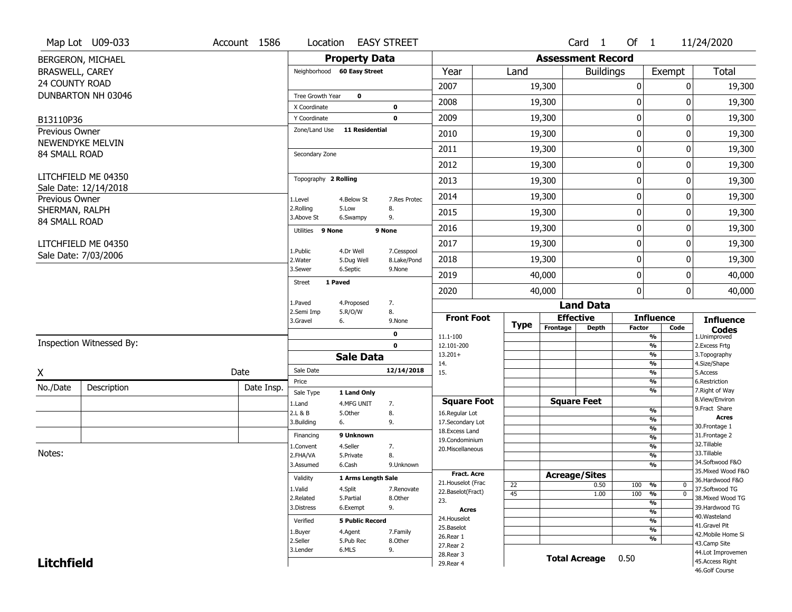|                        | Map Lot U09-033          | Account 1586 | Location                     |                         | <b>EASY STREET</b>        |                                          |                 |                          | Card <sub>1</sub>    | Of $1$           |                                  | 11/24/2020                            |
|------------------------|--------------------------|--------------|------------------------------|-------------------------|---------------------------|------------------------------------------|-----------------|--------------------------|----------------------|------------------|----------------------------------|---------------------------------------|
|                        | BERGERON, MICHAEL        |              |                              | <b>Property Data</b>    |                           |                                          |                 | <b>Assessment Record</b> |                      |                  |                                  |                                       |
| <b>BRASWELL, CAREY</b> |                          |              | Neighborhood 60 Easy Street  |                         |                           | Year                                     | Land            |                          | <b>Buildings</b>     |                  | Exempt                           | Total                                 |
| 24 COUNTY ROAD         |                          |              |                              |                         |                           | 2007                                     |                 | 19,300                   |                      | 0                | 0                                | 19,300                                |
|                        | DUNBARTON NH 03046       |              | Tree Growth Year             | $\mathbf 0$             |                           | 2008                                     |                 | 19,300                   |                      | 0                | O                                | 19,300                                |
|                        |                          |              | X Coordinate                 |                         | 0                         |                                          |                 |                          |                      |                  |                                  |                                       |
| B13110P36              |                          |              | Y Coordinate                 |                         | $\mathbf 0$               | 2009                                     |                 | 19,300                   |                      | $\mathbf 0$      | 0                                | 19,300                                |
| <b>Previous Owner</b>  | NEWENDYKE MELVIN         |              | Zone/Land Use 11 Residential |                         |                           | 2010                                     |                 | 19,300                   |                      | $\mathbf 0$      | 0                                | 19,300                                |
| 84 SMALL ROAD          |                          |              | Secondary Zone               |                         |                           | 2011                                     |                 | 19,300                   |                      | $\mathbf 0$      | 0                                | 19,300                                |
|                        |                          |              |                              |                         |                           | 2012                                     |                 | 19,300                   |                      | $\mathbf 0$      | 0                                | 19,300                                |
|                        | LITCHFIELD ME 04350      |              | Topography 2 Rolling         |                         |                           | 2013                                     |                 | 19,300                   |                      | $\boldsymbol{0}$ | 0                                | 19,300                                |
| Previous Owner         | Sale Date: 12/14/2018    |              | 1.Level                      | 4.Below St              | 7.Res Protec              | 2014                                     |                 | 19,300                   |                      | $\boldsymbol{0}$ | 0                                | 19,300                                |
| SHERMAN, RALPH         |                          |              | 2.Rolling<br>3.Above St      | 5.Low<br>6.Swampy       | 8.<br>9.                  | 2015                                     |                 | 19,300                   |                      | 0                | 0                                | 19,300                                |
| 84 SMALL ROAD          |                          |              | Utilities 9 None             |                         | 9 None                    | 2016                                     |                 | 19,300                   |                      | $\mathbf 0$      | 0                                | 19,300                                |
|                        | LITCHFIELD ME 04350      |              |                              |                         |                           | 2017                                     |                 | 19,300                   |                      | $\boldsymbol{0}$ | 0                                | 19,300                                |
|                        | Sale Date: 7/03/2006     |              | 1.Public<br>2. Water         | 4.Dr Well<br>5.Dug Well | 7.Cesspool<br>8.Lake/Pond | 2018                                     |                 | 19,300                   |                      | $\mathbf 0$      | 0                                | 19,300                                |
|                        |                          |              | 3.Sewer                      | 6.Septic                | 9.None                    | 2019                                     |                 | 40,000                   |                      | $\mathbf 0$      | 0                                | 40,000                                |
|                        |                          |              | <b>Street</b><br>1 Paved     |                         |                           | 2020                                     |                 | 40,000                   |                      | $\mathbf 0$      | 0                                | 40,000                                |
|                        |                          |              | 1.Paved                      | 4.Proposed              | 7.                        |                                          |                 |                          | <b>Land Data</b>     |                  |                                  |                                       |
|                        |                          |              | 2.Semi Imp<br>3.Gravel<br>6. | 5.R/O/W                 | 8.<br>9.None              | <b>Front Foot</b>                        |                 |                          | <b>Effective</b>     |                  | <b>Influence</b>                 | <b>Influence</b>                      |
|                        |                          |              |                              |                         | 0                         | 11.1-100                                 | <b>Type</b>     | Frontage                 | <b>Depth</b>         | <b>Factor</b>    | Code<br>$\overline{\frac{9}{6}}$ | <b>Codes</b><br>1.Unimproved          |
|                        | Inspection Witnessed By: |              |                              |                         | $\mathbf 0$               | 12.101-200                               |                 |                          |                      |                  | $\frac{9}{6}$                    | 2.Excess Frtg                         |
|                        |                          |              |                              | <b>Sale Data</b>        |                           | $13.201+$                                |                 |                          |                      |                  | $\frac{9}{6}$<br>$\frac{9}{6}$   | 3. Topography                         |
| X                      |                          | Date         | Sale Date                    |                         | 12/14/2018                | 14.<br>15.                               |                 |                          |                      |                  | $\frac{9}{6}$                    | 4.Size/Shape<br>5.Access              |
| No./Date               | Description              | Date Insp.   | Price                        |                         |                           |                                          |                 |                          |                      |                  | $\frac{9}{6}$                    | 6.Restriction                         |
|                        |                          |              | Sale Type                    | 1 Land Only             |                           | <b>Square Foot</b>                       |                 |                          | <b>Square Feet</b>   |                  | $\overline{\frac{9}{6}}$         | 7. Right of Way<br>8.View/Environ     |
|                        |                          |              | 1.Land<br>2.L & B            | 4.MFG UNIT<br>5.Other   | 7.<br>8.                  | 16.Regular Lot                           |                 |                          |                      |                  | $\frac{9}{6}$                    | 9. Fract Share                        |
|                        |                          |              | 3.Building<br>6.             |                         | 9.                        | 17.Secondary Lot                         |                 |                          |                      |                  | %                                | <b>Acres</b>                          |
|                        |                          |              | Financing                    | 9 Unknown               |                           | 18. Excess Land                          |                 |                          |                      |                  | $\frac{9}{6}$<br>$\frac{9}{6}$   | 30. Frontage 1<br>31. Frontage 2      |
|                        |                          |              | 1.Convent                    | 4.Seller                | 7.                        | 19.Condominium<br>20.Miscellaneous       |                 |                          |                      |                  | $\frac{9}{6}$                    | 32. Tillable                          |
| Notes:                 |                          |              | 2.FHA/VA                     | 5.Private               | 8.                        |                                          |                 |                          |                      |                  | $\frac{9}{6}$                    | 33.Tillable                           |
|                        |                          |              | 3.Assumed                    | 6.Cash                  | 9.Unknown                 |                                          |                 |                          |                      |                  | %                                | 34.Softwood F&O<br>35. Mixed Wood F&O |
|                        |                          |              | Validity                     | 1 Arms Length Sale      |                           | <b>Fract. Acre</b><br>21. Houselot (Frac |                 |                          | <b>Acreage/Sites</b> |                  |                                  | 36.Hardwood F&O                       |
|                        |                          |              | 1.Valid                      | 4.Split                 | 7.Renovate                | 22.Baselot(Fract)                        | 22              |                          | 0.50                 | 100              | %<br>0                           | 37.Softwood TG                        |
|                        |                          |              | 2.Related                    | 5.Partial               | 8.Other                   | 23.                                      | $\overline{45}$ |                          | 1.00                 | 100 %            | $\overline{0}$<br>%              | 38. Mixed Wood TG                     |
|                        |                          |              | 3.Distress                   | 6.Exempt                | 9.                        | Acres                                    |                 |                          |                      |                  | $\frac{9}{6}$                    | 39.Hardwood TG                        |
|                        |                          |              | Verified                     | <b>5 Public Record</b>  |                           | 24. Houselot                             |                 |                          |                      |                  | %                                | 40. Wasteland                         |
|                        |                          |              | 1.Buyer                      | 4.Agent                 | 7.Family                  | 25.Baselot                               |                 |                          |                      |                  | $\overline{\frac{9}{6}}$         | 41.Gravel Pit<br>42. Mobile Home Si   |
|                        |                          |              | 2.Seller                     | 5.Pub Rec               | 8.Other                   | 26.Rear 1<br>27. Rear 2                  |                 |                          |                      |                  | %                                | 43.Camp Site                          |
|                        |                          |              | 3.Lender                     | 6.MLS                   | 9.                        |                                          |                 |                          |                      |                  |                                  | 44.Lot Improvemen                     |
|                        |                          |              |                              |                         |                           | 28. Rear 3                               |                 |                          |                      |                  |                                  |                                       |
| <b>Litchfield</b>      |                          |              |                              |                         |                           | 29. Rear 4                               |                 |                          | <b>Total Acreage</b> | 0.50             |                                  | 45.Access Right<br>46.Golf Course     |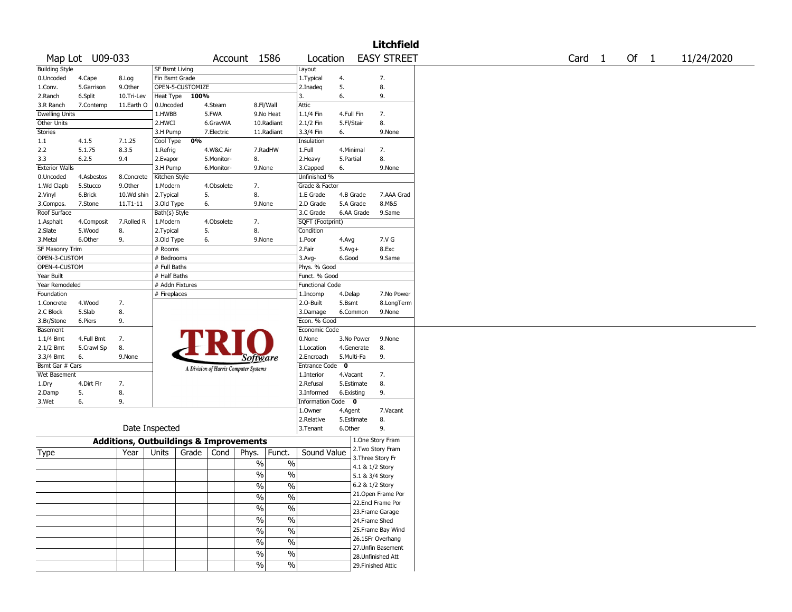|                       |                 |                                                   |                       |                  |            |                                       |               |                        |              | Litchfield         |                   |        |            |
|-----------------------|-----------------|---------------------------------------------------|-----------------------|------------------|------------|---------------------------------------|---------------|------------------------|--------------|--------------------|-------------------|--------|------------|
|                       | Map Lot U09-033 |                                                   |                       |                  |            | Account 1586                          |               | Location               |              | <b>EASY STREET</b> | Card <sub>1</sub> | Of $1$ | 11/24/2020 |
| <b>Building Style</b> |                 |                                                   | <b>SF Bsmt Living</b> |                  |            |                                       |               | Layout                 |              |                    |                   |        |            |
| 0.Uncoded             | 4.Cape          | 8.Log                                             | Fin Bsmt Grade        |                  |            |                                       |               | 1. Typical             | 4.           | 7.                 |                   |        |            |
| 1.Conv.               | 5.Garrison      | 9.0ther                                           |                       | OPEN-5-CUSTOMIZE |            |                                       |               | 2.Inadeq               | 5.           | 8.                 |                   |        |            |
| 2.Ranch               | 6.Split         | 10.Tri-Lev                                        | Heat Type             | 100%             |            |                                       |               | 3.                     | 6.           | 9.                 |                   |        |            |
| 3.R Ranch             | 7.Contemp       | 11.Earth O                                        | 0.Uncoded             |                  | 4.Steam    |                                       | 8.Fl/Wall     | Attic                  |              |                    |                   |        |            |
| Dwelling Units        |                 |                                                   | 1.HWBB                |                  | 5.FWA      |                                       | 9.No Heat     | 1.1/4 Fin              | 4.Full Fin   | 7.                 |                   |        |            |
| Other Units           |                 |                                                   | 2.HWCI                |                  | 6.GravWA   |                                       | 10.Radiant    | 2.1/2 Fin              | 5.Fl/Stair   | 8.                 |                   |        |            |
| <b>Stories</b>        |                 |                                                   | 3.H Pump              |                  | 7.Electric |                                       | 11.Radiant    | 3.3/4 Fin              | 6.           | 9.None             |                   |        |            |
| 1.1                   | 4.1.5           | 7.1.25                                            | Cool Type             | 0%               |            |                                       |               | Insulation             |              |                    |                   |        |            |
| 2.2                   | 5.1.75          | 8.3.5                                             | 1.Refrig              |                  | 4.W&C Air  |                                       | 7.RadHW       | 1.Full                 | 4.Minimal    | 7.                 |                   |        |            |
| 3.3                   | 6.2.5           | 9.4                                               | 2.Evapor              |                  | 5.Monitor- | 8.                                    |               | 2. Heavy               | 5.Partial    | 8.                 |                   |        |            |
| <b>Exterior Walls</b> |                 |                                                   | 3.H Pump              |                  | 6.Monitor- | 9.None                                |               | 3.Capped               | 6.           | 9.None             |                   |        |            |
| 0.Uncoded             | 4.Asbestos      | 8.Concrete                                        | Kitchen Style         |                  |            |                                       |               | Unfinished %           |              |                    |                   |        |            |
| 1.Wd Clapb            | 5.Stucco        | 9.Other                                           | 1.Modern              |                  | 4.Obsolete | 7.                                    |               | Grade & Factor         |              |                    |                   |        |            |
| 2.Vinyl               | 6.Brick         | 10.Wd shin                                        | 2.Typical             |                  | 5.         | 8.                                    |               | 1.E Grade              | 4.B Grade    | 7.AAA Grad         |                   |        |            |
| 3.Compos.             | 7.Stone         | 11.T1-11                                          | 3.Old Type            |                  | 6.         | 9.None                                |               | 2.D Grade              | 5.A Grade    | 8.M&S              |                   |        |            |
| Roof Surface          |                 |                                                   | Bath(s) Style         |                  |            |                                       |               | 3.C Grade              | 6.AA Grade   | 9.Same             |                   |        |            |
| 1.Asphalt             | 4.Composit      | 7.Rolled R                                        | 1.Modern              |                  | 4.Obsolete | 7.                                    |               | SQFT (Footprint)       |              |                    |                   |        |            |
| 2.Slate               | 5.Wood          | 8.                                                | 2.Typical             |                  | 5.         | 8.                                    |               | Condition              |              |                    |                   |        |            |
| 3.Metal               | 6.Other         | 9.                                                | 3.Old Type            |                  | 6.         | 9.None                                |               | 1.Poor                 | 4.Avg        | 7.V G              |                   |        |            |
| SF Masonry Trim       |                 |                                                   | # Rooms               |                  |            |                                       |               | 2.Fair                 | $5.Avg+$     | 8.Exc              |                   |        |            |
| OPEN-3-CUSTOM         |                 |                                                   | # Bedrooms            |                  |            |                                       |               | $3.$ Avg-              | 6.Good       | 9.Same             |                   |        |            |
| OPEN-4-CUSTOM         |                 |                                                   | # Full Baths          |                  |            |                                       |               | Phys. % Good           |              |                    |                   |        |            |
| Year Built            |                 |                                                   | # Half Baths          |                  |            |                                       |               | Funct. % Good          |              |                    |                   |        |            |
| Year Remodeled        |                 |                                                   | # Addn Fixtures       |                  |            |                                       |               | <b>Functional Code</b> |              |                    |                   |        |            |
| Foundation            |                 |                                                   | # Fireplaces          |                  |            |                                       |               | 1.Incomp               | 4.Delap      | 7.No Power         |                   |        |            |
| 1.Concrete            | 4.Wood          | 7.                                                |                       |                  |            |                                       |               | 2.0-Built              | 5.Bsmt       | 8.LongTerm         |                   |        |            |
| 2.C Block             | 5.Slab          | 8.                                                |                       |                  |            |                                       |               | 3.Damage               | 6.Common     | 9.None             |                   |        |            |
| 3.Br/Stone            | 6.Piers         | 9.                                                |                       |                  |            |                                       |               | Econ. % Good           |              |                    |                   |        |            |
| Basement              |                 |                                                   |                       |                  |            |                                       |               | Economic Code          |              |                    |                   |        |            |
| 1.1/4 Bmt             | 4.Full Bmt      | 7.                                                |                       |                  |            |                                       |               | 0.None                 | 3.No Power   | 9.None             |                   |        |            |
| 2.1/2 Bmt             | 5.Crawl Sp      | 8.                                                |                       |                  |            |                                       |               | 1.Location             | 4.Generate   | 8.                 |                   |        |            |
| 3.3/4 Bmt             | 6.              | 9.None                                            |                       |                  |            |                                       |               | 2.Encroach             | 5.Multi-Fa   | 9.                 |                   |        |            |
| Bsmt Gar # Cars       |                 |                                                   |                       |                  |            | Software                              |               | <b>Entrance Code</b>   | $\mathbf{o}$ |                    |                   |        |            |
| Wet Basement          |                 |                                                   |                       |                  |            | A Division of Harris Computer Systems |               | 1.Interior             | 4.Vacant     | 7.                 |                   |        |            |
| 1.Dry                 | 4.Dirt Flr      | 7.                                                |                       |                  |            |                                       |               | 2.Refusal              | 5.Estimate   | 8.                 |                   |        |            |
| 2.Damp                | 5.              | 8.                                                |                       |                  |            |                                       |               | 3.Informed             | 6.Existing   | 9.                 |                   |        |            |
| 3.Wet                 | 6.              | 9.                                                |                       |                  |            |                                       |               | Information Code 0     |              |                    |                   |        |            |
|                       |                 |                                                   |                       |                  |            |                                       |               | 1.Owner                | 4.Agent      | 7.Vacant           |                   |        |            |
|                       |                 |                                                   |                       |                  |            |                                       |               | 2.Relative             | 5.Estimate   | 8.                 |                   |        |            |
|                       |                 | Date Inspected                                    |                       |                  |            |                                       |               | 3. Tenant              | 6.Other      | 9.                 |                   |        |            |
|                       |                 |                                                   |                       |                  |            |                                       |               |                        |              |                    |                   |        |            |
|                       |                 | <b>Additions, Outbuildings &amp; Improvements</b> |                       |                  |            |                                       |               |                        |              | 1.One Story Fram   |                   |        |            |
| Type                  |                 | Year                                              | Units                 | Grade            | Cond       | Phys.                                 | Funct.        | Sound Value            |              | 2. Two Story Fram  |                   |        |            |
|                       |                 |                                                   |                       |                  |            | %                                     | $\%$          |                        |              | 3. Three Story Fr  |                   |        |            |
|                       |                 |                                                   |                       |                  |            |                                       |               |                        |              | 4.1 & 1/2 Story    |                   |        |            |
|                       |                 |                                                   |                       |                  |            | %                                     | %             |                        |              | 5.1 & 3/4 Story    |                   |        |            |
|                       |                 |                                                   |                       |                  |            | $\sqrt{6}$                            | $\%$          |                        |              | 6.2 & 1/2 Story    |                   |        |            |
|                       |                 |                                                   |                       |                  |            | $\frac{1}{2}$                         | $\frac{1}{2}$ |                        |              | 21. Open Frame Por |                   |        |            |
|                       |                 |                                                   |                       |                  |            | $\sqrt{6}$                            | $\frac{0}{6}$ |                        |              | 22.Encl Frame Por  |                   |        |            |
|                       |                 |                                                   |                       |                  |            |                                       |               |                        |              | 23.Frame Garage    |                   |        |            |
|                       |                 |                                                   |                       |                  |            | $\frac{1}{2}$                         | $\frac{0}{6}$ |                        |              | 24.Frame Shed      |                   |        |            |
|                       |                 |                                                   |                       |                  |            | $\frac{0}{6}$                         | $\frac{0}{6}$ |                        |              | 25. Frame Bay Wind |                   |        |            |
|                       |                 |                                                   |                       |                  |            | $\%$                                  | $\frac{1}{2}$ |                        |              | 26.1SFr Overhang   |                   |        |            |
|                       |                 |                                                   |                       |                  |            |                                       |               |                        |              | 27.Unfin Basement  |                   |        |            |
|                       |                 |                                                   |                       |                  |            | $\%$                                  | $\frac{1}{2}$ |                        |              | 28.Unfinished Att  |                   |        |            |
|                       |                 |                                                   |                       |                  |            | $\frac{9}{6}$                         | $\%$          |                        |              | 29. Finished Attic |                   |        |            |
|                       |                 |                                                   |                       |                  |            |                                       |               |                        |              |                    |                   |        |            |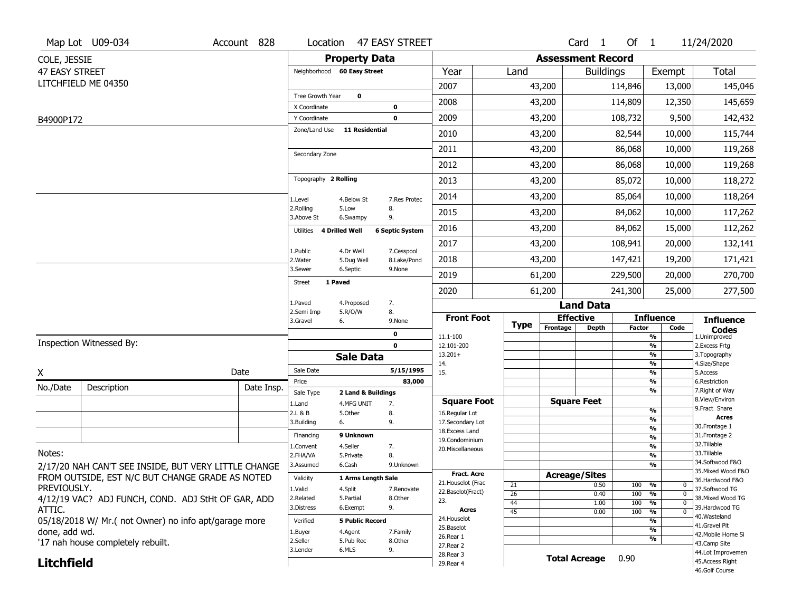|                   | Map Lot U09-034                                      | Account 828 | Location                            | 47 EASY STREET                    |                                         |                       |          | Card <sub>1</sub>                | Of 1          |                          | 11/24/2020                            |
|-------------------|------------------------------------------------------|-------------|-------------------------------------|-----------------------------------|-----------------------------------------|-----------------------|----------|----------------------------------|---------------|--------------------------|---------------------------------------|
| COLE, JESSIE      |                                                      |             |                                     | <b>Property Data</b>              |                                         |                       |          | <b>Assessment Record</b>         |               |                          |                                       |
| 47 EASY STREET    |                                                      |             | Neighborhood 60 Easy Street         |                                   | Year                                    | Land                  |          | <b>Buildings</b>                 |               | Exempt                   | <b>Total</b>                          |
|                   | LITCHFIELD ME 04350                                  |             |                                     |                                   | 2007                                    |                       | 43,200   |                                  | 114,846       | 13,000                   | 145,046                               |
|                   |                                                      |             | Tree Growth Year                    | $\mathbf 0$                       | 2008                                    |                       | 43,200   |                                  | 114,809       | 12,350                   | 145,659                               |
| B4900P172         |                                                      |             | X Coordinate<br>Y Coordinate        | 0<br>$\mathbf 0$                  | 2009                                    |                       | 43,200   |                                  | 108,732       | 9,500                    | 142,432                               |
|                   |                                                      |             | Zone/Land Use                       | <b>11 Residential</b>             | 2010                                    |                       | 43,200   |                                  | 82,544        | 10,000                   | 115,744                               |
|                   |                                                      |             |                                     |                                   | 2011                                    |                       | 43,200   |                                  | 86,068        | 10,000                   | 119,268                               |
|                   |                                                      |             | Secondary Zone                      |                                   | 2012                                    |                       | 43,200   |                                  | 86,068        | 10,000                   | 119,268                               |
|                   |                                                      |             | Topography 2 Rolling                |                                   | 2013                                    |                       | 43,200   |                                  | 85,072        | 10,000                   | 118,272                               |
|                   |                                                      |             | 1.Level                             | 7.Res Protec<br>4.Below St        | 2014                                    |                       | 43,200   |                                  | 85,064        | 10,000                   | 118,264                               |
|                   |                                                      |             | 2.Rolling<br>3.Above St             | 5.Low<br>8.<br>9.<br>6.Swampy     | 2015                                    |                       | 43,200   |                                  | 84,062        | 10,000                   | 117,262                               |
|                   |                                                      |             | 4 Drilled Well<br>Utilities         | <b>6 Septic System</b>            | 2016                                    |                       | 43,200   |                                  | 84,062        | 15,000                   | 112,262                               |
|                   |                                                      |             | 1.Public                            | 4.Dr Well<br>7.Cesspool           | 2017                                    |                       | 43,200   |                                  | 108,941       | 20,000                   | 132,141                               |
|                   |                                                      |             | 2. Water                            | 8.Lake/Pond<br>5.Dug Well         | 2018                                    |                       | 43,200   |                                  | 147,421       | 19,200                   | 171,421                               |
|                   |                                                      |             | 3.Sewer<br>1 Paved<br><b>Street</b> | 6.Septic<br>9.None                | 2019                                    |                       | 61,200   |                                  | 229,500       | 20,000                   | 270,700                               |
|                   |                                                      |             |                                     |                                   | 2020                                    |                       | 61,200   |                                  | 241,300       | 25,000                   | 277,500                               |
|                   |                                                      |             | 1.Paved<br>2.Semi Imp               | 4.Proposed<br>7.<br>5.R/O/W<br>8. |                                         |                       |          | <b>Land Data</b>                 |               |                          |                                       |
|                   |                                                      |             | 3.Gravel<br>6.                      | 9.None                            | <b>Front Foot</b>                       | Type                  | Frontage | <b>Effective</b><br><b>Depth</b> | <b>Factor</b> | <b>Influence</b><br>Code | <b>Influence</b>                      |
|                   |                                                      |             |                                     | 0                                 | 11.1-100                                |                       |          |                                  |               | $\frac{9}{6}$            | <b>Codes</b><br>1.Unimproved          |
|                   | Inspection Witnessed By:                             |             |                                     | 0                                 |                                         |                       |          |                                  |               | %                        | 2. Excess Frtg                        |
|                   |                                                      |             |                                     |                                   | 12.101-200                              |                       |          |                                  |               |                          |                                       |
|                   |                                                      |             |                                     | <b>Sale Data</b>                  | $13.201+$<br>14.                        |                       |          |                                  |               | %<br>%                   | 3. Topography<br>4.Size/Shape         |
| χ                 |                                                      | Date        | Sale Date                           | 5/15/1995                         | 15.                                     |                       |          |                                  |               | %                        | 5.Access                              |
| No./Date          | Description                                          | Date Insp.  | Price                               | 83,000                            |                                         |                       |          |                                  |               | %<br>%                   | 6.Restriction<br>7. Right of Way      |
|                   |                                                      |             | Sale Type                           | 2 Land & Buildings                | <b>Square Foot</b>                      |                       |          | <b>Square Feet</b>               |               |                          | 8.View/Environ                        |
|                   |                                                      |             | 1.Land<br>2.L & B                   | 4.MFG UNIT<br>7.<br>8.<br>5.Other | 16.Regular Lot                          |                       |          |                                  |               | %                        | 9. Fract Share                        |
|                   |                                                      |             | 3.Building<br>6.                    | 9.                                | 17.Secondary Lot                        |                       |          |                                  |               | %                        | <b>Acres</b><br>30. Frontage 1        |
|                   |                                                      |             | Financing                           | 9 Unknown                         | 18.Excess Land                          |                       |          |                                  |               | %<br>%                   | 31. Frontage 2                        |
|                   |                                                      |             | 1.Convent                           | 4.Seller<br>7.                    | 19.Condominium<br>20.Miscellaneous      |                       |          |                                  |               | %                        | 32. Tillable                          |
| Notes:            |                                                      |             | 2.FHA/VA                            | 5.Private<br>8.                   |                                         |                       |          |                                  |               | %                        | 33.Tillable                           |
|                   | 2/17/20 NAH CAN'T SEE INSIDE, BUT VERY LITTLE CHANGE |             | 3.Assumed                           | 6.Cash<br>9.Unknown               |                                         |                       |          |                                  |               | %                        | 34.Softwood F&O<br>35. Mixed Wood F&O |
|                   | FROM OUTSIDE, EST N/C BUT CHANGE GRADE AS NOTED      |             | Validity                            | 1 Arms Length Sale                | <b>Fract. Acre</b>                      |                       |          | <b>Acreage/Sites</b>             |               |                          | 36.Hardwood F&O                       |
| PREVIOUSLY.       |                                                      |             | 1.Valid                             | 4.Split<br>7.Renovate             | 21. Houselot (Frac<br>22.Baselot(Fract) | 21                    |          | 0.50                             | 100           | %<br>0<br>$\mathbf 0$    | 37.Softwood TG                        |
|                   | 4/12/19 VAC? ADJ FUNCH, COND. ADJ StHt OF GAR, ADD   |             | 2.Related                           | 5.Partial<br>8.Other              | 23.                                     | $\overline{26}$<br>44 |          | 0.40<br>1.00                     | 100<br>100    | %<br>%<br>$\mathbf{0}$   | 38. Mixed Wood TG                     |
| ATTIC.            |                                                      |             | 3.Distress                          | 9.<br>6.Exempt                    | Acres                                   | 45                    |          | 0.00                             | 100           | %<br>0                   | 39.Hardwood TG                        |
|                   | 05/18/2018 W/ Mr.(not Owner) no info apt/garage more |             | Verified                            | <b>5 Public Record</b>            | 24. Houselot                            |                       |          |                                  |               | %                        | 40.Wasteland<br>41.Gravel Pit         |
| done, add wd.     |                                                      |             | 1.Buyer                             | 4.Agent<br>7.Family               | 25.Baselot                              |                       |          |                                  |               | %                        | 42. Mobile Home Si                    |
|                   | '17 nah house completely rebuilt.                    |             | 2.Seller                            | 5.Pub Rec<br>8.Other              | 26.Rear 1<br>27. Rear 2                 |                       |          |                                  |               | %                        | 43.Camp Site                          |
| <b>Litchfield</b> |                                                      |             | 3.Lender                            | 6.MLS<br>9.                       | 28. Rear 3<br>29. Rear 4                |                       |          | <b>Total Acreage</b>             | 0.90          |                          | 44.Lot Improvemen<br>45. Access Right |